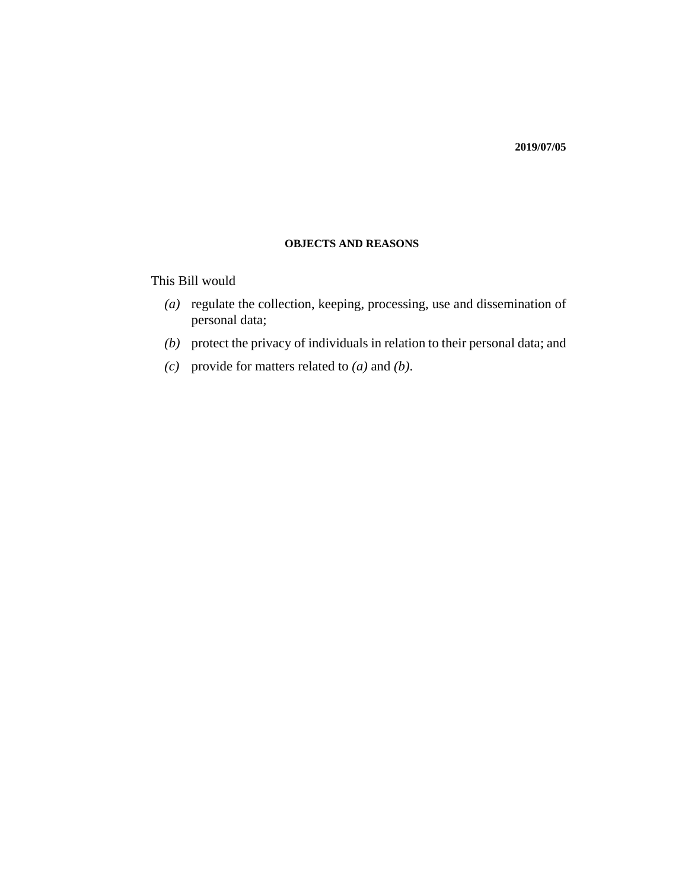#### **OBJECTS AND REASONS**

This Bill would

- (a) regulate the collection, keeping, processing, use and dissemination of personal data;
- (b) protect the privacy of individuals in relation to their personal data; and
- (c) provide for matters related to  $(a)$  and  $(b)$ .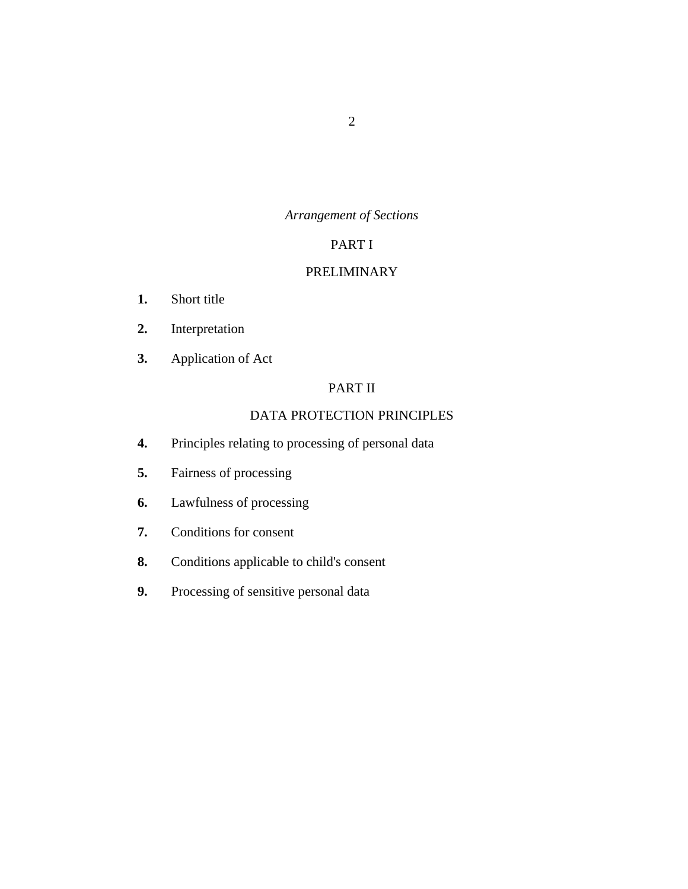## *Arrangement of Sections*

# PART I

## [PRELIMINARY](#page-11-0)

- [Short title](#page-11-0) **1.**
- [Interpretation](#page-11-0) **2.**
- [Application of Act](#page-16-0) **3.**

# PART II

# [DATA PROTECTION PRINCIPLES](#page-16-0)

- [Principles relating to processing of personal data](#page-16-0) **4.**
- [Fairness of processing](#page-19-0) **5.**
- [Lawfulness of processing](#page-21-0) **6.**
- [Conditions for consent](#page-22-0) **7.**
- [Conditions applicable to child's consent](#page-22-0) **8.**
- [Processing of sensitive personal data](#page-23-0) **9.**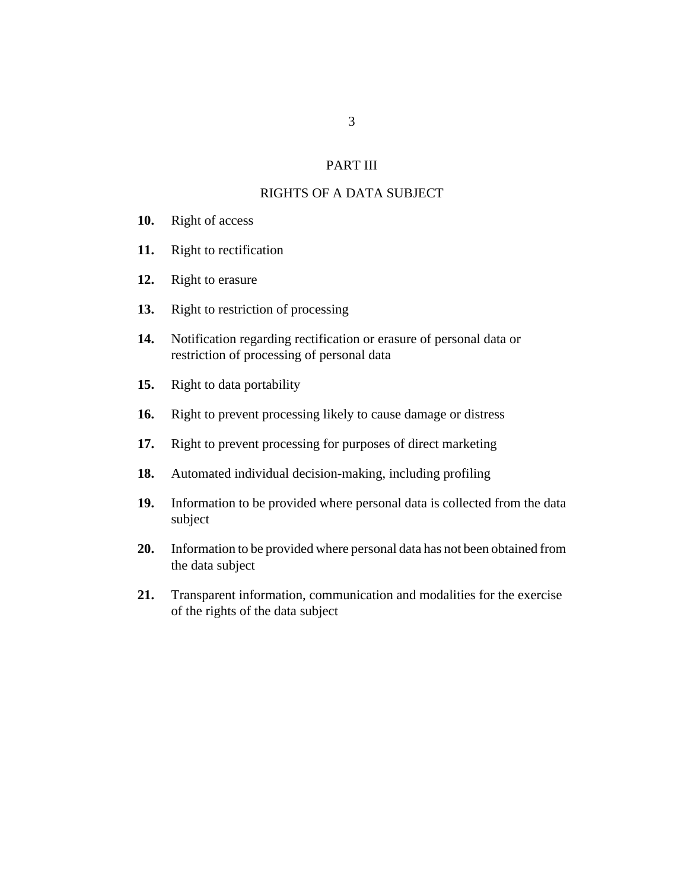## PART III

## [RIGHTS OF A DATA SUBJECT](#page-25-0)

- [Right of access](#page-25-0) **10.**
- [Right to rectification](#page-27-0) **11.**
- [Right to erasure](#page-27-0) **12.**
- [Right to restriction of processing](#page-28-0) **13.**
- [Notification regarding rectification or erasure of personal data or](#page-29-0) restriction of processing of personal data **14.**
- [Right to data portability](#page-29-0) **15.**
- [Right to prevent processing likely to cause damage or distress](#page-30-0) **16.**
- [Right to prevent processing for purposes of direct marketing](#page-31-0) **17.**
- [Automated individual decision-making, including profiling](#page-32-0) **18.**
- [Information to be provided where personal data is collected from the data](#page-32-0) subject **19.**
- [Information to be provided where personal data has not been obtained from](#page-34-0) the data subject **20.**
- [Transparent information, communication and modalities for the exercise](#page-36-0) of the rights of the data subject **21.**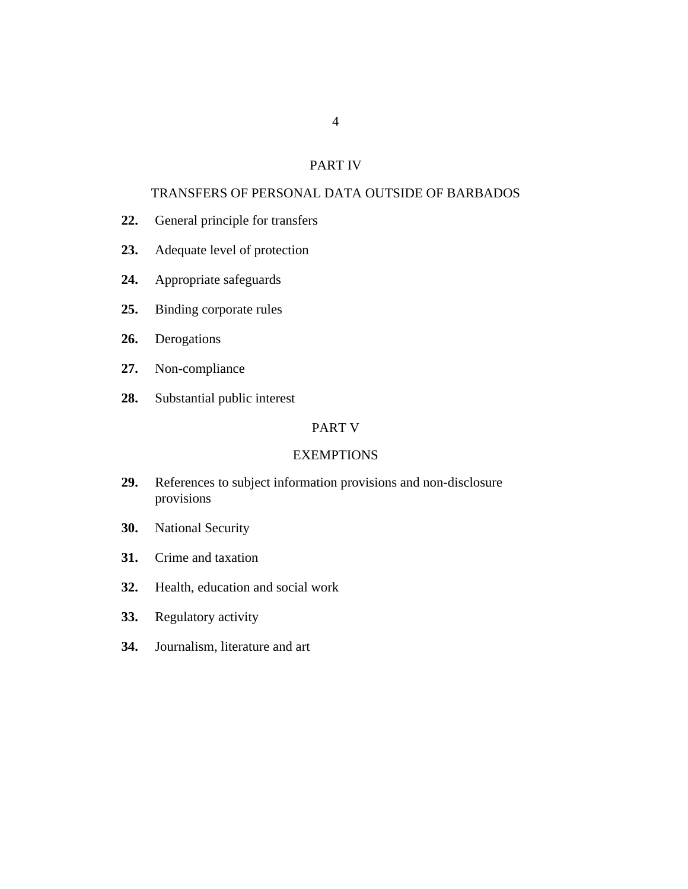#### PART IV

## [TRANSFERS OF PERSONAL DATA OUTSIDE OF BARBADOS](#page-39-0)

- [General principle for transfers](#page-39-0) **22.**
- [Adequate level of protection](#page-39-0) **23.**
- [Appropriate safeguards](#page-40-0) **24.**
- [Binding corporate rules](#page-40-0) **25.**
- [Derogations](#page-43-0) **26.**
- [Non-compliance](#page-44-0) **27.**
- [Substantial public interest](#page-44-0) **28.**

## PART V

#### **[EXEMPTIONS](#page-45-0)**

- [References to subject information provisions and non-disclosure](#page-45-0) provisions **29.**
- [National Security](#page-45-0) **30.**
- [Crime and taxation](#page-45-0) **31.**
- [Health, education and social work](#page-47-0) **32.**
- [Regulatory activity](#page-48-0) **33.**
- [Journalism, literature and art](#page-50-0) **34.**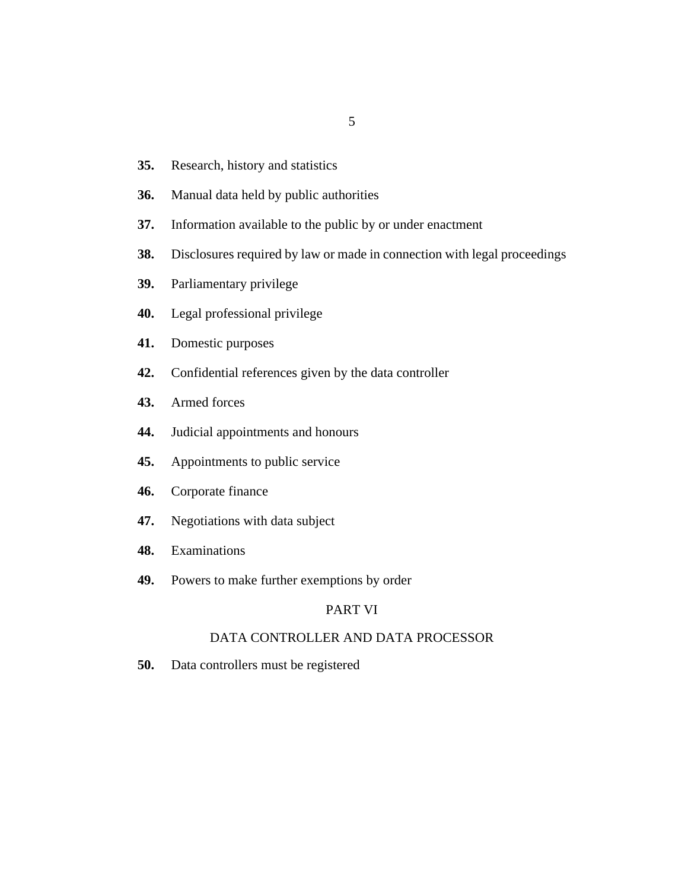- 5
- [Research, history and statistics](#page-51-0) **35.**
- [Manual data held by public authorities](#page-52-0) **36.**
- [Information available to the public by or under enactment](#page-52-0) **37.**
- [Disclosures required by law or made in connection with legal proceedings](#page-53-0) **38.**
- [Parliamentary privilege](#page-53-0) **39.**
- [Legal professional privilege](#page-53-0) **40.**
- [Domestic purposes](#page-53-0) **41.**
- [Confidential references given by the data controller](#page-54-0) **42.**
- [Armed forces](#page-54-0) **43.**
- [Judicial appointments and honours](#page-54-0) **44.**
- [Appointments to public service](#page-54-0) **45.**
- [Corporate finance](#page-55-0) **46.**
- [Negotiations with data subject](#page-56-0) **47.**
- [Examinations](#page-56-0) **48.**
- [Powers to make further exemptions by order](#page-56-0) **49.**

## PART VI

## [DATA CONTROLLER AND DATA PROCESSOR](#page-57-0)

[Data controllers must be registered](#page-57-0) **50.**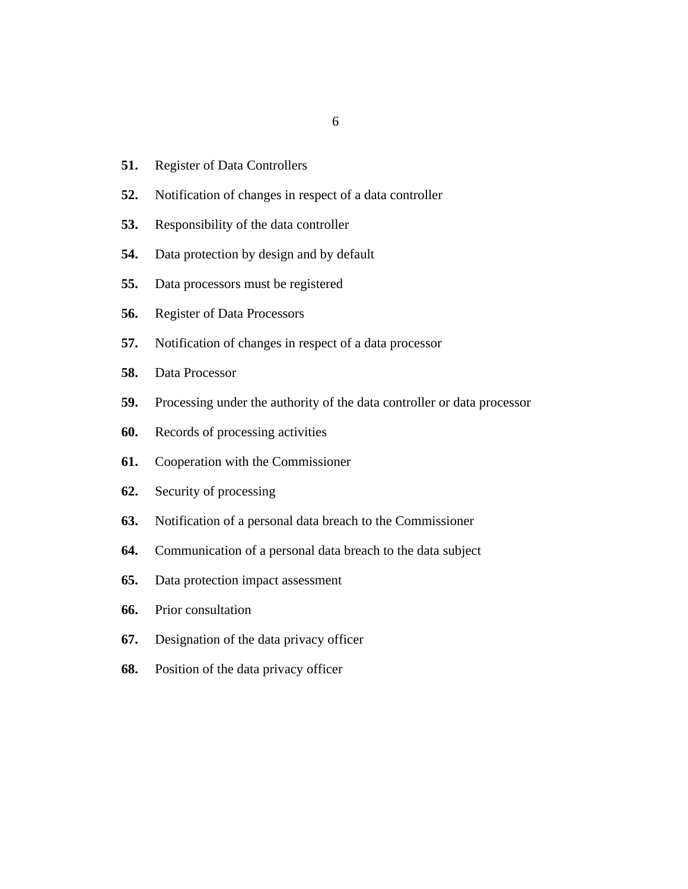- [Register of Data Controllers](#page-58-0) **51.**
- [Notification of changes in respect of a data controller](#page-59-0) **52.**
- [Responsibility of the data controller](#page-59-0) **53.**
- [Data protection by design and by default](#page-59-0) **54.**
- [Data processors must be registered](#page-60-0) **55.**
- [Register of Data Processors](#page-61-0) **56.**
- [Notification of changes in respect of a data processor](#page-62-0) **57.**
- [Data Processor](#page-62-0) **58.**
- [Processing under the authority of the data controller or data processor](#page-65-0) **59.**
- [Records of processing activities](#page-65-0) **60.**
- [Cooperation with the Commissioner](#page-66-0) **61.**
- [Security of processing](#page-66-0) **62.**
- [Notification of a personal data breach to the Commissioner](#page-67-0) **63.**
- [Communication of a personal data breach to the data subject](#page-68-0) **64.**
- [Data protection impact assessment](#page-69-0) **65.**
- [Prior consultation](#page-71-0) **66.**
- [Designation of the data privacy officer](#page-72-0) **67.**
- [Position of the data privacy officer](#page-73-0) **68.**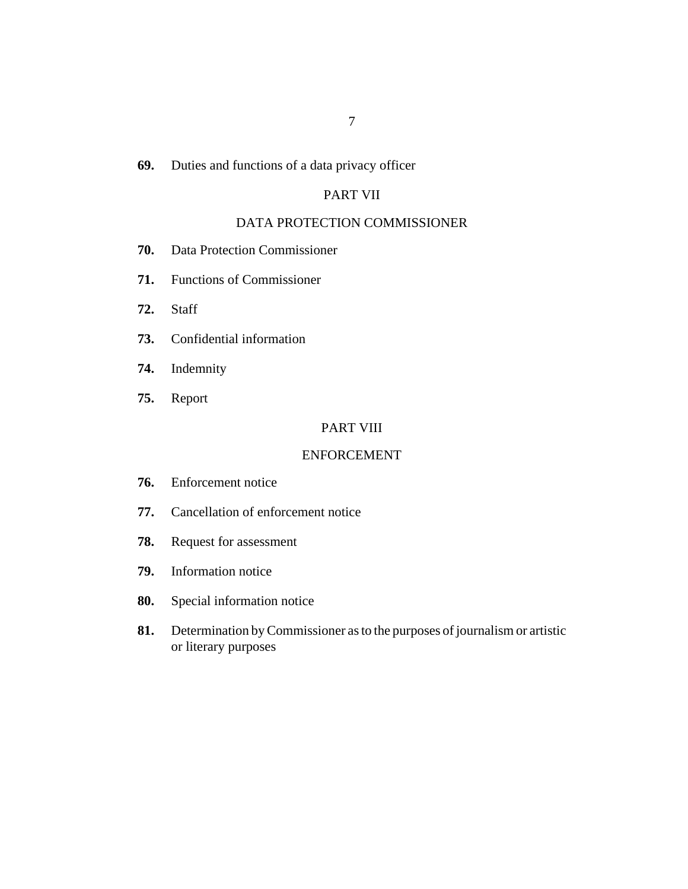#### [Duties and functions of a data privacy officer](#page-74-0) **69.**

## PART VII

## [DATA PROTECTION COMMISSIONER](#page-75-0)

- [Data Protection Commissioner](#page-75-0) **70.**
- [Functions of Commissioner](#page-75-0) **71.**
- [Staff](#page-78-0) **72.**
- [Confidential information](#page-78-0) **73.**
- [Indemnity](#page-79-0) **74.**
- [Report](#page-79-0) **75.**

#### PART VIII

#### [ENFORCEMENT](#page-80-0)

- [Enforcement notice](#page-80-0) **76.**
- [Cancellation of enforcement notice](#page-81-0) **77.**
- [Request for assessment](#page-81-0) **78.**
- [Information notice](#page-82-0) **79.**
- [Special information notice](#page-85-0) **80.**
- [Determination by Commissioner as to the purposes of journalism or artistic](#page-88-0) or literary purposes **81.**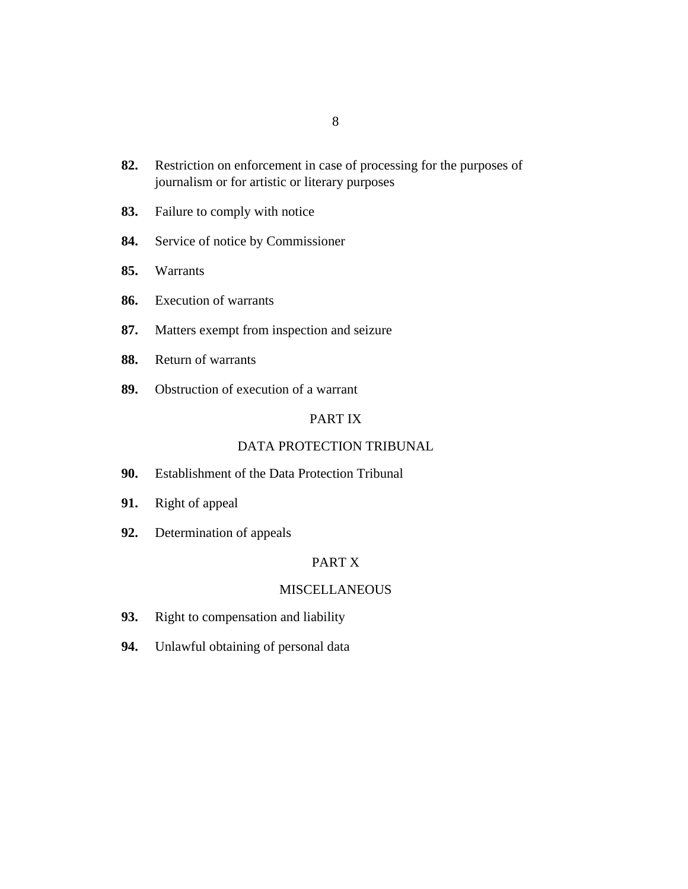- [Restriction on enforcement in case of processing for the purposes of](#page-89-0) journalism or for artistic or literary purposes **82.**
- [Failure to comply with notice](#page-89-0) **83.**
- [Service of notice by Commissioner](#page-90-0) **84.**
- [Warrants](#page-91-0) **85.**
- [Execution of warrants](#page-92-0) **86.**
- [Matters exempt from inspection and seizure](#page-92-0) **87.**
- [Return of warrants](#page-93-0) **88.**
- [Obstruction of execution of a warrant](#page-93-0) **89.**

#### PART IX

#### [DATA PROTECTION TRIBUNAL](#page-94-0)

- [Establishment of the Data Protection Tribunal](#page-94-0) **90.**
- [Right of appeal](#page-94-0) **91.**
- [Determination of appeals](#page-95-0) **92.**

## PART X

## **[MISCELLANEOUS](#page-96-0)**

- [Right to compensation and liability](#page-96-0) **93.**
- [Unlawful obtaining of personal data](#page-96-0) **94.**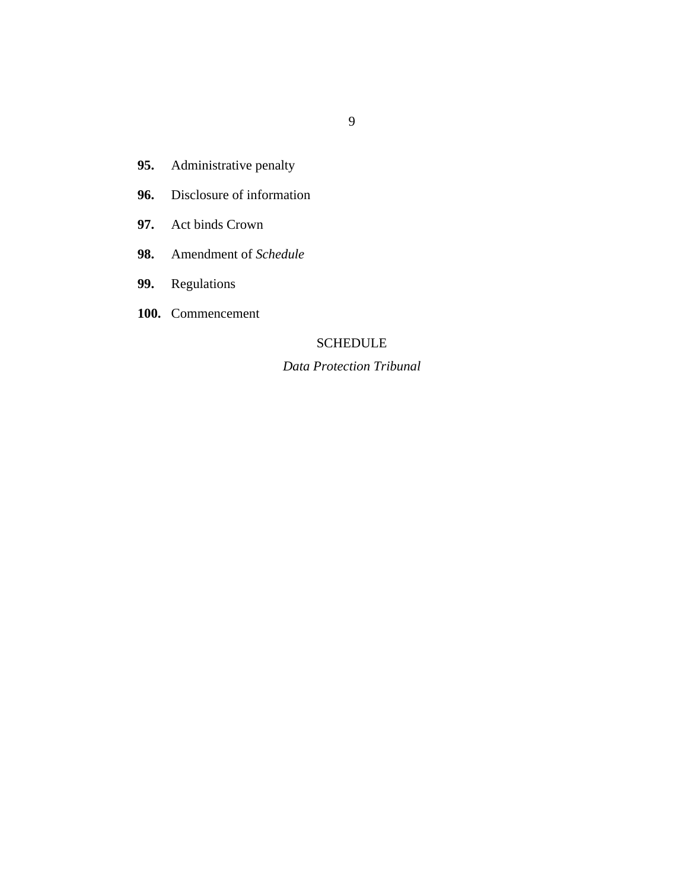- [Administrative penalty](#page-97-0) **95.**
- [Disclosure of information](#page-99-0) **96.**
- [Act binds Crown](#page-99-0) **97.**
- [Amendment of](#page-99-0) *Schedule* **98.**
- [Regulations](#page-99-0) **99.**
- [Commencement](#page-99-0) **100.**

## **SCHEDULE**

## *[Data Protection Tribunal](#page-100-0)*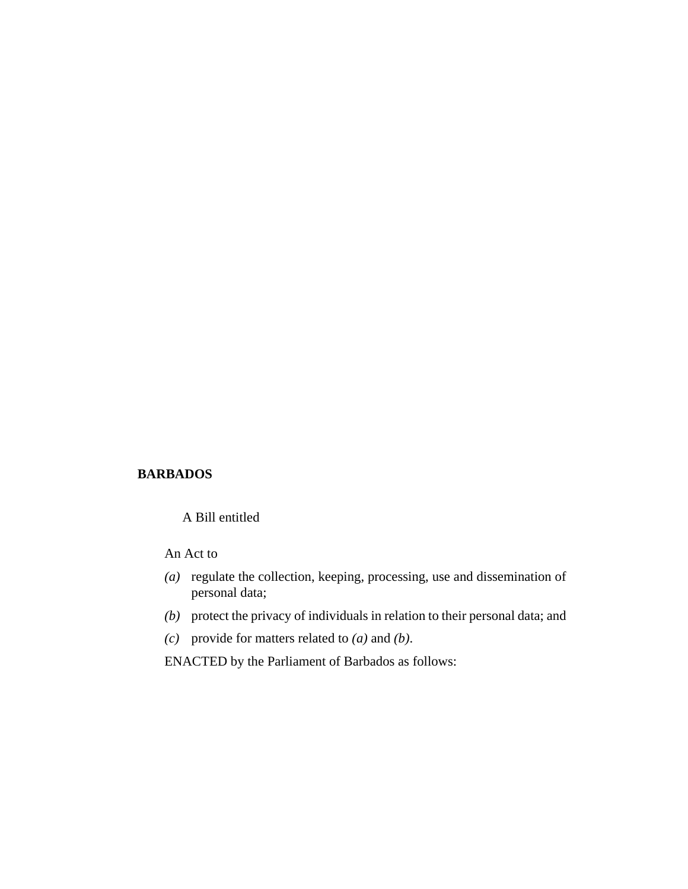## **BARBADOS**

A Bill entitled

An Act to

- (a) regulate the collection, keeping, processing, use and dissemination of personal data;
- protect the privacy of individuals in relation to their personal data; and *(b)*
- (c) provide for matters related to  $(a)$  and  $(b)$ .

ENACTED by the Parliament of Barbados as follows: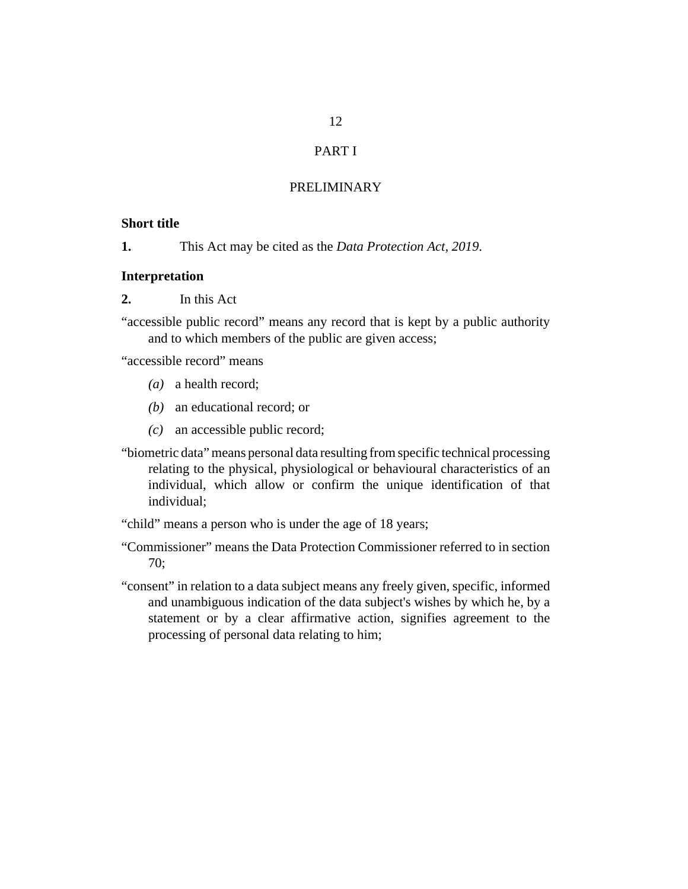## PART I

## PRELIMINARY

#### <span id="page-11-0"></span>**Short title**

This Act may be cited as the *Data Protection Act, 2019*. **1.**

#### **Interpretation**

In this Act **2.**

"accessible public record" means any record that is kept by a public authority and to which members of the public are given access;

"accessible record" means

- (a) a health record;
- an educational record; or *(b)*
- an accessible public record; *(c)*
- "biometric data" means personal data resulting from specific technical processing relating to the physical, physiological or behavioural characteristics of an individual, which allow or confirm the unique identification of that individual;

"child" means a person who is under the age of 18 years;

- "Commissioner" means the Data Protection Commissioner referred to in section 70;
- "consent" in relation to a data subject means any freely given, specific, informed and unambiguous indication of the data subject's wishes by which he, by a statement or by a clear affirmative action, signifies agreement to the processing of personal data relating to him;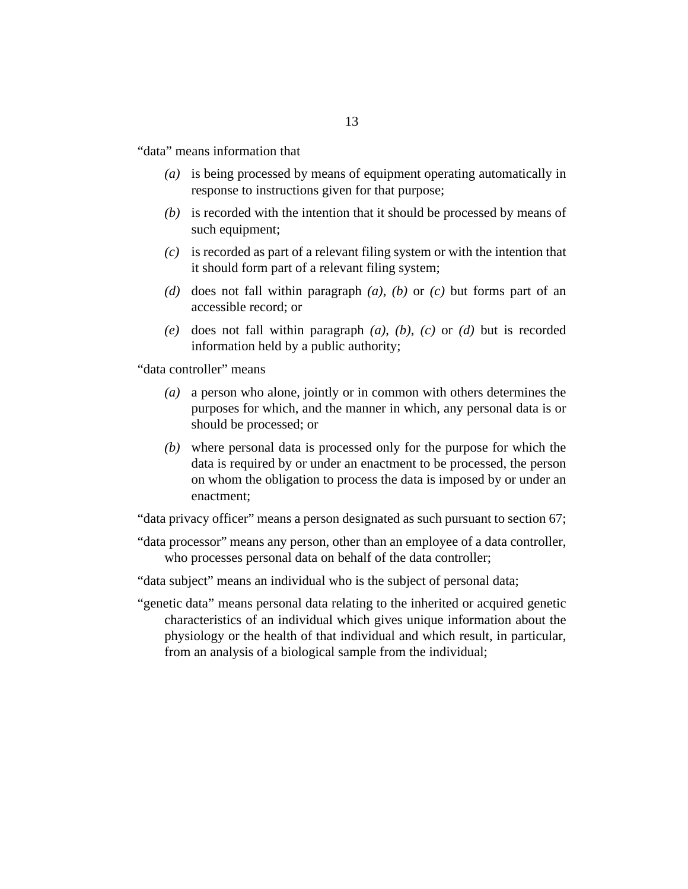"data" means information that

- is being processed by means of equipment operating automatically in *(a)* response to instructions given for that purpose;
- (b) is recorded with the intention that it should be processed by means of such equipment;
- is recorded as part of a relevant filing system or with the intention that *(c)* it should form part of a relevant filing system;
- (d) does not fall within paragraph  $(a)$ ,  $(b)$  or  $(c)$  but forms part of an accessible record; or
- (e) does not fall within paragraph  $(a)$ ,  $(b)$ ,  $(c)$  or  $(d)$  but is recorded information held by a public authority;

"data controller" means

- a person who alone, jointly or in common with others determines the *(a)* purposes for which, and the manner in which, any personal data is or should be processed; or
- where personal data is processed only for the purpose for which the *(b)* data is required by or under an enactment to be processed, the person on whom the obligation to process the data is imposed by or under an enactment;

"data privacy officer" means a person designated as such pursuant to section 67;

- "data processor" means any person, other than an employee of a data controller, who processes personal data on behalf of the data controller;
- "data subject" means an individual who is the subject of personal data;
- "genetic data" means personal data relating to the inherited or acquired genetic characteristics of an individual which gives unique information about the physiology or the health of that individual and which result, in particular, from an analysis of a biological sample from the individual;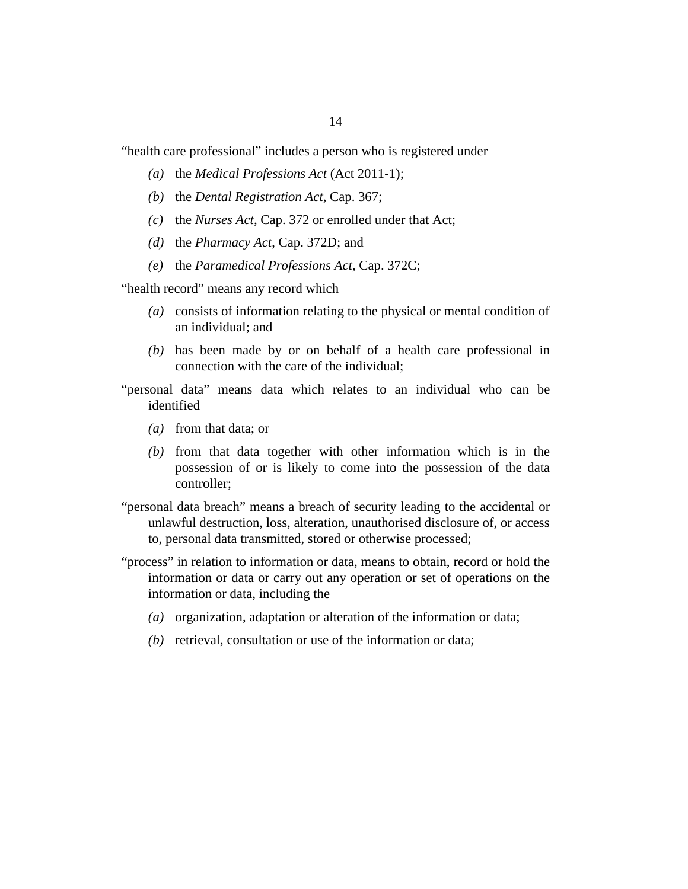"health care professional" includes a person who is registered under

- (a) the *[Medical Professions Act](http://barbadosparliament-laws.com/en/showdoc/cs/2011_1)* (Act 2011-1);
- (b) the *[Dental Registration Act](http://barbadosparliament-laws.com/en/showdoc/cs/367)*, Cap. 367;
- (c) the *[Nurses Act](http://barbadosparliament-laws.com/en/showdoc/cs/372)*, Cap. 372 or enrolled under that Act;
- (*d*) the *[Pharmacy Act](http://barbadosparliament-laws.com/en/showdoc/cs/372D)*, Cap. 372D; and
- the *[Paramedical Professions Act](http://barbadosparliament-laws.com/en/showdoc/cs/372C)*, Cap. 372C; *(e)*

"health record" means any record which

- consists of information relating to the physical or mental condition of *(a)* an individual; and
- $(b)$  has been made by or on behalf of a health care professional in connection with the care of the individual;
- "personal data" means data which relates to an individual who can be identified
	- from that data; or *(a)*
	- $(b)$  from that data together with other information which is in the possession of or is likely to come into the possession of the data controller;
- "personal data breach" means a breach of security leading to the accidental or unlawful destruction, loss, alteration, unauthorised disclosure of, or access to, personal data transmitted, stored or otherwise processed;
- "process" in relation to information or data, means to obtain, record or hold the information or data or carry out any operation or set of operations on the information or data, including the
	- (a) organization, adaptation or alteration of the information or data;
	- (b) retrieval, consultation or use of the information or data;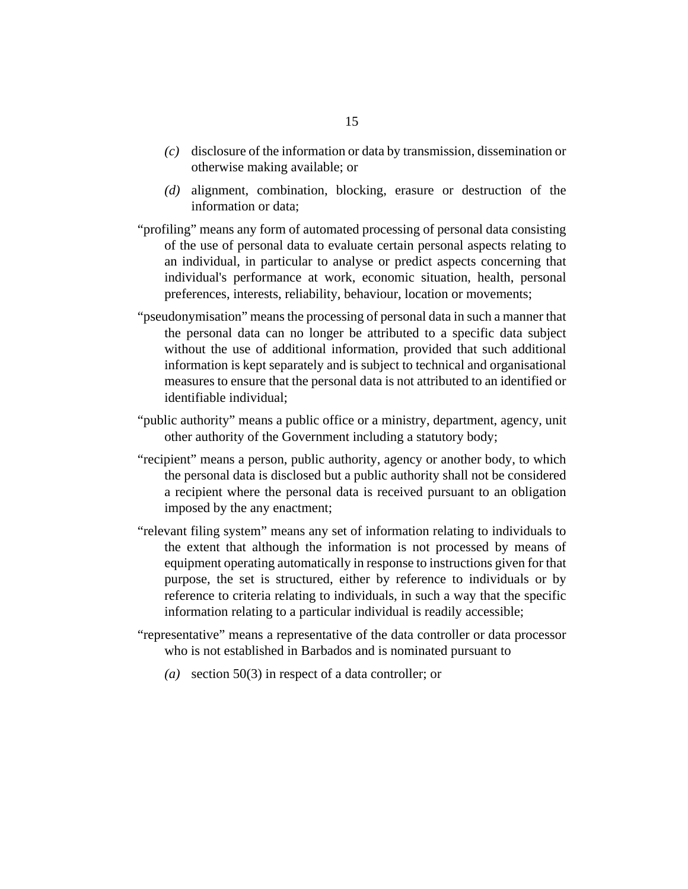- disclosure of the information or data by transmission, dissemination or *(c)* otherwise making available; or
- (d) alignment, combination, blocking, erasure or destruction of the information or data;
- "profiling" means any form of automated processing of personal data consisting of the use of personal data to evaluate certain personal aspects relating to an individual, in particular to analyse or predict aspects concerning that individual's performance at work, economic situation, health, personal preferences, interests, reliability, behaviour, location or movements;
- "pseudonymisation" means the processing of personal data in such a manner that the personal data can no longer be attributed to a specific data subject without the use of additional information, provided that such additional information is kept separately and is subject to technical and organisational measures to ensure that the personal data is not attributed to an identified or identifiable individual;
- "public authority" means a public office or a ministry, department, agency, unit other authority of the Government including a statutory body;
- "recipient" means a person, public authority, agency or another body, to which the personal data is disclosed but a public authority shall not be considered a recipient where the personal data is received pursuant to an obligation imposed by the any enactment;
- "relevant filing system" means any set of information relating to individuals to the extent that although the information is not processed by means of equipment operating automatically in response to instructions given for that purpose, the set is structured, either by reference to individuals or by reference to criteria relating to individuals, in such a way that the specific information relating to a particular individual is readily accessible;
- "representative" means a representative of the data controller or data processor who is not established in Barbados and is nominated pursuant to
	- section 50(3) in respect of a data controller; or *(a)*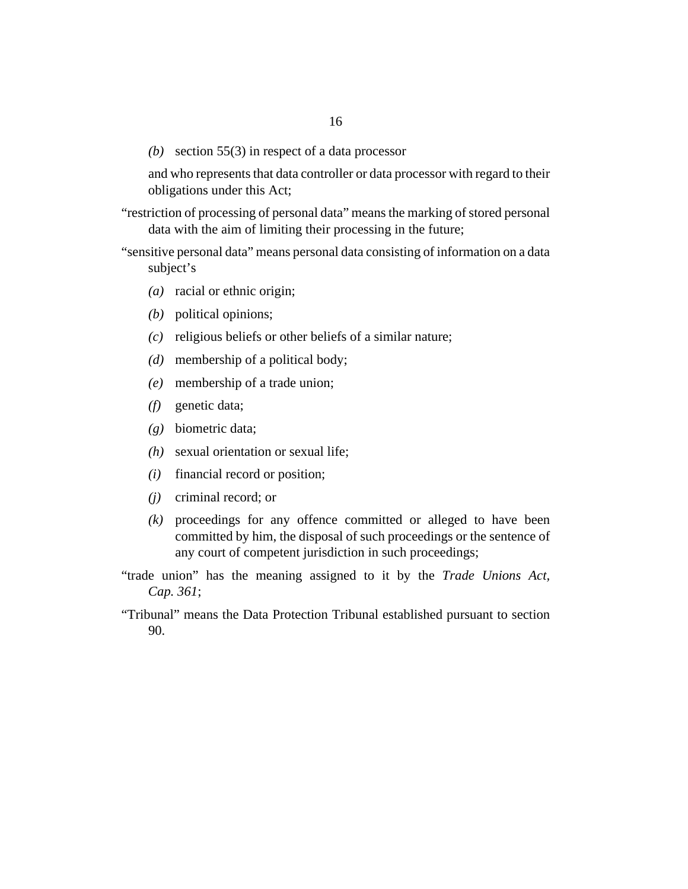section 55(3) in respect of a data processor *(b)*

and who represents that data controller or data processor with regard to their obligations under this Act;

- "restriction of processing of personal data" means the marking of stored personal data with the aim of limiting their processing in the future;
- "sensitive personal data" means personal data consisting of information on a data subject's
	- (a) racial or ethnic origin;
	- political opinions; *(b)*
	- religious beliefs or other beliefs of a similar nature; *(c)*
	- membership of a political body; *(d)*
	- membership of a trade union; *(e)*
	- genetic data; *(f)*
	- biometric data; *(g)*
	- sexual orientation or sexual life; *(h)*
	- financial record or position; *(i)*
	- criminal record; or *(j)*
	- proceedings for any offence committed or alleged to have been *(k)* committed by him, the disposal of such proceedings or the sentence of any court of competent jurisdiction in such proceedings;
- "trade union" has the meaning assigned to it by the *[Trade Unions Act,](http://barbadosparliament-laws.com/en/showdoc/cs/361) [Cap. 361](http://barbadosparliament-laws.com/en/showdoc/cs/361)*;
- "Tribunal" means the Data Protection Tribunal established pursuant to section 90.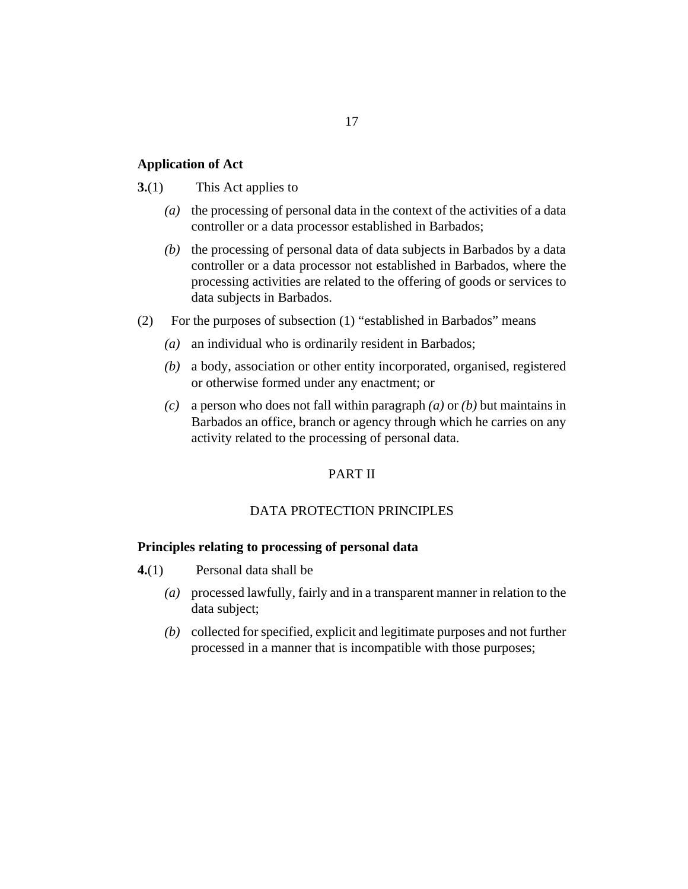## 17

#### <span id="page-16-0"></span>**Application of Act**

#### This Act applies to **3.**(1)

- (a) the processing of personal data in the context of the activities of a data controller or a data processor established in Barbados;
- (b) the processing of personal data of data subjects in Barbados by a data controller or a data processor not established in Barbados, where the processing activities are related to the offering of goods or services to data subjects in Barbados.
- For the purposes of subsection (1) "established in Barbados" means (2)
	- (a) an individual who is ordinarily resident in Barbados;
	- a body, association or other entity incorporated, organised, registered *(b)* or otherwise formed under any enactment; or
	- a person who does not fall within paragraph *(a)* or *(b)* but maintains in *(c)* Barbados an office, branch or agency through which he carries on any activity related to the processing of personal data.

### PART II

#### DATA PROTECTION PRINCIPLES

#### **Principles relating to processing of personal data**

- Personal data shall be **4.**(1)
	- processed lawfully, fairly and in a transparent manner in relation to the *(a)* data subject;
	- collected for specified, explicit and legitimate purposes and not further *(b)* processed in a manner that is incompatible with those purposes;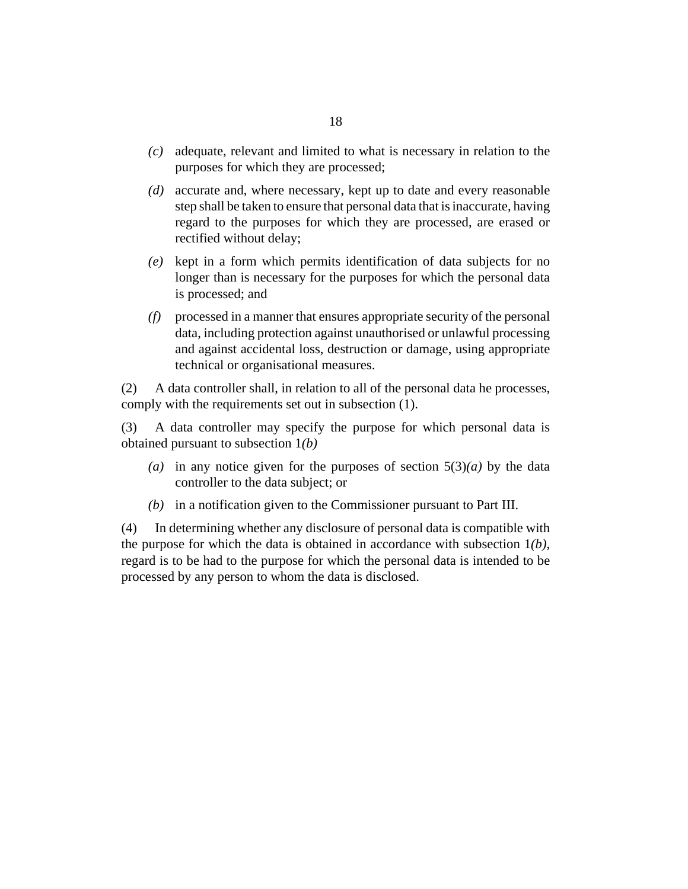- adequate, relevant and limited to what is necessary in relation to the *(c)* purposes for which they are processed;
- accurate and, where necessary, kept up to date and every reasonable *(d)* step shall be taken to ensure that personal data that is inaccurate, having regard to the purposes for which they are processed, are erased or rectified without delay;
- kept in a form which permits identification of data subjects for no *(e)* longer than is necessary for the purposes for which the personal data is processed; and
- processed in a manner that ensures appropriate security of the personal *(f)* data, including protection against unauthorised or unlawful processing and against accidental loss, destruction or damage, using appropriate technical or organisational measures.

A data controller shall, in relation to all of the personal data he processes, comply with the requirements set out in subsection (1). (2)

A data controller may specify the purpose for which personal data is obtained pursuant to subsection 1*(b)* (3)

- (a) in any notice given for the purposes of section  $5(3)(a)$  by the data controller to the data subject; or
- (b) in a notification given to the Commissioner pursuant to Part III.

In determining whether any disclosure of personal data is compatible with the purpose for which the data is obtained in accordance with subsection 1*(b)*, regard is to be had to the purpose for which the personal data is intended to be processed by any person to whom the data is disclosed. (4)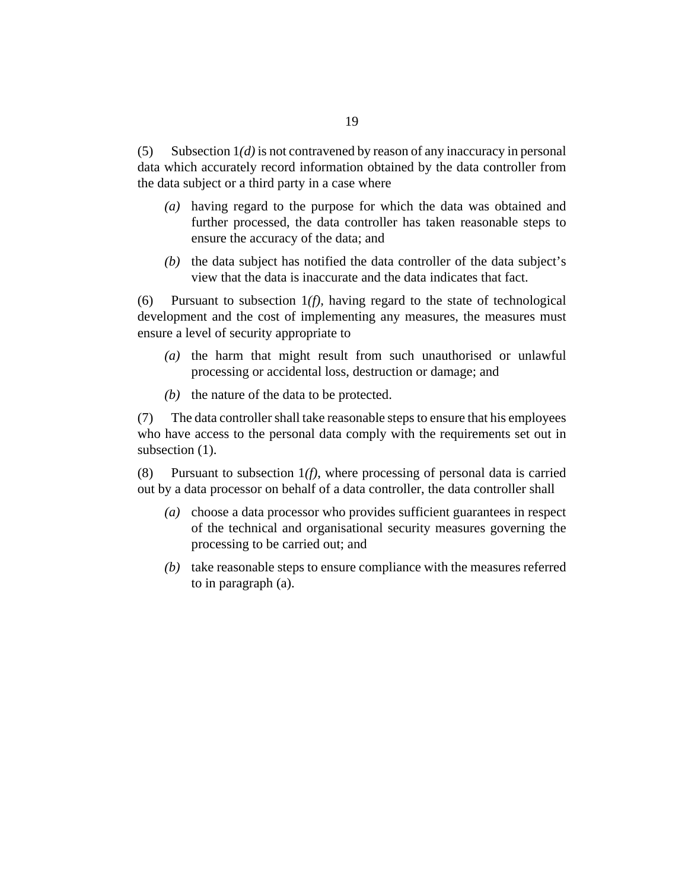Subsection 1*(d)* is not contravened by reason of any inaccuracy in personal data which accurately record information obtained by the data controller from the data subject or a third party in a case where (5)

- having regard to the purpose for which the data was obtained and *(a)* further processed, the data controller has taken reasonable steps to ensure the accuracy of the data; and
- $(b)$  the data subject has notified the data controller of the data subject's view that the data is inaccurate and the data indicates that fact.

Pursuant to subsection 1*(f),* having regard to the state of technological development and the cost of implementing any measures, the measures must ensure a level of security appropriate to (6)

- $(a)$  the harm that might result from such unauthorised or unlawful processing or accidental loss, destruction or damage; and
- $(b)$  the nature of the data to be protected.

The data controller shall take reasonable steps to ensure that his employees who have access to the personal data comply with the requirements set out in subsection  $(1)$ . (7)

Pursuant to subsection 1*(f)*, where processing of personal data is carried out by a data processor on behalf of a data controller, the data controller shall (8)

- (a) choose a data processor who provides sufficient guarantees in respect of the technical and organisational security measures governing the processing to be carried out; and
- (b) take reasonable steps to ensure compliance with the measures referred to in paragraph (a).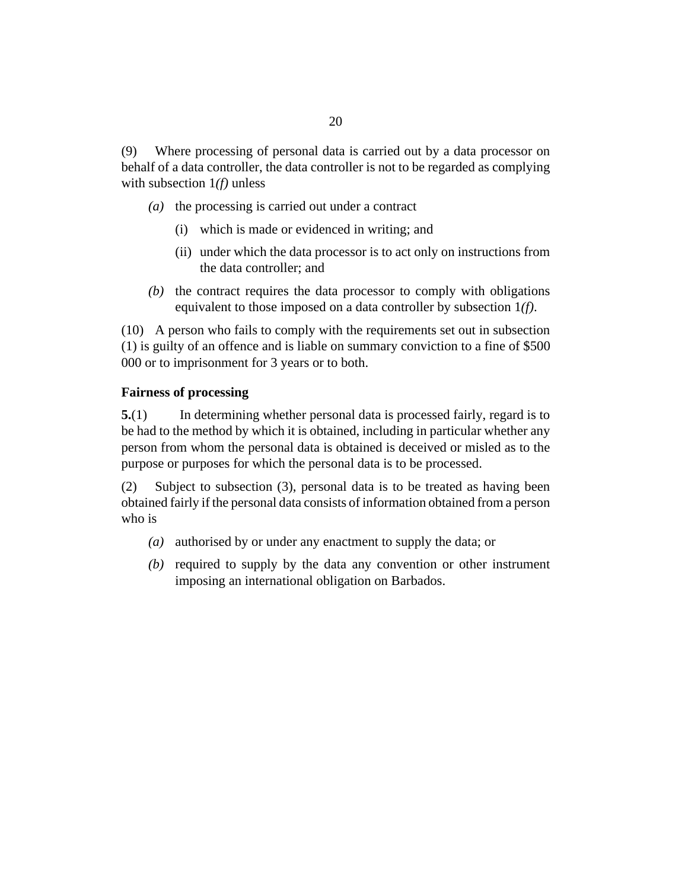<span id="page-19-0"></span>Where processing of personal data is carried out by a data processor on behalf of a data controller, the data controller is not to be regarded as complying with subsection 1*(f)* unless (9)

- ( $a)$ ) the processing is carried out under a contract
	- which is made or evidenced in writing; and (i)
	- (ii) under which the data processor is to act only on instructions from the data controller; and
- $(b)$  the contract requires the data processor to comply with obligations equivalent to those imposed on a data controller by subsection 1*(f)*.

A person who fails to comply with the requirements set out in subsection (10) (1) is guilty of an offence and is liable on summary conviction to a fine of \$500 000 or to imprisonment for 3 years or to both.

## **Fairness of processing**

In determining whether personal data is processed fairly, regard is to be had to the method by which it is obtained, including in particular whether any person from whom the personal data is obtained is deceived or misled as to the purpose or purposes for which the personal data is to be processed. **5.**(1)

Subject to subsection (3), personal data is to be treated as having been obtained fairly if the personal data consists of information obtained from a person who is (2)

- authorised by or under any enactment to supply the data; or *(a)*
- (b) required to supply by the data any convention or other instrument imposing an international obligation on Barbados.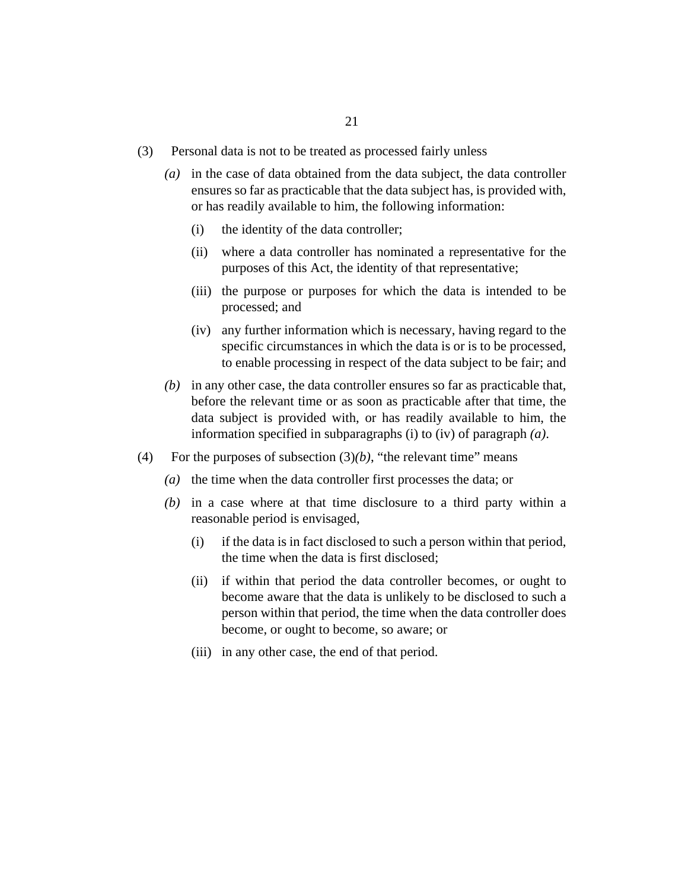- Personal data is not to be treated as processed fairly unless (3)
	- in the case of data obtained from the data subject, the data controller *(a)* ensures so far as practicable that the data subject has, is provided with, or has readily available to him, the following information:
		- the identity of the data controller; (i)
		- where a data controller has nominated a representative for the (ii) purposes of this Act, the identity of that representative;
		- (iii) the purpose or purposes for which the data is intended to be processed; and
		- (iv) any further information which is necessary, having regard to the specific circumstances in which the data is or is to be processed, to enable processing in respect of the data subject to be fair; and
	- in any other case, the data controller ensures so far as practicable that, *(b)* before the relevant time or as soon as practicable after that time, the data subject is provided with, or has readily available to him, the information specified in subparagraphs (i) to (iv) of paragraph *(a)*.
- For the purposes of subsection  $(3)(b)$ , "the relevant time" means (4)
	- $(a)$  the time when the data controller first processes the data; or
	- $(b)$  in a case where at that time disclosure to a third party within a reasonable period is envisaged,
		- if the data is in fact disclosed to such a person within that period, the time when the data is first disclosed; (i)
		- if within that period the data controller becomes, or ought to become aware that the data is unlikely to be disclosed to such a person within that period, the time when the data controller does become, or ought to become, so aware; or (ii)
		- (iii) in any other case, the end of that period.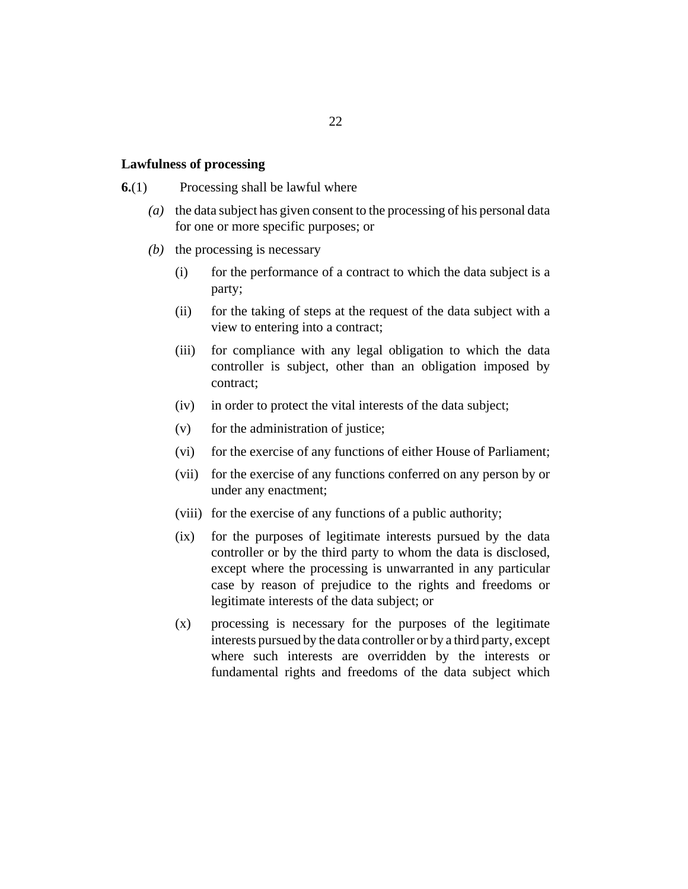#### <span id="page-21-0"></span>**Lawfulness of processing**

- Processing shall be lawful where **6.**(1)
	- the data subject has given consent to the processing of his personal data for one or more specific purposes; or *(a)*
	- $(b)$  the processing is necessary
		- for the performance of a contract to which the data subject is a party; (i)
		- for the taking of steps at the request of the data subject with a view to entering into a contract; (ii)
		- for compliance with any legal obligation to which the data controller is subject, other than an obligation imposed by contract;  $(iii)$
		- in order to protect the vital interests of the data subject;  $(iv)$
		- for the administration of justice; (v)
		- for the exercise of any functions of either House of Parliament; (vi)
		- (vii) for the exercise of any functions conferred on any person by or under any enactment;
		- (viii) for the exercise of any functions of a public authority;
		- for the purposes of legitimate interests pursued by the data controller or by the third party to whom the data is disclosed, except where the processing is unwarranted in any particular case by reason of prejudice to the rights and freedoms or legitimate interests of the data subject; or  $(ix)$
		- processing is necessary for the purposes of the legitimate interests pursued by the data controller or by a third party, except where such interests are overridden by the interests or fundamental rights and freedoms of the data subject which (x)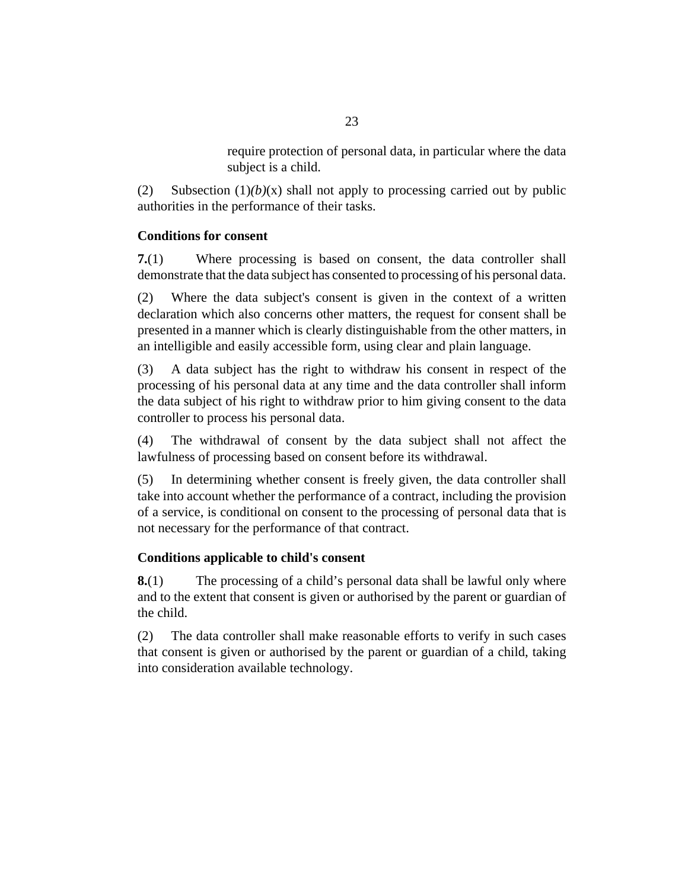require protection of personal data, in particular where the data subject is a child.

<span id="page-22-0"></span>Subsection  $(1)(b)(x)$  shall not apply to processing carried out by public authorities in the performance of their tasks. (2)

## **Conditions for consent**

Where processing is based on consent, the data controller shall demonstrate that the data subject has consented to processing of his personal data. **7.**(1)

Where the data subject's consent is given in the context of a written declaration which also concerns other matters, the request for consent shall be presented in a manner which is clearly distinguishable from the other matters, in an intelligible and easily accessible form, using clear and plain language. (2)

A data subject has the right to withdraw his consent in respect of the processing of his personal data at any time and the data controller shall inform the data subject of his right to withdraw prior to him giving consent to the data controller to process his personal data. (3)

The withdrawal of consent by the data subject shall not affect the lawfulness of processing based on consent before its withdrawal. (4)

In determining whether consent is freely given, the data controller shall take into account whether the performance of a contract, including the provision of a service, is conditional on consent to the processing of personal data that is not necessary for the performance of that contract. (5)

#### **Conditions applicable to child's consent**

The processing of a child's personal data shall be lawful only where and to the extent that consent is given or authorised by the parent or guardian of the child. **8.**(1)

The data controller shall make reasonable efforts to verify in such cases that consent is given or authorised by the parent or guardian of a child, taking into consideration available technology. (2)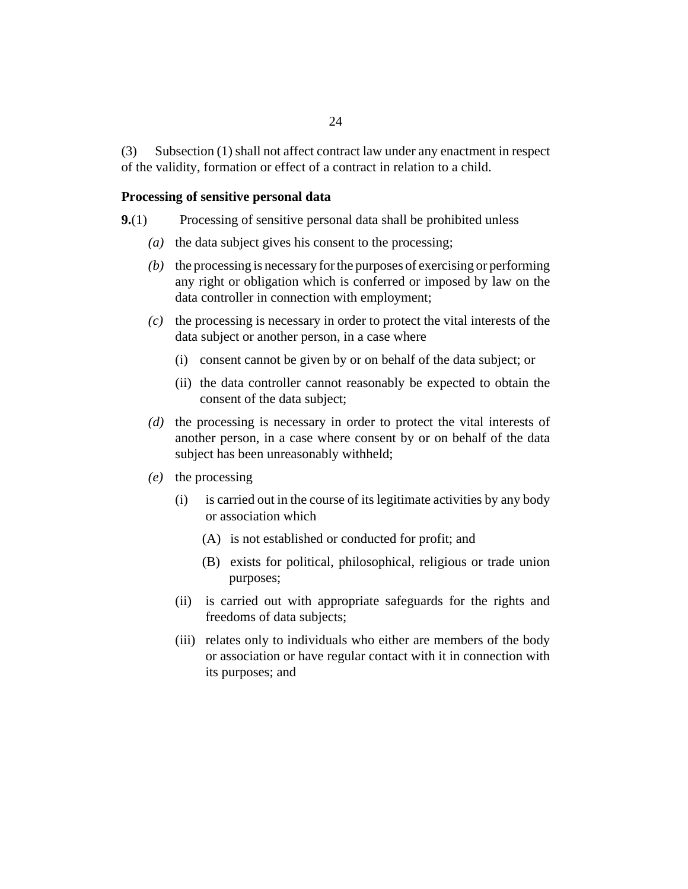<span id="page-23-0"></span>Subsection (1) shall not affect contract law under any enactment in respect of the validity, formation or effect of a contract in relation to a child. (3)

#### **Processing of sensitive personal data**

- Processing of sensitive personal data shall be prohibited unless **9.**(1)
	- ( $a$ ) the data subject gives his consent to the processing;
	- (b) the processing is necessary for the purposes of exercising or performing any right or obligation which is conferred or imposed by law on the data controller in connection with employment;
	- $(c)$  the processing is necessary in order to protect the vital interests of the data subject or another person, in a case where
		- (i) consent cannot be given by or on behalf of the data subject; or
		- (ii) the data controller cannot reasonably be expected to obtain the consent of the data subject;
	- (d) the processing is necessary in order to protect the vital interests of another person, in a case where consent by or on behalf of the data subject has been unreasonably withheld;
	- the processing *(e)*
		- is carried out in the course of its legitimate activities by any body or association which (i)
			- (A) is not established or conducted for profit; and
			- (B) exists for political, philosophical, religious or trade union purposes;
		- (ii) is carried out with appropriate safeguards for the rights and freedoms of data subjects;
		- (iii) relates only to individuals who either are members of the body or association or have regular contact with it in connection with its purposes; and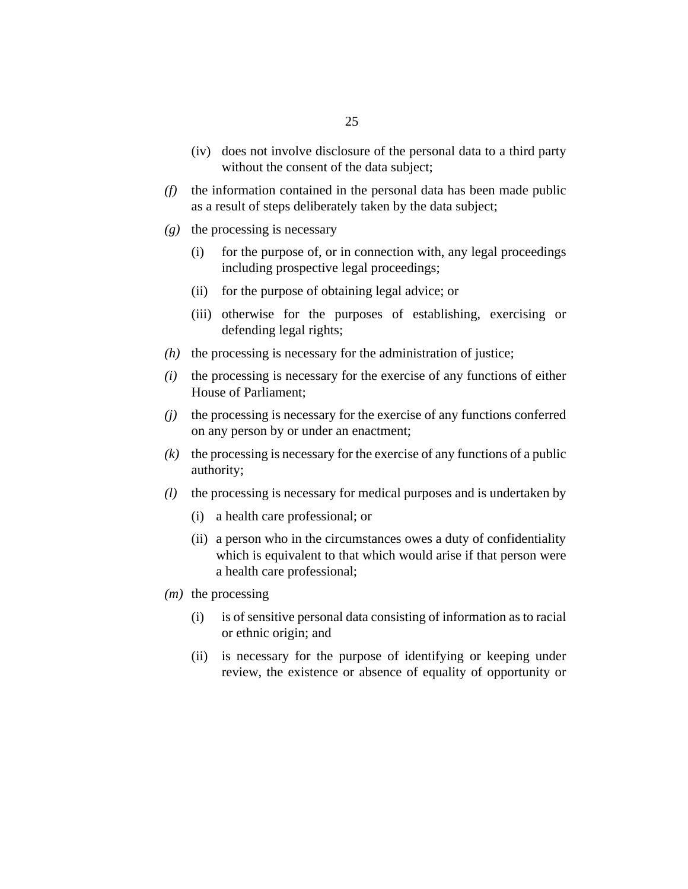- (iv) does not involve disclosure of the personal data to a third party without the consent of the data subject;
- $(f)$  the information contained in the personal data has been made public as a result of steps deliberately taken by the data subject;
- the processing is necessary *(g)*
	- for the purpose of, or in connection with, any legal proceedings including prospective legal proceedings; (i)
	- (ii) for the purpose of obtaining legal advice; or
	- (iii) otherwise for the purposes of establishing, exercising or defending legal rights;
- $(h)$  the processing is necessary for the administration of justice;
- the processing is necessary for the exercise of any functions of either House of Parliament; *(i)*
- (*j*) the processing is necessary for the exercise of any functions conferred on any person by or under an enactment;
- $(k)$  the processing is necessary for the exercise of any functions of a public authority;
- the processing is necessary for medical purposes and is undertaken by *(l)*
	- a health care professional; or (i)
	- (ii) a person who in the circumstances owes a duty of confidentiality which is equivalent to that which would arise if that person were a health care professional;
- (*m*) the processing
	- is of sensitive personal data consisting of information as to racial or ethnic origin; and (i)
	- (ii) is necessary for the purpose of identifying or keeping under review, the existence or absence of equality of opportunity or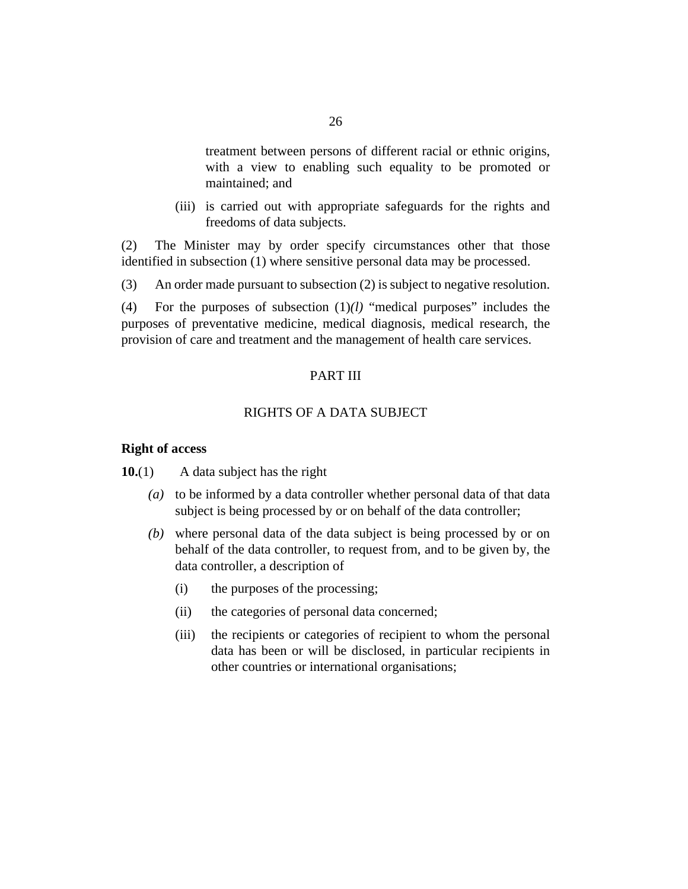<span id="page-25-0"></span>treatment between persons of different racial or ethnic origins, with a view to enabling such equality to be promoted or maintained; and

(iii) is carried out with appropriate safeguards for the rights and freedoms of data subjects.

The Minister may by order specify circumstances other that those identified in subsection (1) where sensitive personal data may be processed. (2)

An order made pursuant to subsection (2) is subject to negative resolution. (3)

For the purposes of subsection  $(1)(l)$  "medical purposes" includes the purposes of preventative medicine, medical diagnosis, medical research, the provision of care and treatment and the management of health care services. (4)

## PART III

#### RIGHTS OF A DATA SUBJECT

#### **Right of access**

A data subject has the right **10.**(1)

- to be informed by a data controller whether personal data of that data *(a)* subject is being processed by or on behalf of the data controller;
- where personal data of the data subject is being processed by or on *(b)* behalf of the data controller, to request from, and to be given by, the data controller, a description of
	- the purposes of the processing; (i)
	- the categories of personal data concerned; (ii)
	- the recipients or categories of recipient to whom the personal data has been or will be disclosed, in particular recipients in other countries or international organisations; (iii)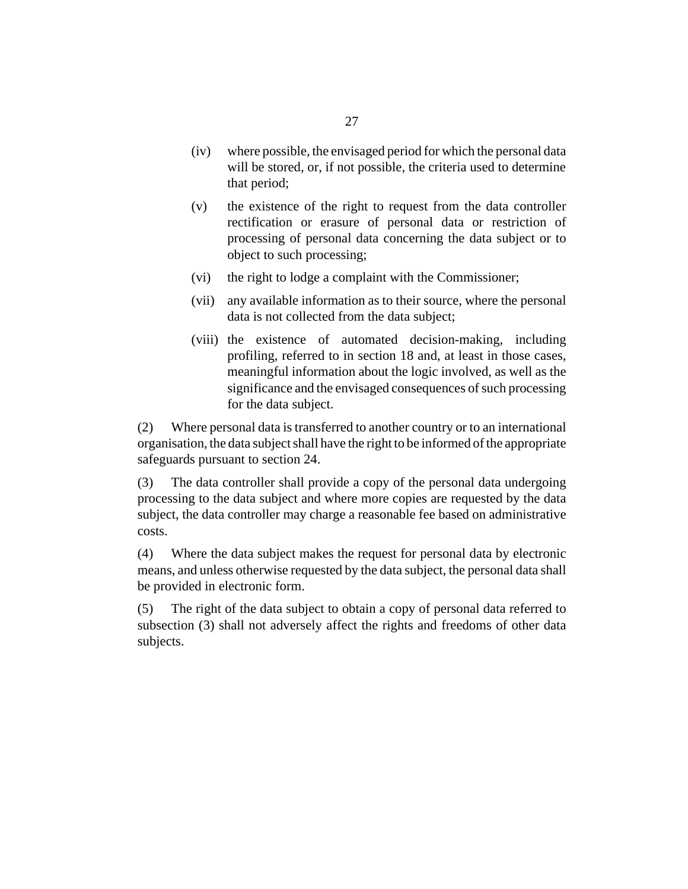- where possible, the envisaged period for which the personal data will be stored, or, if not possible, the criteria used to determine that period;  $(iv)$
- the existence of the right to request from the data controller rectification or erasure of personal data or restriction of processing of personal data concerning the data subject or to object to such processing; (v)
- the right to lodge a complaint with the Commissioner; (vi)
- (vii) any available information as to their source, where the personal data is not collected from the data subject;
- (viii) the existence of automated decision-making, including profiling, referred to in section 18 and, at least in those cases, meaningful information about the logic involved, as well as the significance and the envisaged consequences of such processing for the data subject.

Where personal data is transferred to another country or to an international organisation, the data subject shall have the right to be informed of the appropriate safeguards pursuant to section 24. (2)

The data controller shall provide a copy of the personal data undergoing processing to the data subject and where more copies are requested by the data subject, the data controller may charge a reasonable fee based on administrative costs. (3)

Where the data subject makes the request for personal data by electronic means, and unless otherwise requested by the data subject, the personal data shall be provided in electronic form. (4)

The right of the data subject to obtain a copy of personal data referred to subsection (3) shall not adversely affect the rights and freedoms of other data subjects. (5)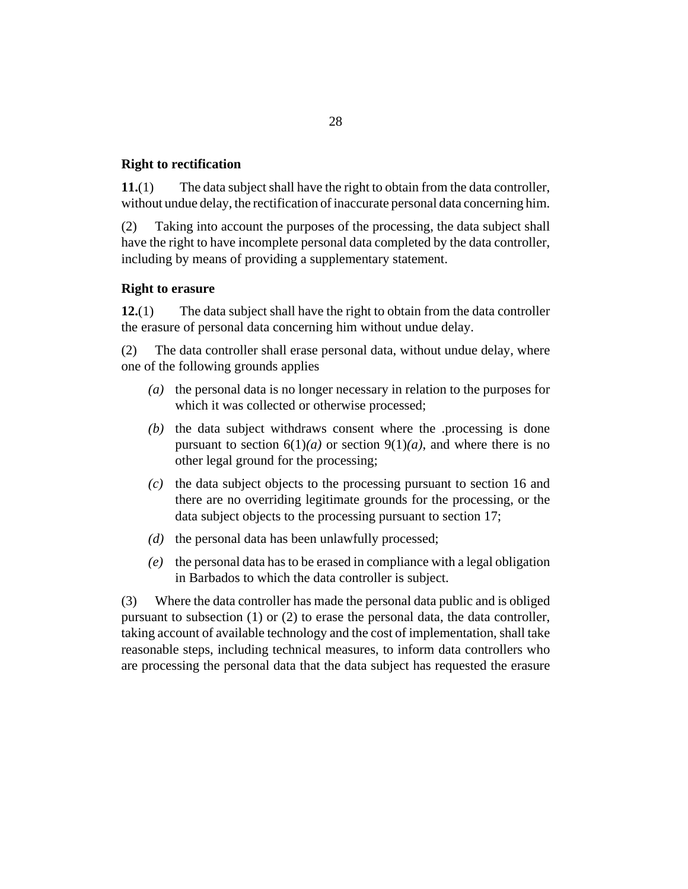## <span id="page-27-0"></span>**Right to rectification**

The data subject shall have the right to obtain from the data controller, without undue delay, the rectification of inaccurate personal data concerning him. **11.**(1)

Taking into account the purposes of the processing, the data subject shall have the right to have incomplete personal data completed by the data controller, including by means of providing a supplementary statement. (2)

## **Right to erasure**

The data subject shall have the right to obtain from the data controller the erasure of personal data concerning him without undue delay. **12.**(1)

The data controller shall erase personal data, without undue delay, where one of the following grounds applies (2)

- (a) the personal data is no longer necessary in relation to the purposes for which it was collected or otherwise processed;
- $(t)$  the data subject withdraws consent where the .processing is done pursuant to section  $6(1)(a)$  or section  $9(1)(a)$ , and where there is no other legal ground for the processing;
- (c) the data subject objects to the processing pursuant to section 16 and there are no overriding legitimate grounds for the processing, or the data subject objects to the processing pursuant to section 17;
- $(d)$  the personal data has been unlawfully processed;
- the personal data has to be erased in compliance with a legal obligation *(e)* in Barbados to which the data controller is subject.

Where the data controller has made the personal data public and is obliged pursuant to subsection (1) or (2) to erase the personal data, the data controller, taking account of available technology and the cost of implementation, shall take reasonable steps, including technical measures, to inform data controllers who are processing the personal data that the data subject has requested the erasure (3)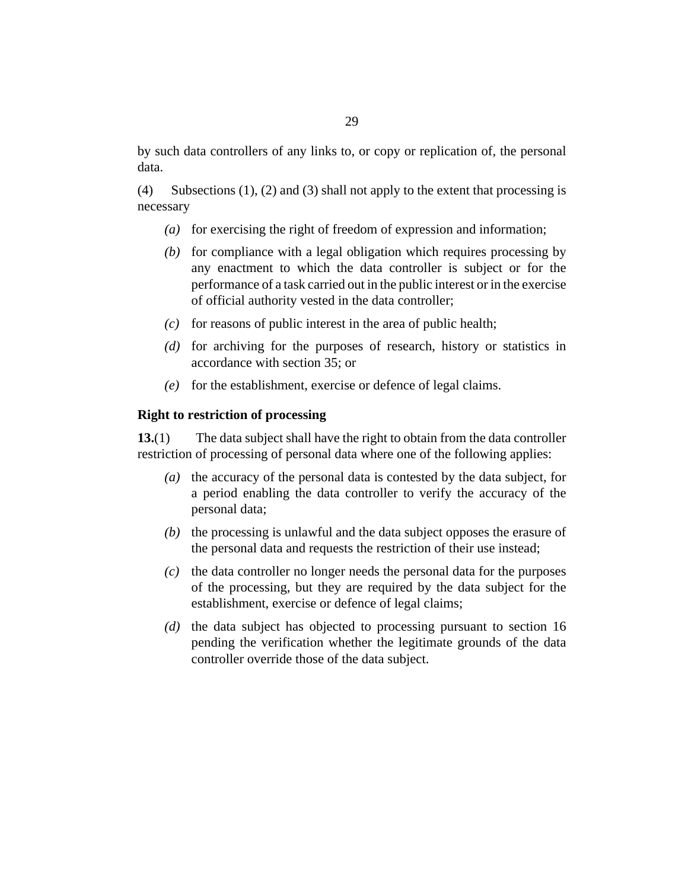<span id="page-28-0"></span>Subsections (1), (2) and (3) shall not apply to the extent that processing is necessary (4)

- (a) for exercising the right of freedom of expression and information;
- (b) for compliance with a legal obligation which requires processing by any enactment to which the data controller is subject or for the performance of a task carried out in the public interest or in the exercise of official authority vested in the data controller;
- $\alpha$  for reasons of public interest in the area of public health;
- (d) for archiving for the purposes of research, history or statistics in accordance with section 35; or
- for the establishment, exercise or defence of legal claims. *(e)*

## **Right to restriction of processing**

The data subject shall have the right to obtain from the data controller restriction of processing of personal data where one of the following applies: **13.**(1)

- (a) the accuracy of the personal data is contested by the data subject, for a period enabling the data controller to verify the accuracy of the personal data;
- $(b)$  the processing is unlawful and the data subject opposes the erasure of the personal data and requests the restriction of their use instead;
- (c) the data controller no longer needs the personal data for the purposes of the processing, but they are required by the data subject for the establishment, exercise or defence of legal claims;
- (d) the data subject has objected to processing pursuant to section 16 pending the verification whether the legitimate grounds of the data controller override those of the data subject.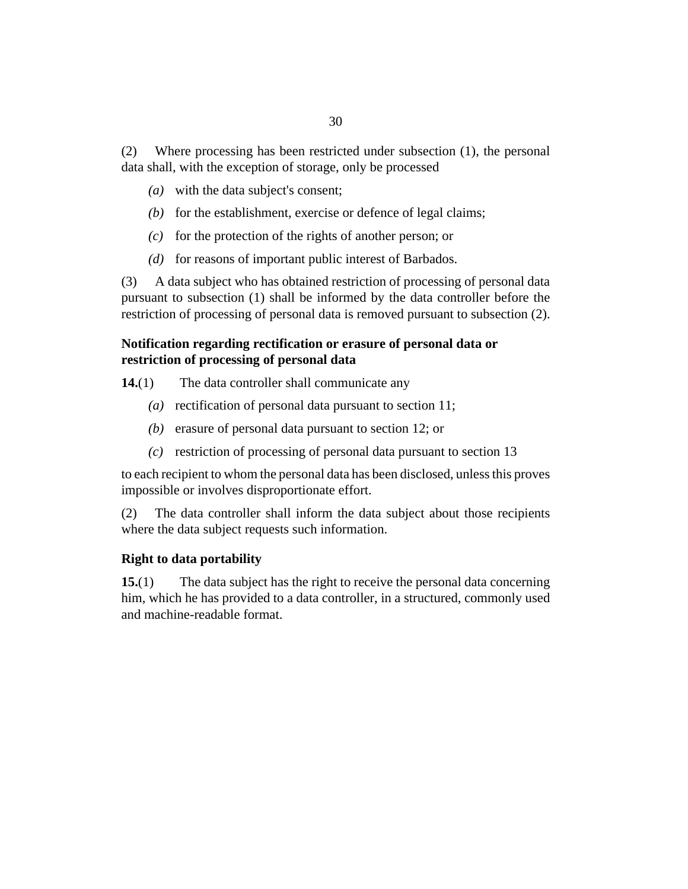<span id="page-29-0"></span>Where processing has been restricted under subsection (1), the personal data shall, with the exception of storage, only be processed (2)

- with the data subject's consent; *(a)*
- (b) for the establishment, exercise or defence of legal claims;
- $f(c)$  for the protection of the rights of another person; or
- (d) for reasons of important public interest of Barbados.

A data subject who has obtained restriction of processing of personal data pursuant to subsection (1) shall be informed by the data controller before the restriction of processing of personal data is removed pursuant to subsection (2). (3)

## **Notification regarding rectification or erasure of personal data or restriction of processing of personal data**

- The data controller shall communicate any **14.**(1)
	- (a) rectification of personal data pursuant to section 11;
	- (b) erasure of personal data pursuant to section 12; or
	- restriction of processing of personal data pursuant to section 13 *(c)*

to each recipient to whom the personal data has been disclosed, unless this proves impossible or involves disproportionate effort.

The data controller shall inform the data subject about those recipients where the data subject requests such information. (2)

#### **Right to data portability**

The data subject has the right to receive the personal data concerning him, which he has provided to a data controller, in a structured, commonly used and machine-readable format. **15.**(1)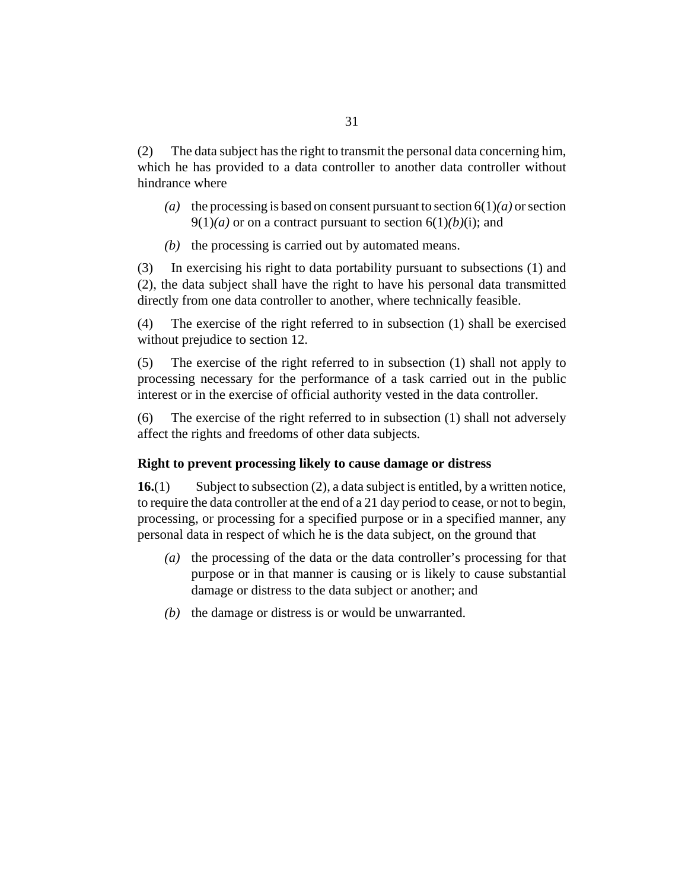<span id="page-30-0"></span>The data subject has the right to transmit the personal data concerning him, which he has provided to a data controller to another data controller without hindrance where (2)

- (a) the processing is based on consent pursuant to section  $6(1)(a)$  or section  $9(1)(a)$  or on a contract pursuant to section  $6(1)(b)(i)$ ; and
- $(b)$  the processing is carried out by automated means.

In exercising his right to data portability pursuant to subsections (1) and (2), the data subject shall have the right to have his personal data transmitted directly from one data controller to another, where technically feasible. (3)

The exercise of the right referred to in subsection (1) shall be exercised without prejudice to section 12. (4)

The exercise of the right referred to in subsection (1) shall not apply to processing necessary for the performance of a task carried out in the public interest or in the exercise of official authority vested in the data controller. (5)

The exercise of the right referred to in subsection (1) shall not adversely affect the rights and freedoms of other data subjects. (6)

#### **Right to prevent processing likely to cause damage or distress**

Subject to subsection (2), a data subject is entitled, by a written notice, to require the data controller at the end of a 21 day period to cease, or not to begin, processing, or processing for a specified purpose or in a specified manner, any personal data in respect of which he is the data subject, on the ground that **16.**(1)

- (a) the processing of the data or the data controller's processing for that purpose or in that manner is causing or is likely to cause substantial damage or distress to the data subject or another; and
- $(b)$  the damage or distress is or would be unwarranted.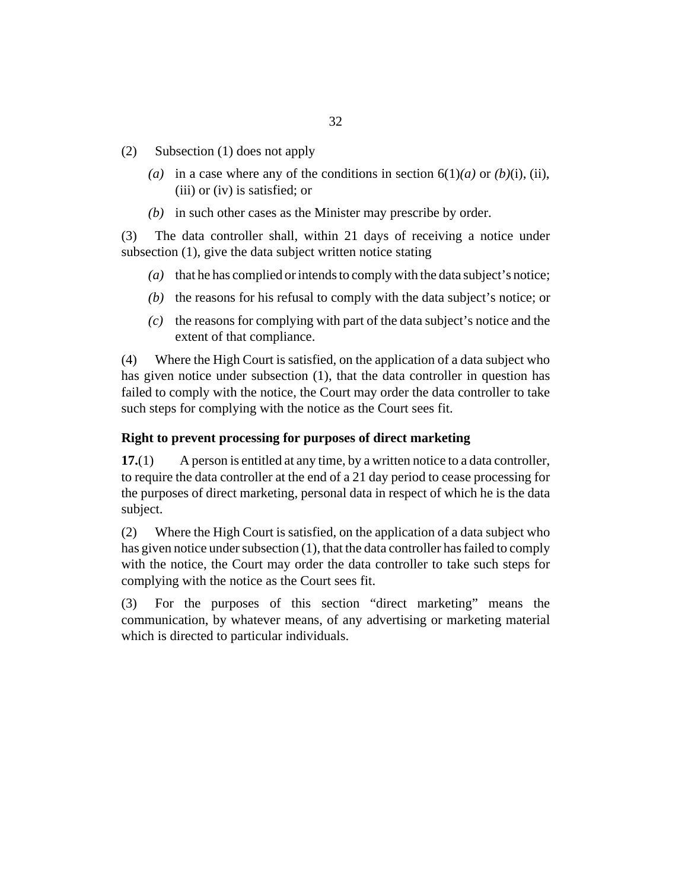- <span id="page-31-0"></span>Subsection (1) does not apply (2)
	- (a) in a case where any of the conditions in section  $6(1)(a)$  or  $(b)(i)$ , (ii), (iii) or (iv) is satisfied; or
	- (b) in such other cases as the Minister may prescribe by order.

The data controller shall, within 21 days of receiving a notice under subsection (1), give the data subject written notice stating (3)

- (a) that he has complied or intends to comply with the data subject's notice;
- $(t)$  the reasons for his refusal to comply with the data subject's notice; or
- $(c)$  the reasons for complying with part of the data subject's notice and the extent of that compliance.

Where the High Court is satisfied, on the application of a data subject who has given notice under subsection (1), that the data controller in question has failed to comply with the notice, the Court may order the data controller to take such steps for complying with the notice as the Court sees fit. (4)

#### **Right to prevent processing for purposes of direct marketing**

A person is entitled at any time, by a written notice to a data controller, to require the data controller at the end of a 21 day period to cease processing for the purposes of direct marketing, personal data in respect of which he is the data subject. **17.**(1)

Where the High Court is satisfied, on the application of a data subject who has given notice under subsection (1), that the data controller has failed to comply with the notice, the Court may order the data controller to take such steps for complying with the notice as the Court sees fit. (2)

For the purposes of this section "direct marketing" means the communication, by whatever means, of any advertising or marketing material which is directed to particular individuals. (3)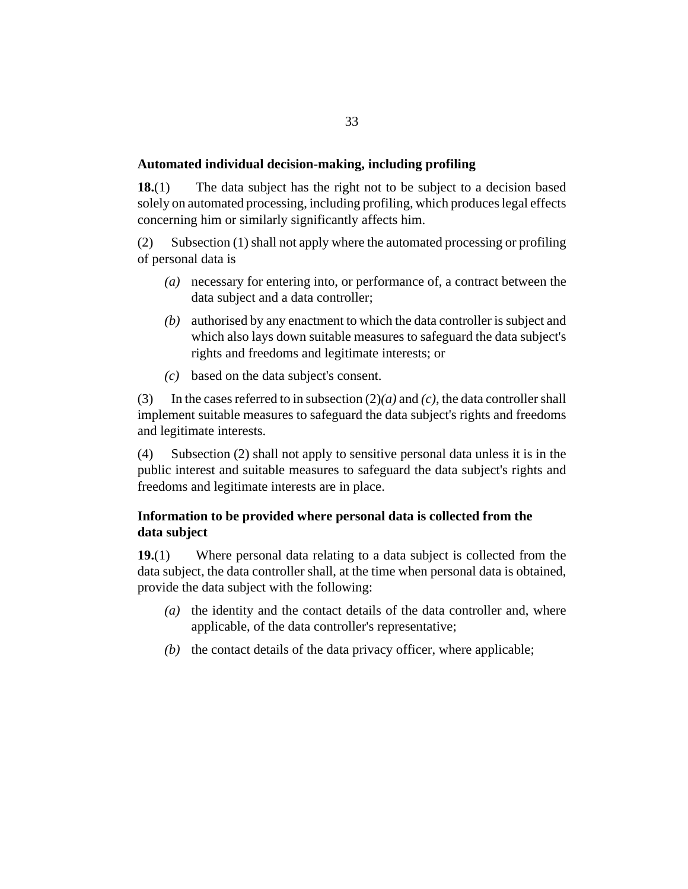#### <span id="page-32-0"></span>**Automated individual decision-making, including profiling**

The data subject has the right not to be subject to a decision based solely on automated processing, including profiling, which produces legal effects concerning him or similarly significantly affects him. **18.**(1)

Subsection (1) shall not apply where the automated processing or profiling of personal data is (2)

- necessary for entering into, or performance of, a contract between the *(a)* data subject and a data controller;
- authorised by any enactment to which the data controller is subject and *(b)* which also lays down suitable measures to safeguard the data subject's rights and freedoms and legitimate interests; or
- based on the data subject's consent. *(c)*

In the cases referred to in subsection (2)*(a)* and *(c)*, the data controller shall implement suitable measures to safeguard the data subject's rights and freedoms and legitimate interests. (3)

Subsection (2) shall not apply to sensitive personal data unless it is in the public interest and suitable measures to safeguard the data subject's rights and freedoms and legitimate interests are in place. (4)

## **Information to be provided where personal data is collected from the data subject**

Where personal data relating to a data subject is collected from the data subject, the data controller shall, at the time when personal data is obtained, provide the data subject with the following: **19.**(1)

- (a) the identity and the contact details of the data controller and, where applicable, of the data controller's representative;
- $(b)$  the contact details of the data privacy officer, where applicable;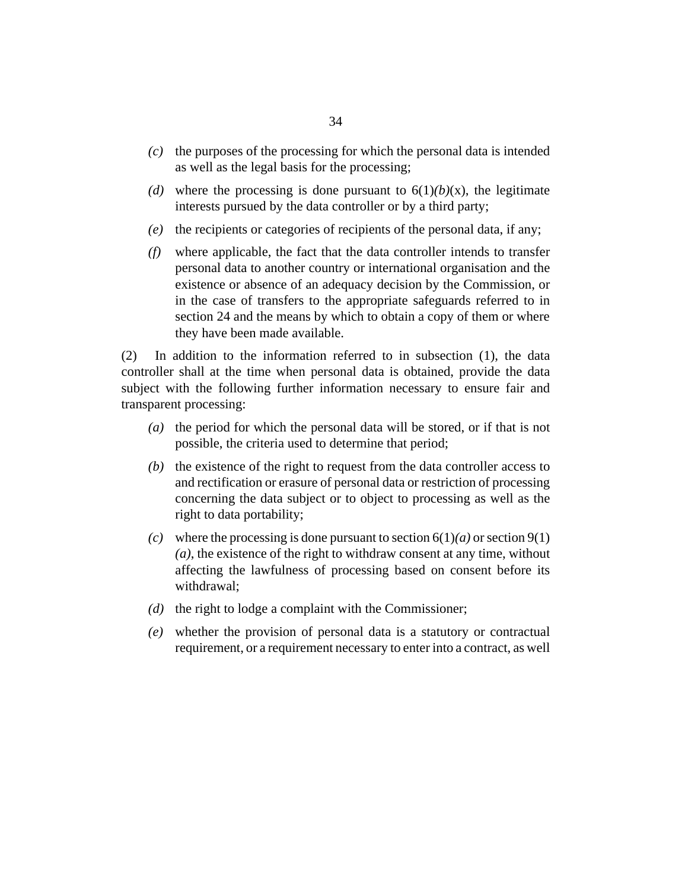- $\alpha$  the purposes of the processing for which the personal data is intended as well as the legal basis for the processing;
- (d) where the processing is done pursuant to  $6(1)(b)(x)$ , the legitimate interests pursued by the data controller or by a third party;
- (e) the recipients or categories of recipients of the personal data, if any;
- where applicable, the fact that the data controller intends to transfer *(f)* personal data to another country or international organisation and the existence or absence of an adequacy decision by the Commission, or in the case of transfers to the appropriate safeguards referred to in section 24 and the means by which to obtain a copy of them or where they have been made available.

In addition to the information referred to in subsection (1), the data controller shall at the time when personal data is obtained, provide the data subject with the following further information necessary to ensure fair and transparent processing: (2)

- (a) the period for which the personal data will be stored, or if that is not possible, the criteria used to determine that period;
- $(b)$  the existence of the right to request from the data controller access to and rectification or erasure of personal data or restriction of processing concerning the data subject or to object to processing as well as the right to data portability;
- (c) where the processing is done pursuant to section  $6(1)(a)$  or section  $9(1)$ *(a)*, the existence of the right to withdraw consent at any time, without affecting the lawfulness of processing based on consent before its withdrawal;
- ( $d$ ) the right to lodge a complaint with the Commissioner;
- whether the provision of personal data is a statutory or contractual *(e)* requirement, or a requirement necessary to enter into a contract, as well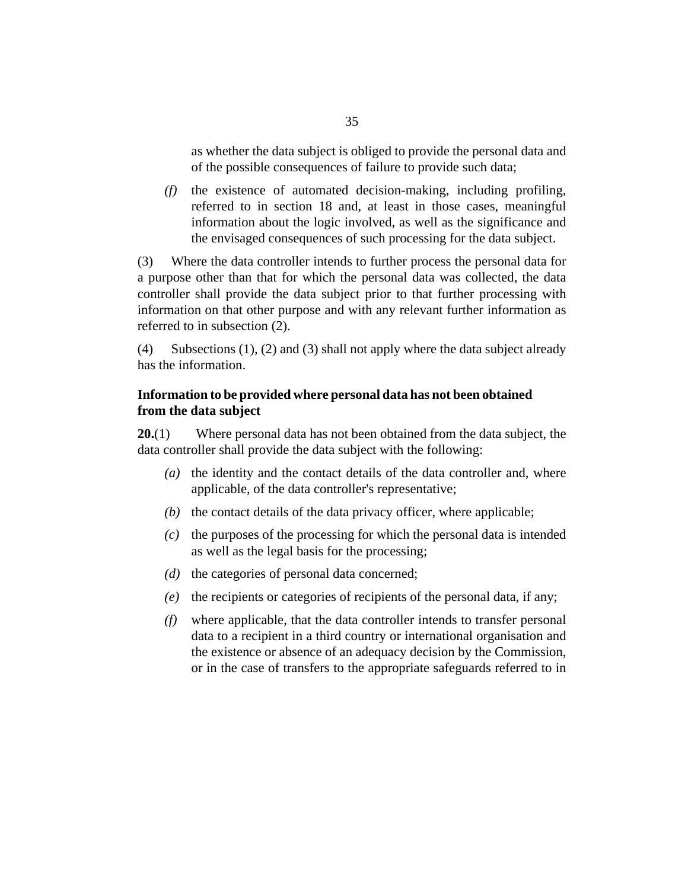<span id="page-34-0"></span>as whether the data subject is obliged to provide the personal data and of the possible consequences of failure to provide such data;

the existence of automated decision-making, including profiling, *(f)* referred to in section 18 and, at least in those cases, meaningful information about the logic involved, as well as the significance and the envisaged consequences of such processing for the data subject.

Where the data controller intends to further process the personal data for a purpose other than that for which the personal data was collected, the data controller shall provide the data subject prior to that further processing with information on that other purpose and with any relevant further information as referred to in subsection (2). (3)

Subsections (1), (2) and (3) shall not apply where the data subject already has the information. (4)

## **Information to be provided where personal data has not been obtained from the data subject**

Where personal data has not been obtained from the data subject, the data controller shall provide the data subject with the following: **20.**(1)

- (a) the identity and the contact details of the data controller and, where applicable, of the data controller's representative;
- $(b)$  the contact details of the data privacy officer, where applicable;
- $\alpha$  the purposes of the processing for which the personal data is intended as well as the legal basis for the processing;
- (d) the categories of personal data concerned;
- (e) the recipients or categories of recipients of the personal data, if any;
- where applicable, that the data controller intends to transfer personal *(f)* data to a recipient in a third country or international organisation and the existence or absence of an adequacy decision by the Commission, or in the case of transfers to the appropriate safeguards referred to in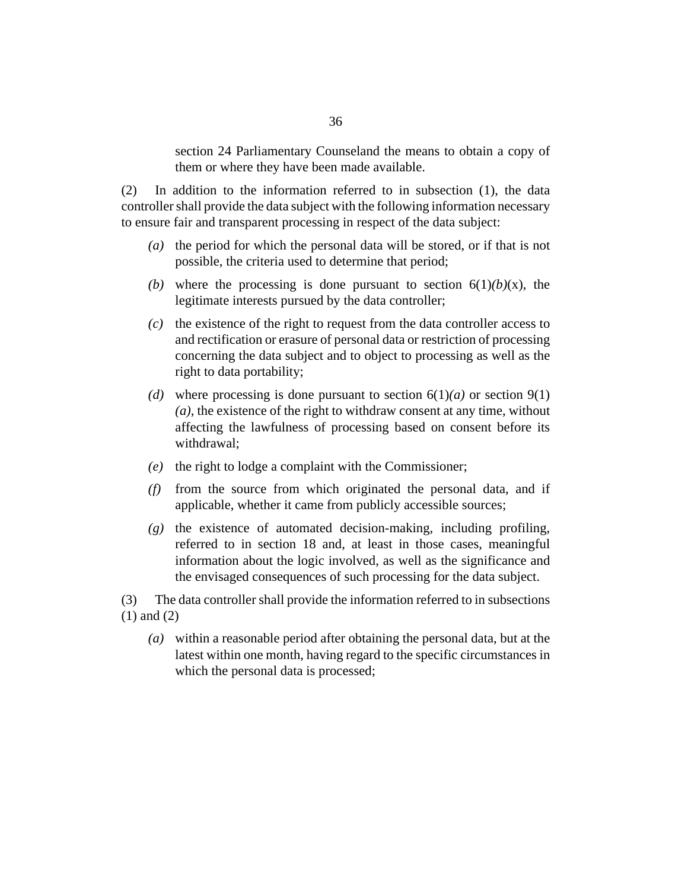section 24 Parliamentary Counseland the means to obtain a copy of them or where they have been made available.

In addition to the information referred to in subsection (1), the data controller shall provide the data subject with the following information necessary to ensure fair and transparent processing in respect of the data subject: (2)

- (a) the period for which the personal data will be stored, or if that is not possible, the criteria used to determine that period;
- (b) where the processing is done pursuant to section  $6(1)(b)(x)$ , the legitimate interests pursued by the data controller;
- $\alpha$  the existence of the right to request from the data controller access to and rectification or erasure of personal data or restriction of processing concerning the data subject and to object to processing as well as the right to data portability;
- (d) where processing is done pursuant to section  $6(1)(a)$  or section  $9(1)$ *(a)*, the existence of the right to withdraw consent at any time, without affecting the lawfulness of processing based on consent before its withdrawal;
- (e) the right to lodge a complaint with the Commissioner;
- (f) from the source from which originated the personal data, and if applicable, whether it came from publicly accessible sources;
- (g) the existence of automated decision-making, including profiling, referred to in section 18 and, at least in those cases, meaningful information about the logic involved, as well as the significance and the envisaged consequences of such processing for the data subject.
- The data controller shall provide the information referred to in subsections (1) and (2) (3)
	- within a reasonable period after obtaining the personal data, but at the *(a)* latest within one month, having regard to the specific circumstances in which the personal data is processed;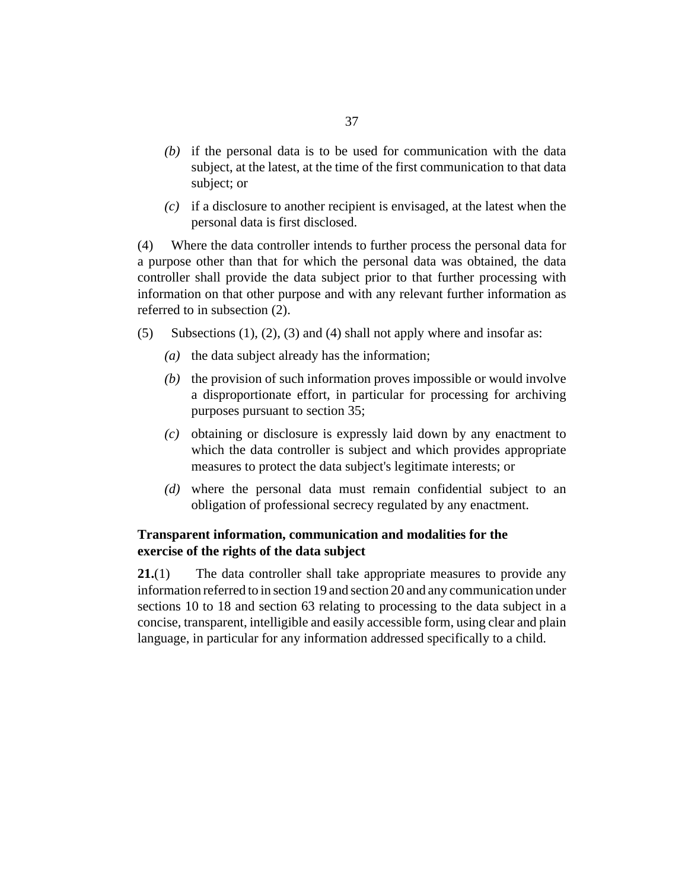- $(b)$  if the personal data is to be used for communication with the data subject, at the latest, at the time of the first communication to that data subject; or
- $(c)$  if a disclosure to another recipient is envisaged, at the latest when the personal data is first disclosed.

Where the data controller intends to further process the personal data for a purpose other than that for which the personal data was obtained, the data controller shall provide the data subject prior to that further processing with information on that other purpose and with any relevant further information as referred to in subsection (2). (4)

- Subsections  $(1)$ ,  $(2)$ ,  $(3)$  and  $(4)$  shall not apply where and insofar as: (5)
	- ( $a$ ) the data subject already has the information;
	- $(b)$  the provision of such information proves impossible or would involve a disproportionate effort, in particular for processing for archiving purposes pursuant to section 35;
	- obtaining or disclosure is expressly laid down by any enactment to *(c)* which the data controller is subject and which provides appropriate measures to protect the data subject's legitimate interests; or
	- where the personal data must remain confidential subject to an *(d)* obligation of professional secrecy regulated by any enactment.

## **Transparent information, communication and modalities for the exercise of the rights of the data subject**

The data controller shall take appropriate measures to provide any information referred to in section 19 and section 20 and any communication under sections 10 to 18 and section 63 relating to processing to the data subject in a concise, transparent, intelligible and easily accessible form, using clear and plain language, in particular for any information addressed specifically to a child. **21.**(1)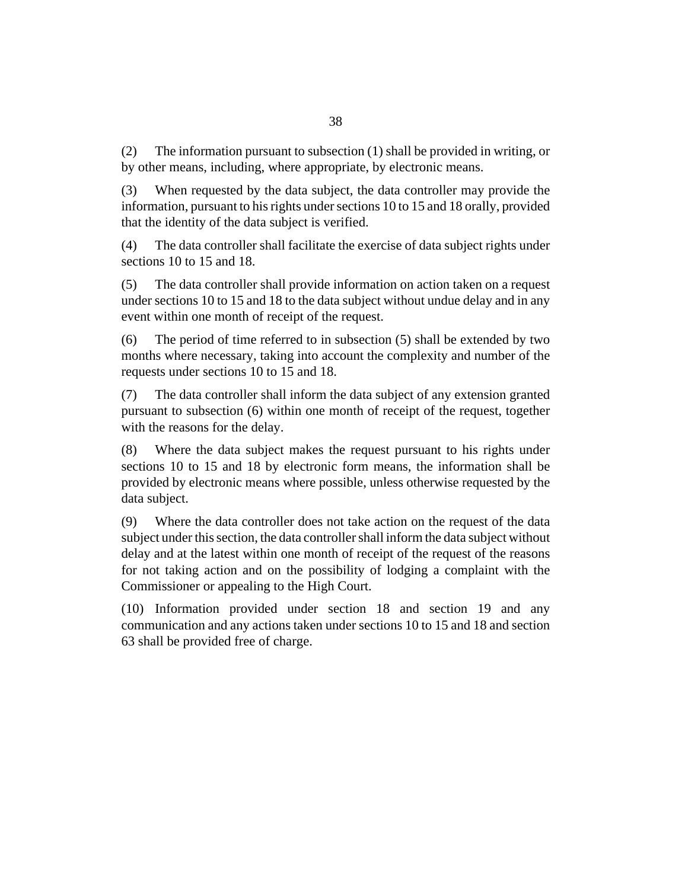The information pursuant to subsection (1) shall be provided in writing, or by other means, including, where appropriate, by electronic means. (2)

When requested by the data subject, the data controller may provide the information, pursuant to his rights under sections 10 to 15 and 18 orally, provided that the identity of the data subject is verified. (3)

The data controller shall facilitate the exercise of data subject rights under sections 10 to 15 and 18. (4)

The data controller shall provide information on action taken on a request under sections 10 to 15 and 18 to the data subject without undue delay and in any event within one month of receipt of the request. (5)

The period of time referred to in subsection (5) shall be extended by two months where necessary, taking into account the complexity and number of the requests under sections 10 to 15 and 18. (6)

The data controller shall inform the data subject of any extension granted pursuant to subsection (6) within one month of receipt of the request, together with the reasons for the delay. (7)

Where the data subject makes the request pursuant to his rights under sections 10 to 15 and 18 by electronic form means, the information shall be provided by electronic means where possible, unless otherwise requested by the data subject. (8)

Where the data controller does not take action on the request of the data subject under this section, the data controller shall inform the data subject without delay and at the latest within one month of receipt of the request of the reasons for not taking action and on the possibility of lodging a complaint with the Commissioner or appealing to the High Court. (9)

Information provided under section 18 and section 19 and any (10) communication and any actions taken under sections 10 to 15 and 18 and section 63 shall be provided free of charge.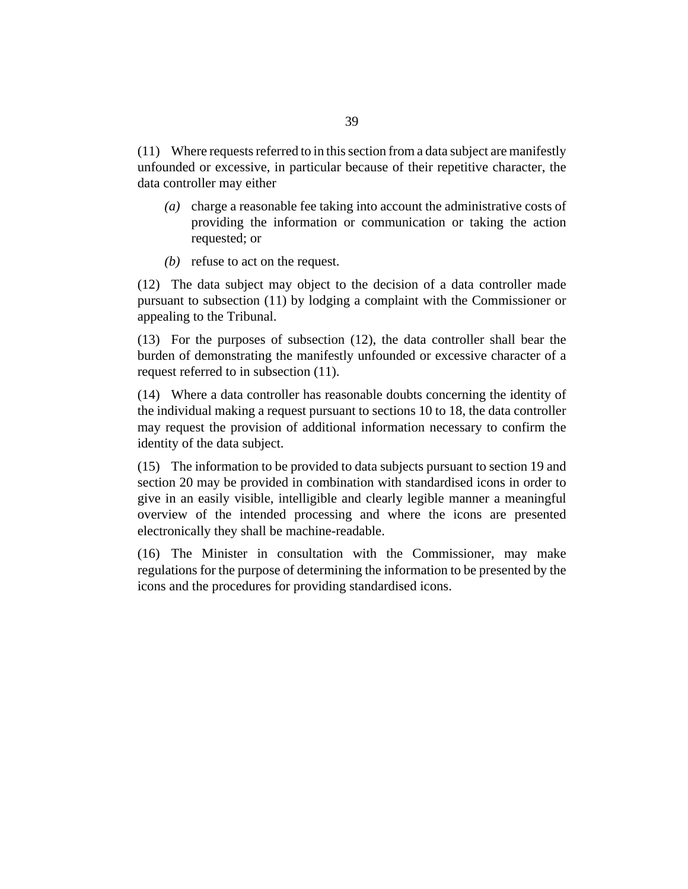Where requests referred to in this section from a data subject are manifestly (11) unfounded or excessive, in particular because of their repetitive character, the data controller may either

- (a) charge a reasonable fee taking into account the administrative costs of providing the information or communication or taking the action requested; or
- $(b)$  refuse to act on the request.

(12) The data subject may object to the decision of a data controller made pursuant to subsection (11) by lodging a complaint with the Commissioner or appealing to the Tribunal.

 $(13)$  For the purposes of subsection  $(12)$ , the data controller shall bear the burden of demonstrating the manifestly unfounded or excessive character of a request referred to in subsection (11).

Where a data controller has reasonable doubts concerning the identity of (14) the individual making a request pursuant to sections 10 to 18, the data controller may request the provision of additional information necessary to confirm the identity of the data subject.

The information to be provided to data subjects pursuant to section 19 and (15) section 20 may be provided in combination with standardised icons in order to give in an easily visible, intelligible and clearly legible manner a meaningful overview of the intended processing and where the icons are presented electronically they shall be machine-readable.

(16) The Minister in consultation with the Commissioner, may make regulations for the purpose of determining the information to be presented by the icons and the procedures for providing standardised icons.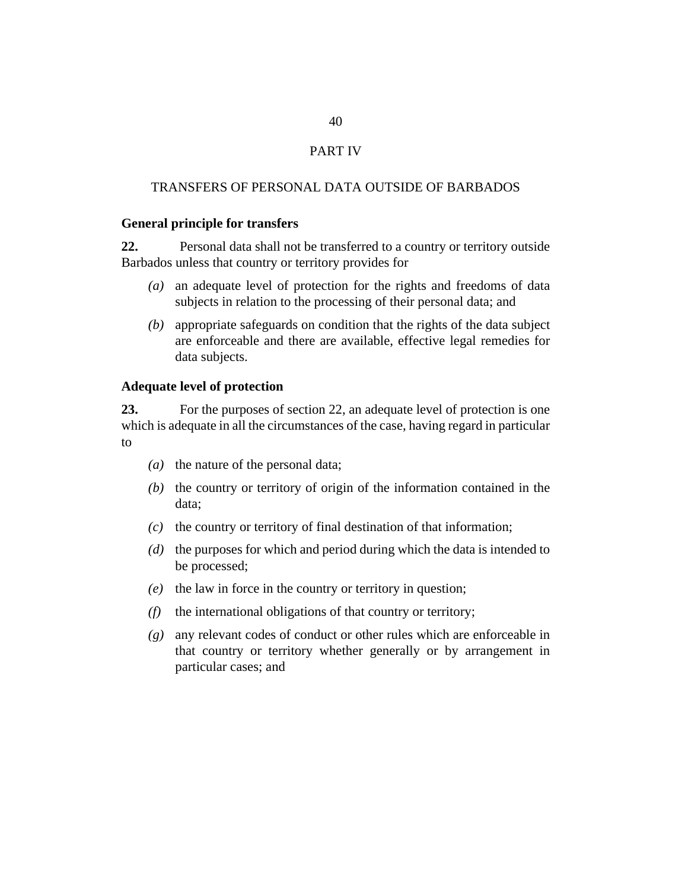## PART IV

#### TRANSFERS OF PERSONAL DATA OUTSIDE OF BARBADOS

#### **General principle for transfers**

Personal data shall not be transferred to a country or territory outside Barbados unless that country or territory provides for **22.**

- an adequate level of protection for the rights and freedoms of data *(a)* subjects in relation to the processing of their personal data; and
- appropriate safeguards on condition that the rights of the data subject *(b)* are enforceable and there are available, effective legal remedies for data subjects.

#### **Adequate level of protection**

For the purposes of section 22, an adequate level of protection is one which is adequate in all the circumstances of the case, having regard in particular to **23.**

- (a) the nature of the personal data;
- $(t)$  the country or territory of origin of the information contained in the data;
- $(c)$  the country or territory of final destination of that information;
- (d) the purposes for which and period during which the data is intended to be processed;
- $(e)$  the law in force in the country or territory in question;
- (f) the international obligations of that country or territory;
- any relevant codes of conduct or other rules which are enforceable in *(g)* that country or territory whether generally or by arrangement in particular cases; and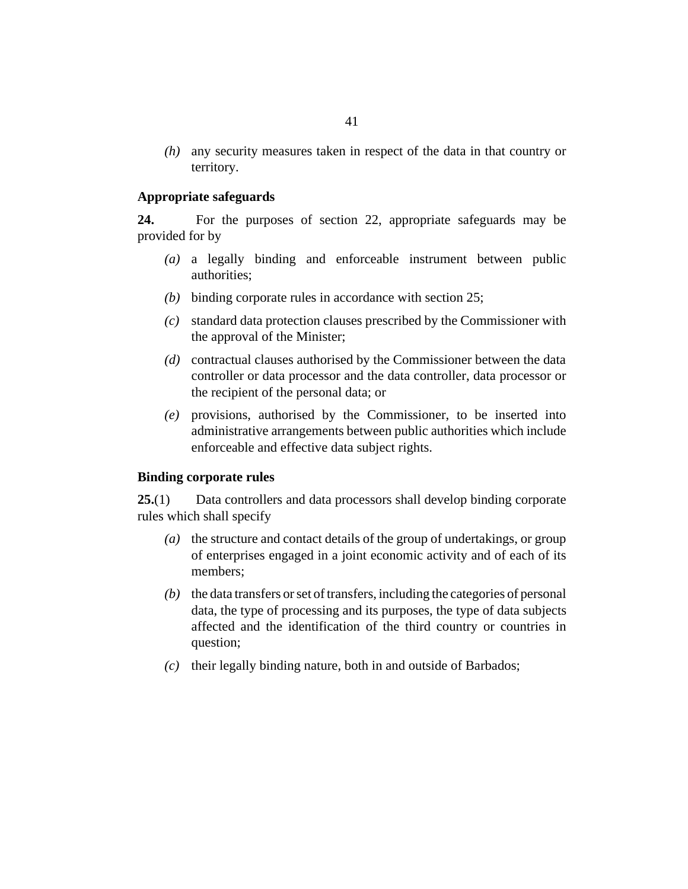any security measures taken in respect of the data in that country or *(h)* territory.

#### **Appropriate safeguards**

For the purposes of section 22, appropriate safeguards may be provided for by **24.**

- a legally binding and enforceable instrument between public *(a)* authorities;
- binding corporate rules in accordance with section 25; *(b)*
- standard data protection clauses prescribed by the Commissioner with *(c)* the approval of the Minister;
- contractual clauses authorised by the Commissioner between the data *(d)* controller or data processor and the data controller, data processor or the recipient of the personal data; or
- provisions, authorised by the Commissioner, to be inserted into *(e)* administrative arrangements between public authorities which include enforceable and effective data subject rights.

#### **Binding corporate rules**

Data controllers and data processors shall develop binding corporate rules which shall specify **25.**(1)

- (a) the structure and contact details of the group of undertakings, or group of enterprises engaged in a joint economic activity and of each of its members;
- $(b)$  the data transfers or set of transfers, including the categories of personal data, the type of processing and its purposes, the type of data subjects affected and the identification of the third country or countries in question;
- their legally binding nature, both in and outside of Barbados; *(c)*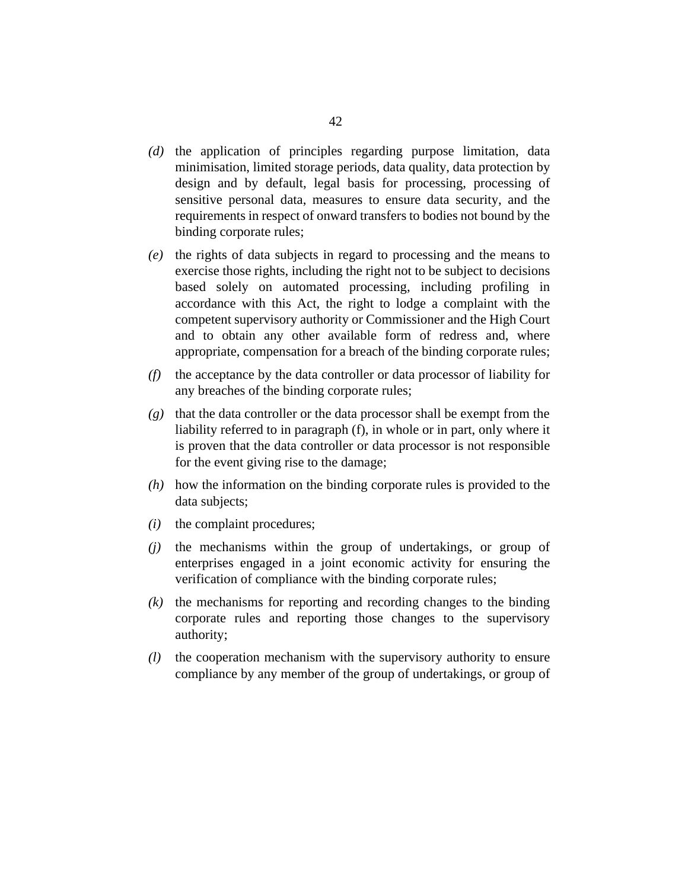- (d) the application of principles regarding purpose limitation, data minimisation, limited storage periods, data quality, data protection by design and by default, legal basis for processing, processing of sensitive personal data, measures to ensure data security, and the requirements in respect of onward transfers to bodies not bound by the binding corporate rules;
- (e) the rights of data subjects in regard to processing and the means to exercise those rights, including the right not to be subject to decisions based solely on automated processing, including profiling in accordance with this Act, the right to lodge a complaint with the competent supervisory authority or Commissioner and the High Court and to obtain any other available form of redress and, where appropriate, compensation for a breach of the binding corporate rules;
- the acceptance by the data controller or data processor of liability for *(f)* any breaches of the binding corporate rules;
- that the data controller or the data processor shall be exempt from the *(g)* liability referred to in paragraph (f), in whole or in part, only where it is proven that the data controller or data processor is not responsible for the event giving rise to the damage;
- how the information on the binding corporate rules is provided to the *(h)* data subjects;
- $(i)$  the complaint procedures;
- $(j)$  the mechanisms within the group of undertakings, or group of enterprises engaged in a joint economic activity for ensuring the verification of compliance with the binding corporate rules;
- $(k)$  the mechanisms for reporting and recording changes to the binding corporate rules and reporting those changes to the supervisory authority;
- the cooperation mechanism with the supervisory authority to ensure compliance by any member of the group of undertakings, or group of *(l)*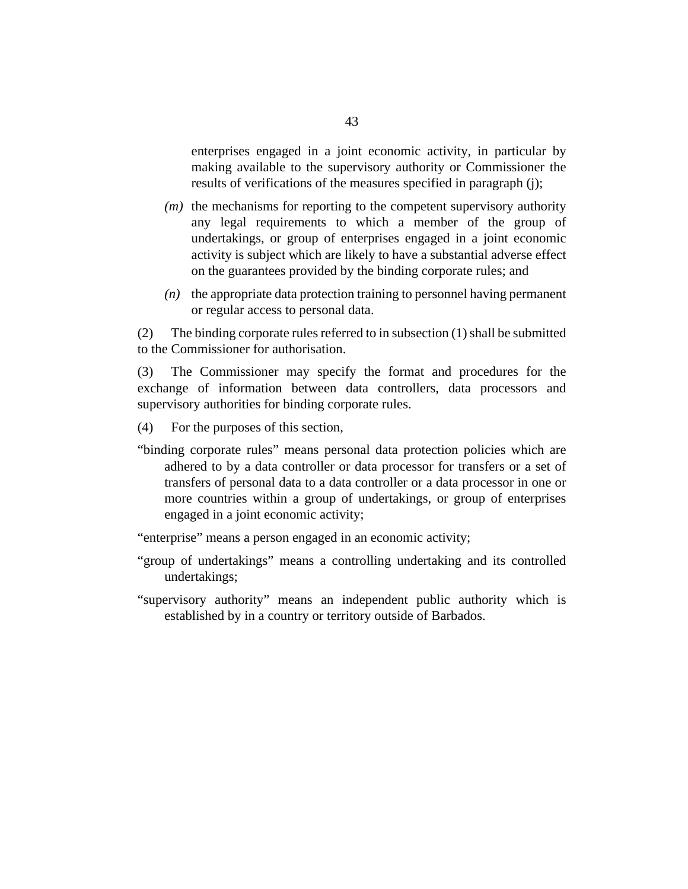enterprises engaged in a joint economic activity, in particular by making available to the supervisory authority or Commissioner the results of verifications of the measures specified in paragraph (j);

- $(m)$  the mechanisms for reporting to the competent supervisory authority any legal requirements to which a member of the group of undertakings, or group of enterprises engaged in a joint economic activity is subject which are likely to have a substantial adverse effect on the guarantees provided by the binding corporate rules; and
- $(n)$  the appropriate data protection training to personnel having permanent or regular access to personal data.

The binding corporate rules referred to in subsection (1) shall be submitted to the Commissioner for authorisation. (2)

The Commissioner may specify the format and procedures for the exchange of information between data controllers, data processors and supervisory authorities for binding corporate rules. (3)

For the purposes of this section, (4)

"binding corporate rules" means personal data protection policies which are adhered to by a data controller or data processor for transfers or a set of transfers of personal data to a data controller or a data processor in one or more countries within a group of undertakings, or group of enterprises engaged in a joint economic activity;

"enterprise" means a person engaged in an economic activity;

- "group of undertakings" means a controlling undertaking and its controlled undertakings;
- "supervisory authority" means an independent public authority which is established by in a country or territory outside of Barbados.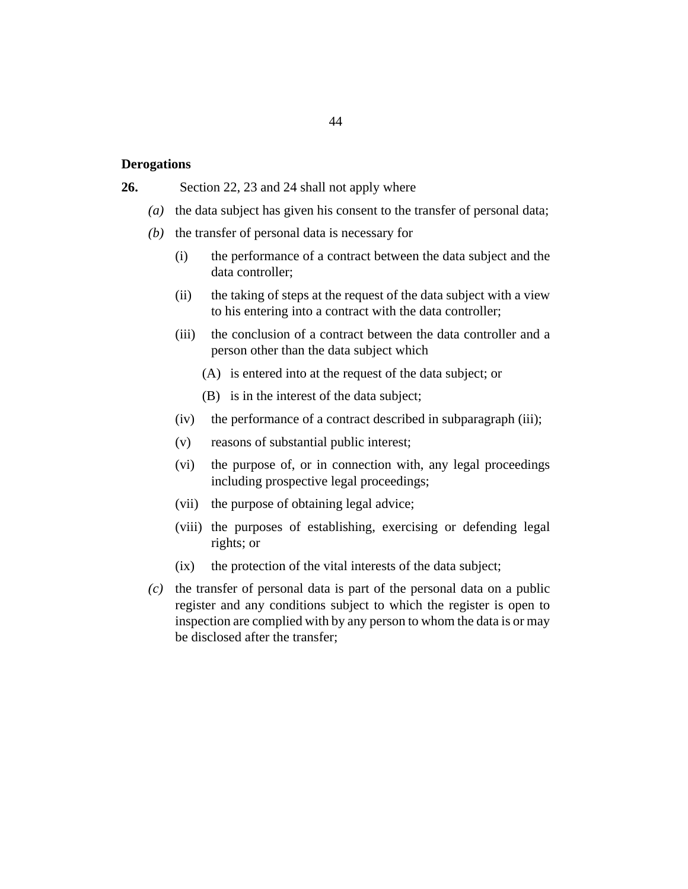#### **Derogations**

#### Section 22, 23 and 24 shall not apply where **26.**

- (a) the data subject has given his consent to the transfer of personal data;
- $(b)$  the transfer of personal data is necessary for
	- the performance of a contract between the data subject and the data controller; (i)
	- the taking of steps at the request of the data subject with a view to his entering into a contract with the data controller; (ii)
	- the conclusion of a contract between the data controller and a person other than the data subject which (iii)
		- (A) is entered into at the request of the data subject; or
		- $(B)$  is in the interest of the data subject;
	- (iv) the performance of a contract described in subparagraph (iii);
	- reasons of substantial public interest; (v)
	- the purpose of, or in connection with, any legal proceedings including prospective legal proceedings; (vi)
	- (vii) the purpose of obtaining legal advice;
	- (viii) the purposes of establishing, exercising or defending legal rights; or
	- the protection of the vital interests of the data subject;  $(ix)$
- $\alpha$  the transfer of personal data is part of the personal data on a public register and any conditions subject to which the register is open to inspection are complied with by any person to whom the data is or may be disclosed after the transfer;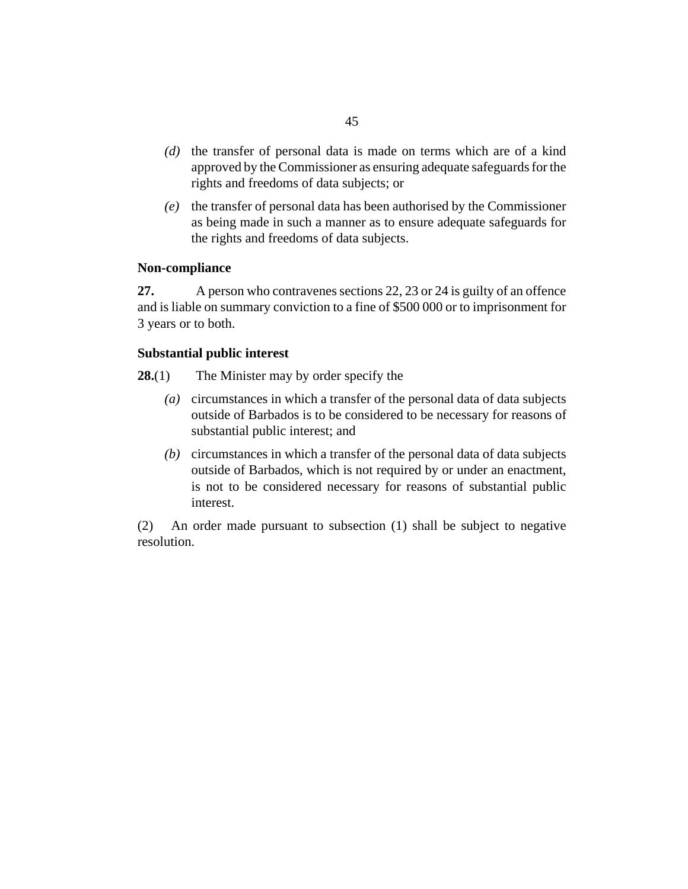- (d) the transfer of personal data is made on terms which are of a kind approved by the Commissioner as ensuring adequate safeguards for the rights and freedoms of data subjects; or
- the transfer of personal data has been authorised by the Commissioner *(e)* as being made in such a manner as to ensure adequate safeguards for the rights and freedoms of data subjects.

### **Non-compliance**

A person who contravenes sections 22, 23 or 24 is guilty of an offence and is liable on summary conviction to a fine of \$500 000 or to imprisonment for 3 years or to both. **27.**

## **Substantial public interest**

- The Minister may by order specify the **28.**(1)
	- circumstances in which a transfer of the personal data of data subjects *(a)* outside of Barbados is to be considered to be necessary for reasons of substantial public interest; and
	- circumstances in which a transfer of the personal data of data subjects *(b)* outside of Barbados, which is not required by or under an enactment, is not to be considered necessary for reasons of substantial public interest.

An order made pursuant to subsection (1) shall be subject to negative resolution. (2)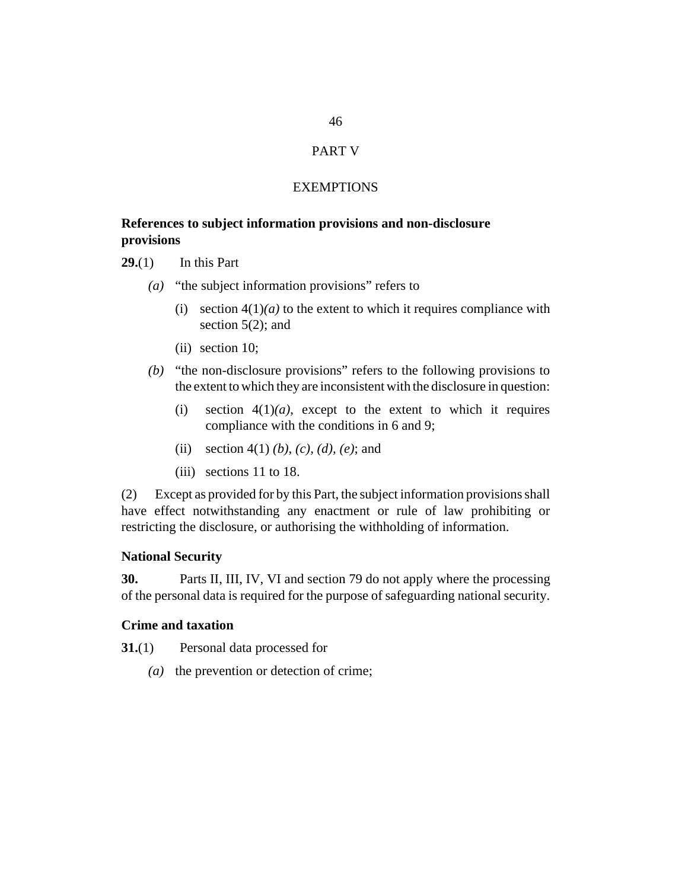# PART V

#### **EXEMPTIONS**

## **References to subject information provisions and non-disclosure provisions**

In this Part **29.**(1)

- (a) "the subject information provisions" refers to
	- (i) section  $4(1)(a)$  to the extent to which it requires compliance with section 5(2); and
	- (ii) section 10;
- (b) "the non-disclosure provisions" refers to the following provisions to the extent to which they are inconsistent with the disclosure in question:
	- section  $4(1)(a)$ , except to the extent to which it requires compliance with the conditions in 6 and 9; (i)
	- (ii) section 4(1) (b), (c), (d), (e); and
	- (iii) sections 11 to 18.

Except as provided for by this Part, the subject information provisions shall have effect notwithstanding any enactment or rule of law prohibiting or restricting the disclosure, or authorising the withholding of information. (2)

## **National Security**

Parts II, III, IV, VI and section 79 do not apply where the processing of the personal data is required for the purpose of safeguarding national security. **30.**

## **Crime and taxation**

Personal data processed for **31.**(1)

( $a)$  the prevention or detection of crime;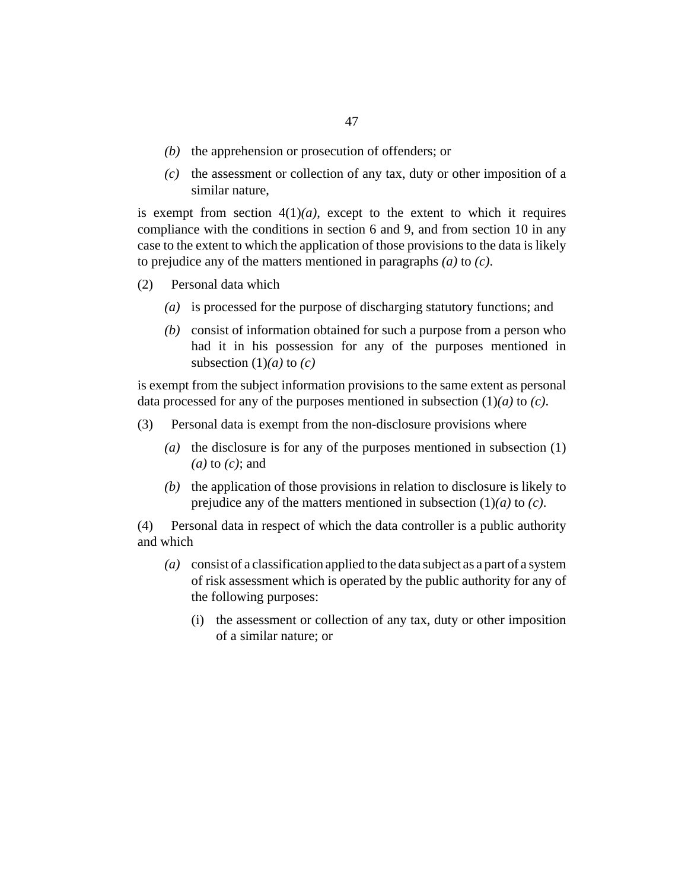- $(b)$  the apprehension or prosecution of offenders; or
- $(c)$  the assessment or collection of any tax, duty or other imposition of a similar nature,

is exempt from section  $4(1)(a)$ , except to the extent to which it requires compliance with the conditions in section 6 and 9, and from section 10 in any case to the extent to which the application of those provisions to the data is likely to prejudice any of the matters mentioned in paragraphs *(a)* to *(c)*.

- Personal data which (2)
	- (a) is processed for the purpose of discharging statutory functions; and
	- (b) consist of information obtained for such a purpose from a person who had it in his possession for any of the purposes mentioned in subsection  $(1)(a)$  to  $(c)$

is exempt from the subject information provisions to the same extent as personal data processed for any of the purposes mentioned in subsection (1)*(a)* to *(c)*.

- Personal data is exempt from the non-disclosure provisions where (3)
	- (a) the disclosure is for any of the purposes mentioned in subsection  $(1)$ *(a)* to *(c)*; and
	- $(b)$  the application of those provisions in relation to disclosure is likely to prejudice any of the matters mentioned in subsection (1)*(a)* to *(c)*.

Personal data in respect of which the data controller is a public authority and which (4)

- consist of a classification applied to the data subject as a part of a system *(a)* of risk assessment which is operated by the public authority for any of the following purposes:
	- (i) the assessment or collection of any tax, duty or other imposition of a similar nature; or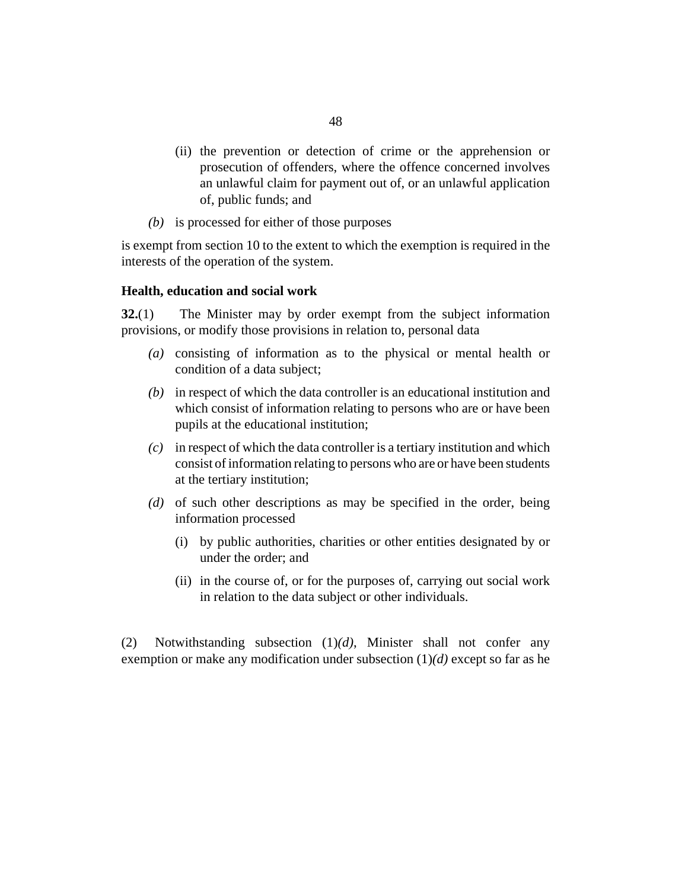- (ii) the prevention or detection of crime or the apprehension or prosecution of offenders, where the offence concerned involves an unlawful claim for payment out of, or an unlawful application of, public funds; and
- is processed for either of those purposes *(b)*

is exempt from section 10 to the extent to which the exemption is required in the interests of the operation of the system.

#### **Health, education and social work**

The Minister may by order exempt from the subject information provisions, or modify those provisions in relation to, personal data **32.**(1)

- consisting of information as to the physical or mental health or *(a)* condition of a data subject;
- in respect of which the data controller is an educational institution and *(b)* which consist of information relating to persons who are or have been pupils at the educational institution;
- in respect of which the data controller is a tertiary institution and which *(c)* consist of information relating to persons who are or have been students at the tertiary institution;
- (d) of such other descriptions as may be specified in the order, being information processed
	- by public authorities, charities or other entities designated by or (i) under the order; and
	- (ii) in the course of, or for the purposes of, carrying out social work in relation to the data subject or other individuals.

Notwithstanding subsection (1)*(d)*, Minister shall not confer any exemption or make any modification under subsection (1)*(d)* except so far as he (2)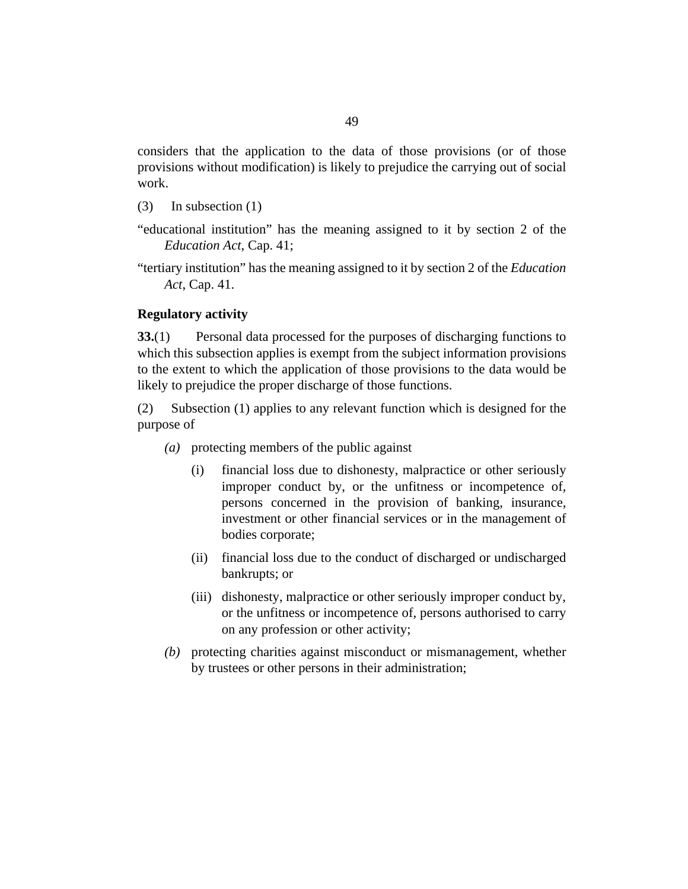considers that the application to the data of those provisions (or of those provisions without modification) is likely to prejudice the carrying out of social work.

- In subsection (1) (3)
- "educational institution" has the meaning assigned to it by section 2 of the *[Education Act](http://barbadosparliament-laws.com/en/showdoc/cs/41)*, Cap. 41;
- "tertiary institution" has the meaning assigned to it by section 2 of the *[Education](http://barbadosparliament-laws.com/en/showdoc/cs/41) Act*[, Cap. 41.](http://barbadosparliament-laws.com/en/showdoc/cs/41)

#### **Regulatory activity**

Personal data processed for the purposes of discharging functions to which this subsection applies is exempt from the subject information provisions to the extent to which the application of those provisions to the data would be likely to prejudice the proper discharge of those functions. **33.**(1)

Subsection (1) applies to any relevant function which is designed for the purpose of (2)

- protecting members of the public against *(a)*
	- financial loss due to dishonesty, malpractice or other seriously improper conduct by, or the unfitness or incompetence of, persons concerned in the provision of banking, insurance, investment or other financial services or in the management of bodies corporate; (i)
	- (ii) financial loss due to the conduct of discharged or undischarged bankrupts; or
	- (iii) dishonesty, malpractice or other seriously improper conduct by, or the unfitness or incompetence of, persons authorised to carry on any profession or other activity;
- protecting charities against misconduct or mismanagement, whether *(b)* by trustees or other persons in their administration;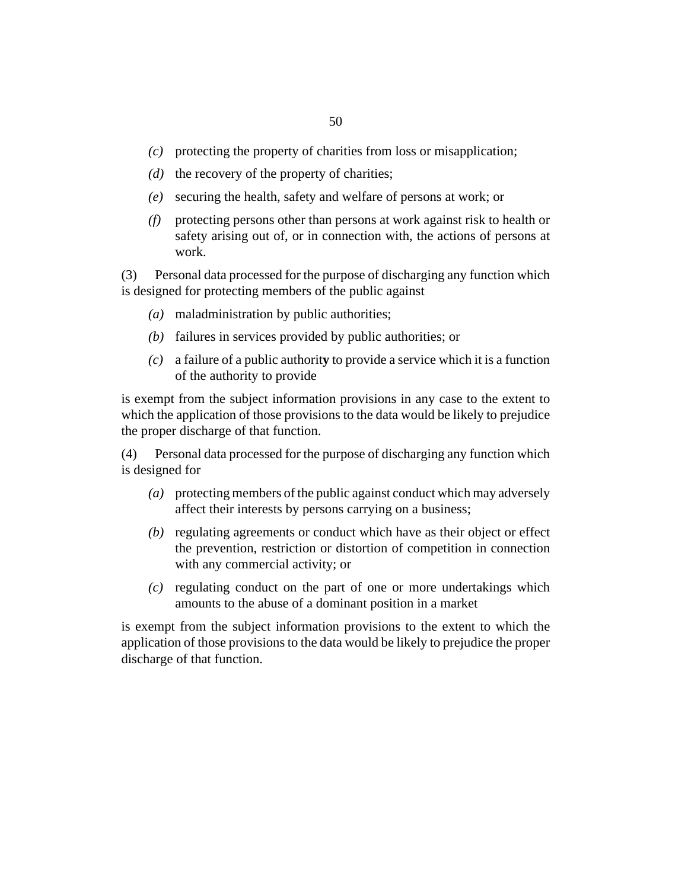- protecting the property of charities from loss or misapplication; *(c)*
- (d) the recovery of the property of charities;
- securing the health, safety and welfare of persons at work; or *(e)*
- protecting persons other than persons at work against risk to health or *(f)* safety arising out of, or in connection with, the actions of persons at work.

Personal data processed for the purpose of discharging any function which is designed for protecting members of the public against (3)

- maladministration by public authorities; *(a)*
- failures in services provided by public authorities; or *(b)*
- a failure of a public authorit**y** to provide a service which it is a function *(c)* of the authority to provide

is exempt from the subject information provisions in any case to the extent to which the application of those provisions to the data would be likely to prejudice the proper discharge of that function.

Personal data processed for the purpose of discharging any function which is designed for (4)

- protecting members of the public against conduct which may adversely *(a)* affect their interests by persons carrying on a business;
- (b) regulating agreements or conduct which have as their object or effect the prevention, restriction or distortion of competition in connection with any commercial activity; or
- regulating conduct on the part of one or more undertakings which *(c)* amounts to the abuse of a dominant position in a market

is exempt from the subject information provisions to the extent to which the application of those provisions to the data would be likely to prejudice the proper discharge of that function.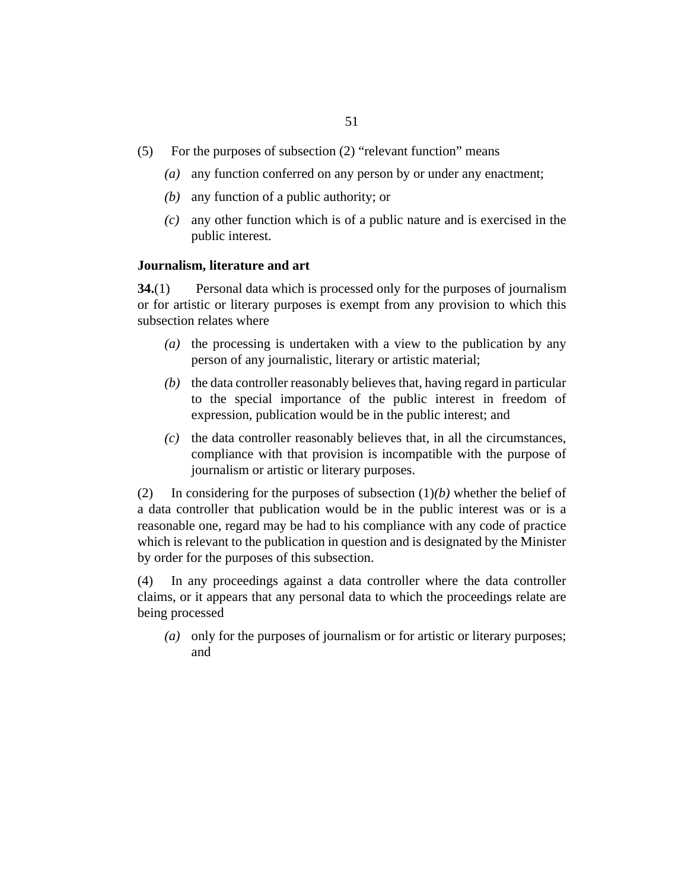- For the purposes of subsection (2) "relevant function" means (5)
	- any function conferred on any person by or under any enactment; *(a)*
	- any function of a public authority; or *(b)*
	- any other function which is of a public nature and is exercised in the *(c)* public interest.

#### **Journalism, literature and art**

Personal data which is processed only for the purposes of journalism or for artistic or literary purposes is exempt from any provision to which this subsection relates where **34.**(1)

- $(a)$  the processing is undertaken with a view to the publication by any person of any journalistic, literary or artistic material;
- $(b)$  the data controller reasonably believes that, having regard in particular to the special importance of the public interest in freedom of expression, publication would be in the public interest; and
- $(c)$  the data controller reasonably believes that, in all the circumstances, compliance with that provision is incompatible with the purpose of journalism or artistic or literary purposes.

In considering for the purposes of subsection (1)*(b)* whether the belief of a data controller that publication would be in the public interest was or is a reasonable one, regard may be had to his compliance with any code of practice which is relevant to the publication in question and is designated by the Minister by order for the purposes of this subsection. (2)

In any proceedings against a data controller where the data controller claims, or it appears that any personal data to which the proceedings relate are being processed (4)

(a) only for the purposes of journalism or for artistic or literary purposes; and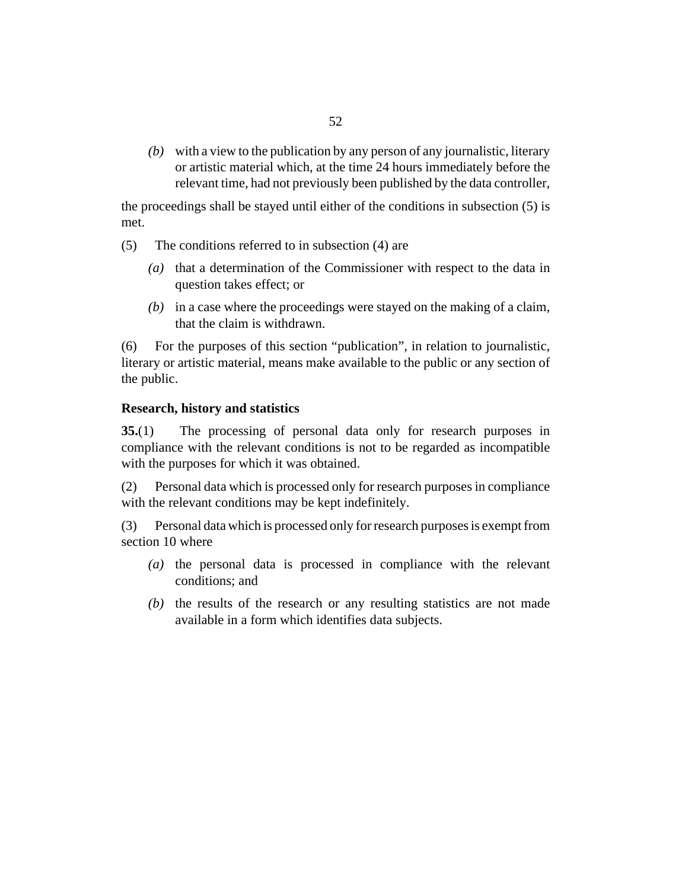with a view to the publication by any person of any journalistic, literary *(b)* or artistic material which, at the time 24 hours immediately before the relevant time, had not previously been published by the data controller,

the proceedings shall be stayed until either of the conditions in subsection (5) is met.

- The conditions referred to in subsection (4) are (5)
	- (a) that a determination of the Commissioner with respect to the data in question takes effect; or
	- (b) in a case where the proceedings were stayed on the making of a claim, that the claim is withdrawn.

For the purposes of this section "publication", in relation to journalistic, literary or artistic material, means make available to the public or any section of the public. (6)

## **Research, history and statistics**

The processing of personal data only for research purposes in compliance with the relevant conditions is not to be regarded as incompatible with the purposes for which it was obtained. **35.**(1)

Personal data which is processed only for research purposes in compliance with the relevant conditions may be kept indefinitely. (2)

Personal data which is processed only for research purposes is exempt from section 10 where (3)

- $(a)$  the personal data is processed in compliance with the relevant conditions; and
- $(t)$  the results of the research or any resulting statistics are not made available in a form which identifies data subjects.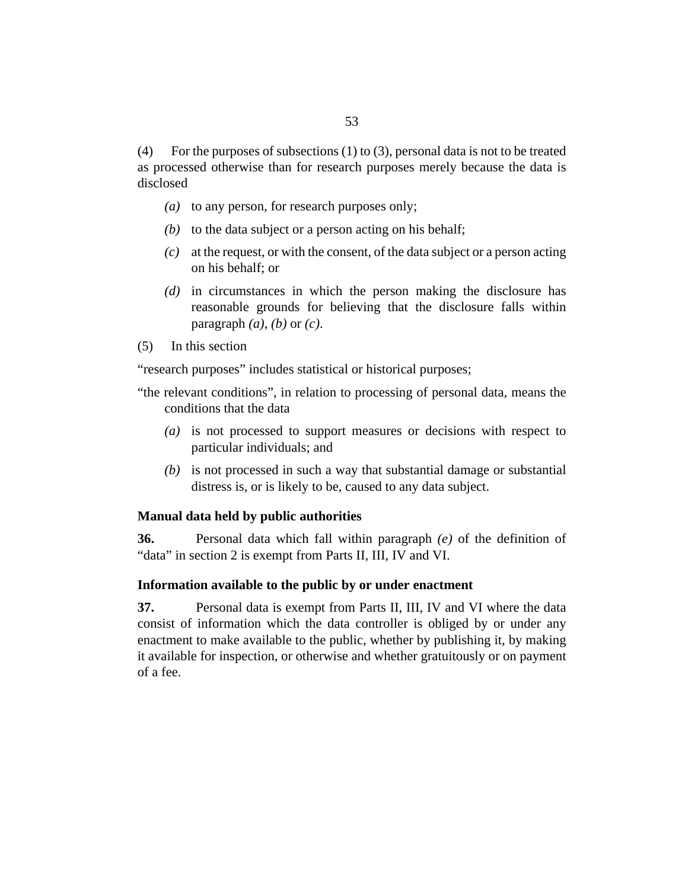For the purposes of subsections (1) to (3), personal data is not to be treated as processed otherwise than for research purposes merely because the data is disclosed (4)

- (a) to any person, for research purposes only;
- (b) to the data subject or a person acting on his behalf;
- at the request, or with the consent, of the data subject or a person acting *(c)* on his behalf; or
- (d) in circumstances in which the person making the disclosure has reasonable grounds for believing that the disclosure falls within paragraph *(a)*, *(b)* or *(c)*.
- In this section (5)

"research purposes" includes statistical or historical purposes;

- "the relevant conditions", in relation to processing of personal data, means the conditions that the data
	- (a) is not processed to support measures or decisions with respect to particular individuals; and
	- (b) is not processed in such a way that substantial damage or substantial distress is, or is likely to be, caused to any data subject.

#### **Manual data held by public authorities**

Personal data which fall within paragraph *(e)* of the definition of "data" in section 2 is exempt from Parts II, III, IV and VI. **36.**

#### **Information available to the public by or under enactment**

Personal data is exempt from Parts II, III, IV and VI where the data consist of information which the data controller is obliged by or under any enactment to make available to the public, whether by publishing it, by making it available for inspection, or otherwise and whether gratuitously or on payment of a fee. **37.**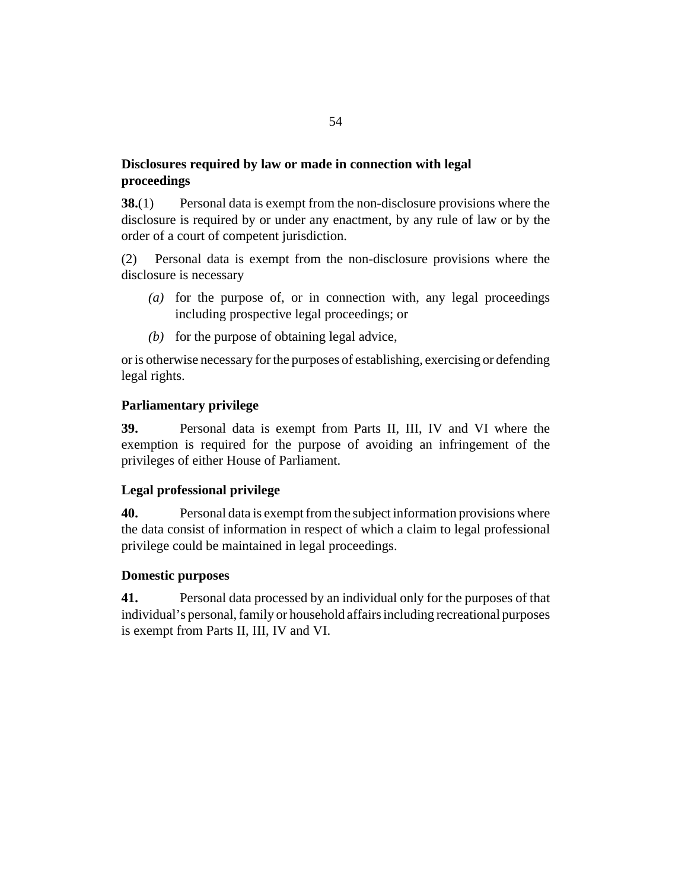## **Disclosures required by law or made in connection with legal proceedings**

Personal data is exempt from the non-disclosure provisions where the disclosure is required by or under any enactment, by any rule of law or by the order of a court of competent jurisdiction. **38.**(1)

Personal data is exempt from the non-disclosure provisions where the disclosure is necessary (2)

- (a) for the purpose of, or in connection with, any legal proceedings including prospective legal proceedings; or
- $(b)$  for the purpose of obtaining legal advice,

or is otherwise necessary for the purposes of establishing, exercising or defending legal rights.

## **Parliamentary privilege**

Personal data is exempt from Parts II, III, IV and VI where the exemption is required for the purpose of avoiding an infringement of the privileges of either House of Parliament. **39.**

## **Legal professional privilege**

Personal data is exempt from the subject information provisions where the data consist of information in respect of which a claim to legal professional privilege could be maintained in legal proceedings. **40.**

## **Domestic purposes**

Personal data processed by an individual only for the purposes of that individual's personal, family or household affairs including recreational purposes is exempt from Parts II, III, IV and VI. **41.**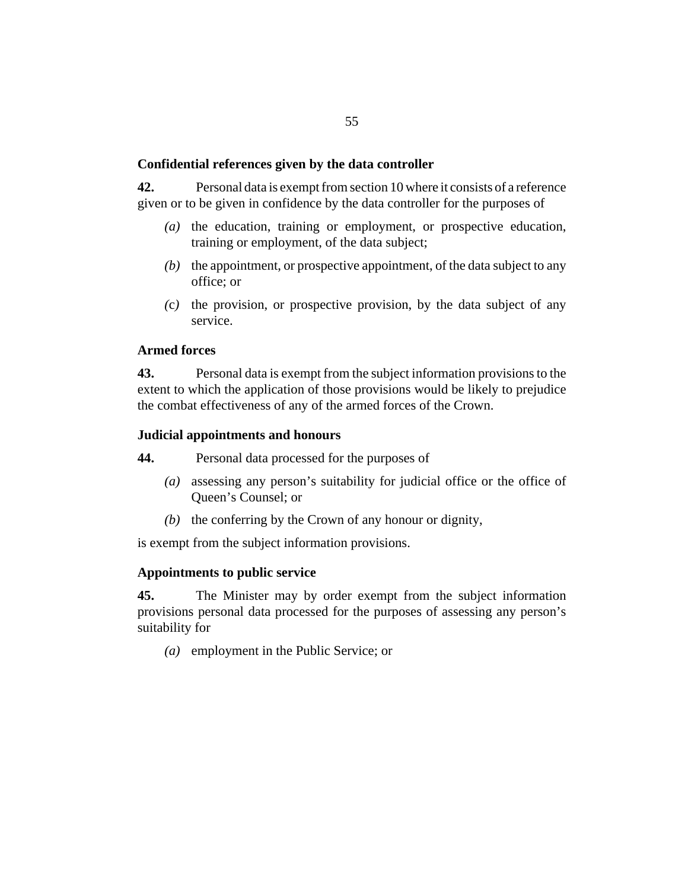## **Confidential references given by the data controller**

Personal data is exempt from section 10 where it consists of a reference given or to be given in confidence by the data controller for the purposes of **42.**

- (a) the education, training or employment, or prospective education, training or employment, of the data subject;
- $(b)$  the appointment, or prospective appointment, of the data subject to any office; or
- (c) the provision, or prospective provision, by the data subject of any service.

## **Armed forces**

Personal data is exempt from the subject information provisions to the extent to which the application of those provisions would be likely to prejudice the combat effectiveness of any of the armed forces of the Crown. **43.**

## **Judicial appointments and honours**

Personal data processed for the purposes of **44.**

- assessing any person's suitability for judicial office or the office of *(a)* Queen's Counsel; or
- $(b)$  the conferring by the Crown of any honour or dignity,

is exempt from the subject information provisions.

#### **Appointments to public service**

The Minister may by order exempt from the subject information provisions personal data processed for the purposes of assessing any person's suitability for **45.**

(a) employment in the Public Service; or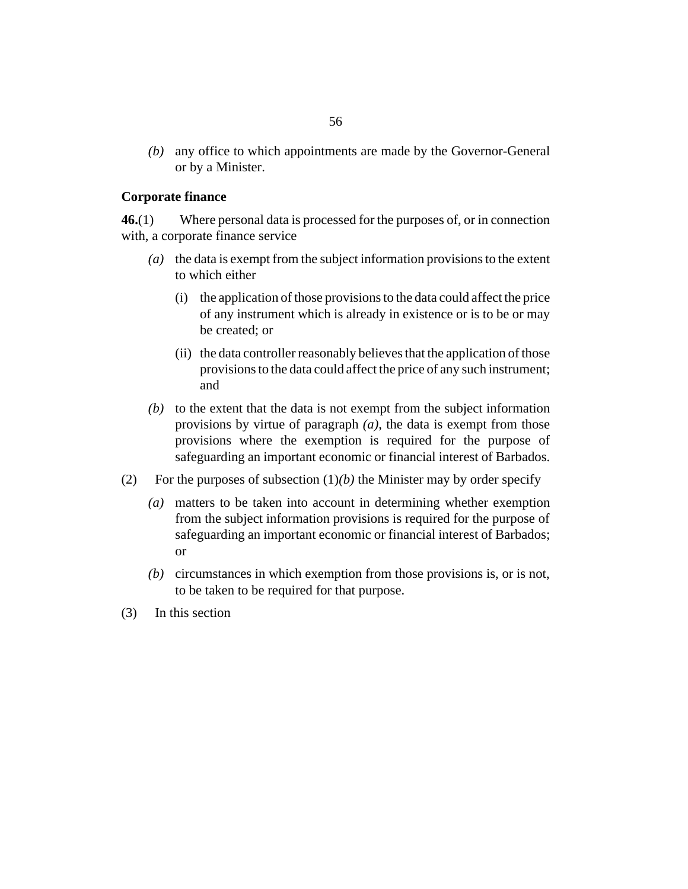any office to which appointments are made by the Governor-General *(b)* or by a Minister.

#### **Corporate finance**

Where personal data is processed for the purposes of, or in connection with, a corporate finance service **46.**(1)

- (a) the data is exempt from the subject information provisions to the extent to which either
	- (i) the application of those provisions to the data could affect the price of any instrument which is already in existence or is to be or may be created; or
	- (ii) the data controller reasonably believes that the application of those provisions to the data could affect the price of any such instrument; and
- $(b)$  to the extent that the data is not exempt from the subject information provisions by virtue of paragraph *(a)*, the data is exempt from those provisions where the exemption is required for the purpose of safeguarding an important economic or financial interest of Barbados.
- For the purposes of subsection  $(1)(b)$  the Minister may by order specify (2)
	- matters to be taken into account in determining whether exemption *(a)* from the subject information provisions is required for the purpose of safeguarding an important economic or financial interest of Barbados; or
	- (b) circumstances in which exemption from those provisions is, or is not, to be taken to be required for that purpose.
- In this section (3)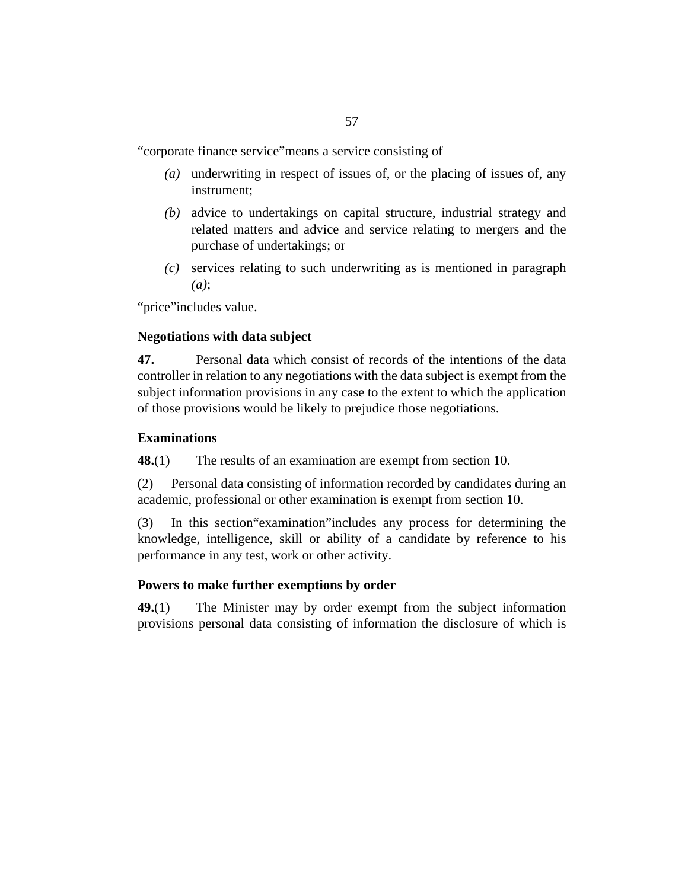"corporate finance service"means a service consisting of

- underwriting in respect of issues of, or the placing of issues of, any *(a)* instrument;
- advice to undertakings on capital structure, industrial strategy and *(b)* related matters and advice and service relating to mergers and the purchase of undertakings; or
- services relating to such underwriting as is mentioned in paragraph *(c) (a)*;

"price"includes value.

## **Negotiations with data subject**

Personal data which consist of records of the intentions of the data controller in relation to any negotiations with the data subject is exempt from the subject information provisions in any case to the extent to which the application of those provisions would be likely to prejudice those negotiations. **47.**

## **Examinations**

The results of an examination are exempt from section 10. **48.**(1)

Personal data consisting of information recorded by candidates during an academic, professional or other examination is exempt from section 10. (2)

In this section"examination"includes any process for determining the knowledge, intelligence, skill or ability of a candidate by reference to his performance in any test, work or other activity. (3)

## **Powers to make further exemptions by order**

The Minister may by order exempt from the subject information provisions personal data consisting of information the disclosure of which is **49.**(1)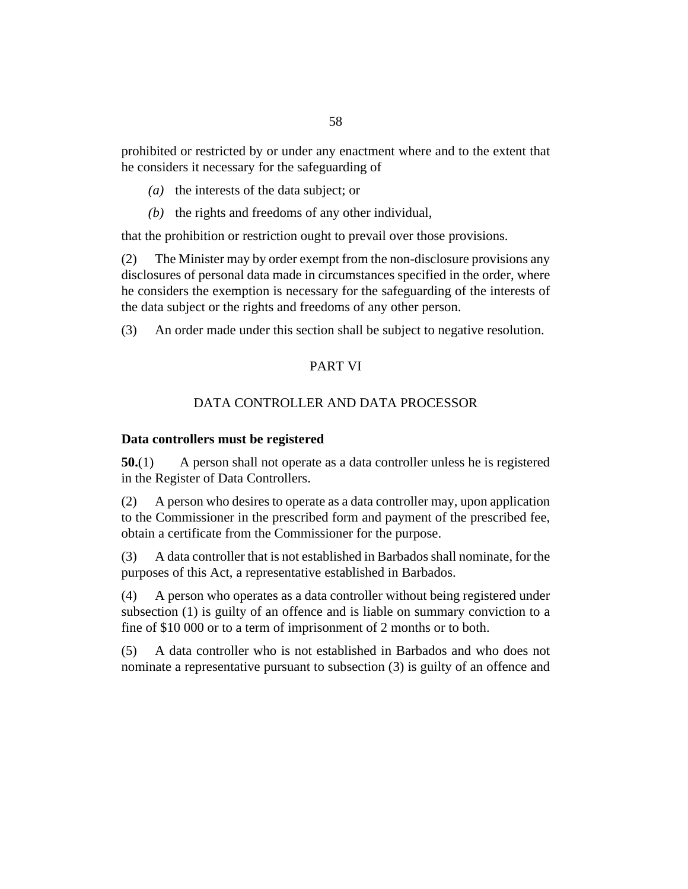prohibited or restricted by or under any enactment where and to the extent that he considers it necessary for the safeguarding of

- ( $a)$ ) the interests of the data subject; or
- $(b)$  the rights and freedoms of any other individual,

that the prohibition or restriction ought to prevail over those provisions.

The Minister may by order exempt from the non-disclosure provisions any disclosures of personal data made in circumstances specified in the order, where he considers the exemption is necessary for the safeguarding of the interests of the data subject or the rights and freedoms of any other person. (2)

An order made under this section shall be subject to negative resolution. (3)

## PART VI

## DATA CONTROLLER AND DATA PROCESSOR

#### **Data controllers must be registered**

A person shall not operate as a data controller unless he is registered in the Register of Data Controllers. **50.**(1)

A person who desires to operate as a data controller may, upon application to the Commissioner in the prescribed form and payment of the prescribed fee, obtain a certificate from the Commissioner for the purpose. (2)

A data controller that is not established in Barbados shall nominate, for the purposes of this Act, a representative established in Barbados. (3)

A person who operates as a data controller without being registered under subsection (1) is guilty of an offence and is liable on summary conviction to a fine of \$10 000 or to a term of imprisonment of 2 months or to both. (4)

A data controller who is not established in Barbados and who does not nominate a representative pursuant to subsection (3) is guilty of an offence and (5)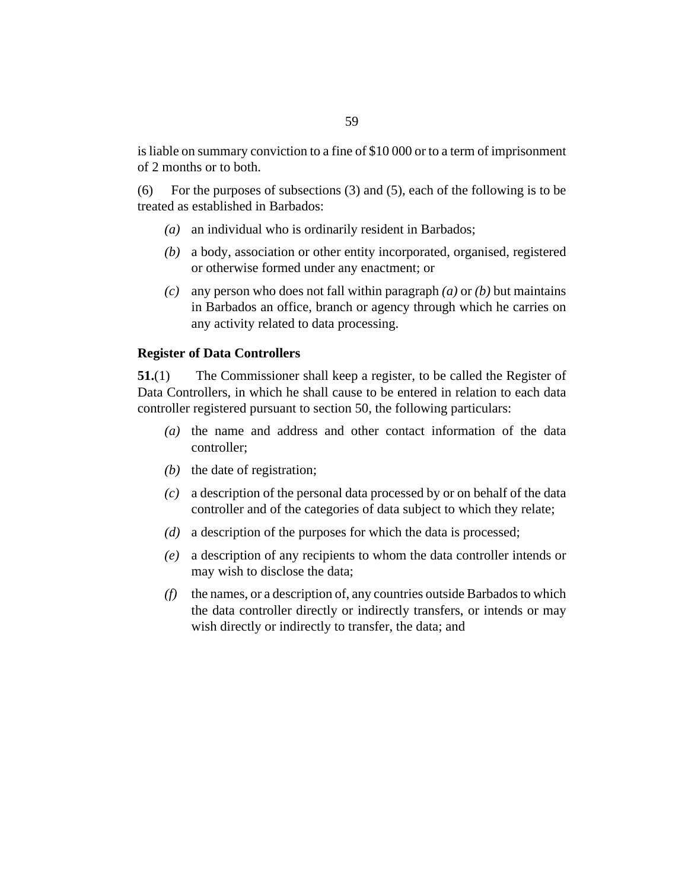is liable on summary conviction to a fine of \$10 000 or to a term of imprisonment of 2 months or to both.

For the purposes of subsections (3) and (5), each of the following is to be treated as established in Barbados: (6)

- (a) an individual who is ordinarily resident in Barbados;
- a body, association or other entity incorporated, organised, registered *(b)* or otherwise formed under any enactment; or
- any person who does not fall within paragraph *(a)* or *(b)* but maintains *(c)* in Barbados an office, branch or agency through which he carries on any activity related to data processing.

#### **Register of Data Controllers**

The Commissioner shall keep a register, to be called the Register of Data Controllers, in which he shall cause to be entered in relation to each data controller registered pursuant to section 50, the following particulars: **51.**(1)

- (a) the name and address and other contact information of the data controller;
- $(b)$  the date of registration;
- a description of the personal data processed by or on behalf of the data *(c)* controller and of the categories of data subject to which they relate;
- a description of the purposes for which the data is processed; *(d)*
- a description of any recipients to whom the data controller intends or *(e)* may wish to disclose the data;
- the names, or a description of, any countries outside Barbados to which *(f)* the data controller directly or indirectly transfers, or intends or may wish directly or indirectly to transfer, the data; and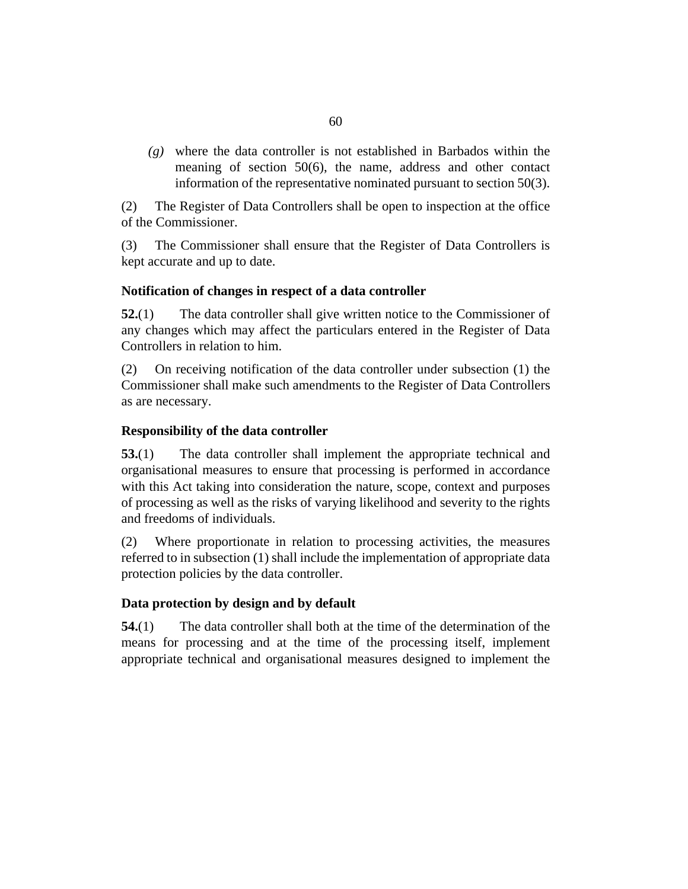where the data controller is not established in Barbados within the *(g)* meaning of section 50(6), the name, address and other contact information of the representative nominated pursuant to section 50(3).

The Register of Data Controllers shall be open to inspection at the office of the Commissioner. (2)

The Commissioner shall ensure that the Register of Data Controllers is kept accurate and up to date. (3)

## **Notification of changes in respect of a data controller**

The data controller shall give written notice to the Commissioner of any changes which may affect the particulars entered in the Register of Data Controllers in relation to him. **52.**(1)

On receiving notification of the data controller under subsection (1) the Commissioner shall make such amendments to the Register of Data Controllers as are necessary. (2)

## **Responsibility of the data controller**

The data controller shall implement the appropriate technical and organisational measures to ensure that processing is performed in accordance with this Act taking into consideration the nature, scope, context and purposes of processing as well as the risks of varying likelihood and severity to the rights and freedoms of individuals. **53.**(1)

Where proportionate in relation to processing activities, the measures referred to in subsection (1) shall include the implementation of appropriate data protection policies by the data controller. (2)

#### **Data protection by design and by default**

The data controller shall both at the time of the determination of the means for processing and at the time of the processing itself, implement appropriate technical and organisational measures designed to implement the **54.**(1)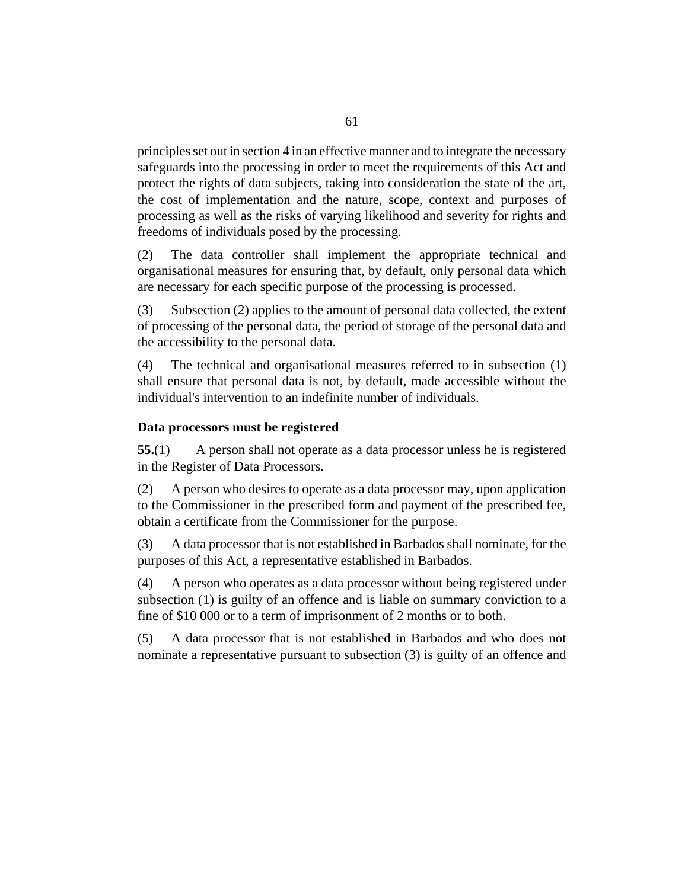principles set out in section 4 in an effective manner and to integrate the necessary safeguards into the processing in order to meet the requirements of this Act and protect the rights of data subjects, taking into consideration the state of the art, the cost of implementation and the nature, scope, context and purposes of processing as well as the risks of varying likelihood and severity for rights and freedoms of individuals posed by the processing.

The data controller shall implement the appropriate technical and organisational measures for ensuring that, by default, only personal data which are necessary for each specific purpose of the processing is processed. (2)

Subsection (2) applies to the amount of personal data collected, the extent of processing of the personal data, the period of storage of the personal data and the accessibility to the personal data. (3)

The technical and organisational measures referred to in subsection (1) shall ensure that personal data is not, by default, made accessible without the individual's intervention to an indefinite number of individuals. (4)

#### **Data processors must be registered**

A person shall not operate as a data processor unless he is registered in the Register of Data Processors. **55.**(1)

A person who desires to operate as a data processor may, upon application to the Commissioner in the prescribed form and payment of the prescribed fee, obtain a certificate from the Commissioner for the purpose. (2)

A data processor that is not established in Barbados shall nominate, for the purposes of this Act, a representative established in Barbados. (3)

A person who operates as a data processor without being registered under subsection (1) is guilty of an offence and is liable on summary conviction to a fine of \$10 000 or to a term of imprisonment of 2 months or to both. (4)

A data processor that is not established in Barbados and who does not nominate a representative pursuant to subsection (3) is guilty of an offence and (5)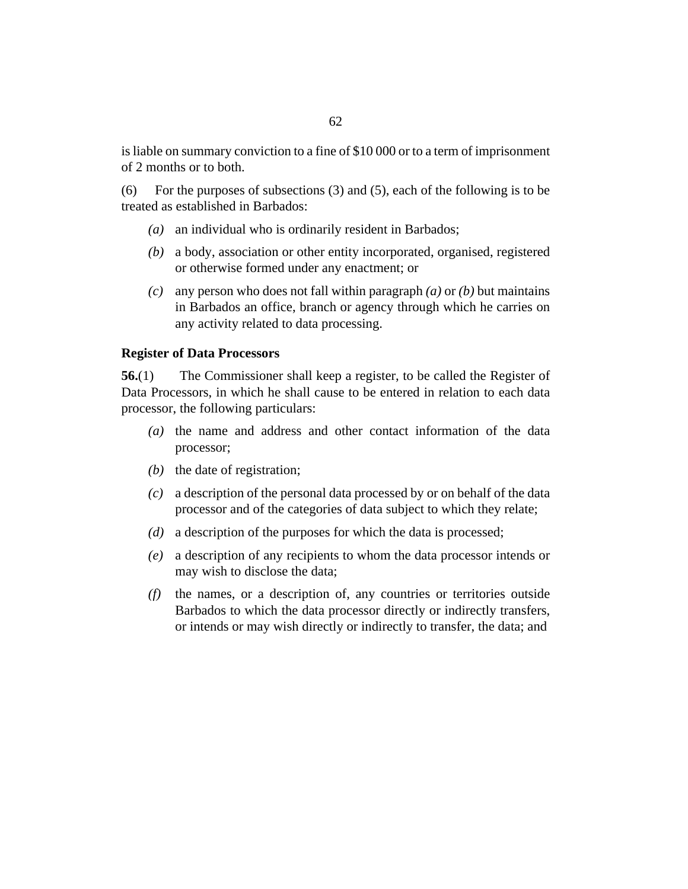is liable on summary conviction to a fine of \$10 000 or to a term of imprisonment of 2 months or to both.

For the purposes of subsections (3) and (5), each of the following is to be treated as established in Barbados: (6)

- (a) an individual who is ordinarily resident in Barbados;
- a body, association or other entity incorporated, organised, registered *(b)* or otherwise formed under any enactment; or
- any person who does not fall within paragraph *(a)* or *(b)* but maintains *(c)* in Barbados an office, branch or agency through which he carries on any activity related to data processing.

#### **Register of Data Processors**

The Commissioner shall keep a register, to be called the Register of Data Processors, in which he shall cause to be entered in relation to each data processor, the following particulars: **56.**(1)

- $(a)$  the name and address and other contact information of the data processor;
- $(b)$  the date of registration;
- a description of the personal data processed by or on behalf of the data *(c)* processor and of the categories of data subject to which they relate;
- a description of the purposes for which the data is processed; *(d)*
- a description of any recipients to whom the data processor intends or *(e)* may wish to disclose the data;
- $(f)$  the names, or a description of, any countries or territories outside Barbados to which the data processor directly or indirectly transfers, or intends or may wish directly or indirectly to transfer, the data; and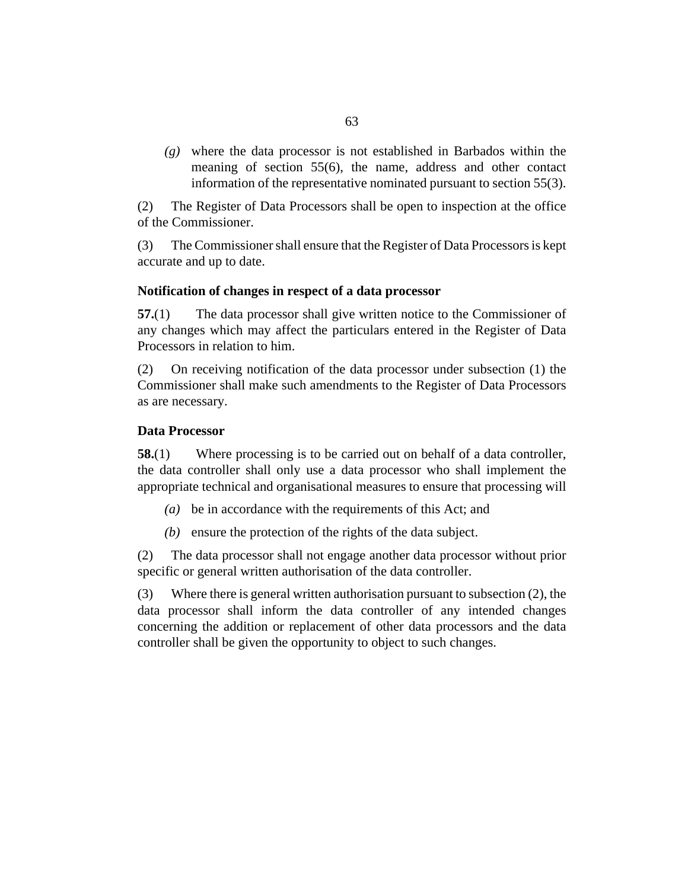where the data processor is not established in Barbados within the *(g)* meaning of section 55(6), the name, address and other contact information of the representative nominated pursuant to section 55(3).

The Register of Data Processors shall be open to inspection at the office of the Commissioner. (2)

The Commissioner shall ensure that the Register of Data Processors is kept accurate and up to date. (3)

#### **Notification of changes in respect of a data processor**

The data processor shall give written notice to the Commissioner of any changes which may affect the particulars entered in the Register of Data Processors in relation to him. **57.**(1)

On receiving notification of the data processor under subsection (1) the Commissioner shall make such amendments to the Register of Data Processors as are necessary. (2)

#### **Data Processor**

Where processing is to be carried out on behalf of a data controller, the data controller shall only use a data processor who shall implement the appropriate technical and organisational measures to ensure that processing will **58.**(1)

- be in accordance with the requirements of this Act; and *(a)*
- $(b)$  ensure the protection of the rights of the data subject.

The data processor shall not engage another data processor without prior specific or general written authorisation of the data controller. (2)

Where there is general written authorisation pursuant to subsection (2), the data processor shall inform the data controller of any intended changes concerning the addition or replacement of other data processors and the data controller shall be given the opportunity to object to such changes. (3)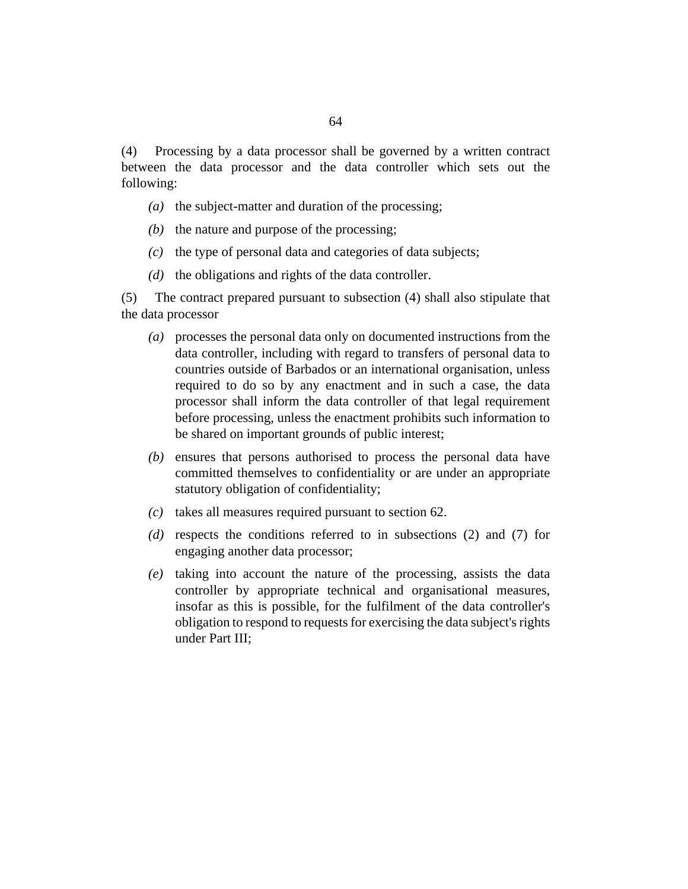Processing by a data processor shall be governed by a written contract between the data processor and the data controller which sets out the following: (4)

- ( $a$ ) the subject-matter and duration of the processing;
- $(b)$  the nature and purpose of the processing;
- the type of personal data and categories of data subjects; *(c)*
- $(d)$  the obligations and rights of the data controller.

The contract prepared pursuant to subsection (4) shall also stipulate that the data processor (5)

- processes the personal data only on documented instructions from the *(a)* data controller, including with regard to transfers of personal data to countries outside of Barbados or an international organisation, unless required to do so by any enactment and in such a case, the data processor shall inform the data controller of that legal requirement before processing, unless the enactment prohibits such information to be shared on important grounds of public interest;
- (b) ensures that persons authorised to process the personal data have committed themselves to confidentiality or are under an appropriate statutory obligation of confidentiality;
- $(c)$  takes all measures required pursuant to section 62.
- (d) respects the conditions referred to in subsections (2) and (7) for engaging another data processor;
- taking into account the nature of the processing, assists the data *(e)* controller by appropriate technical and organisational measures, insofar as this is possible, for the fulfilment of the data controller's obligation to respond to requests for exercising the data subject's rights under Part III;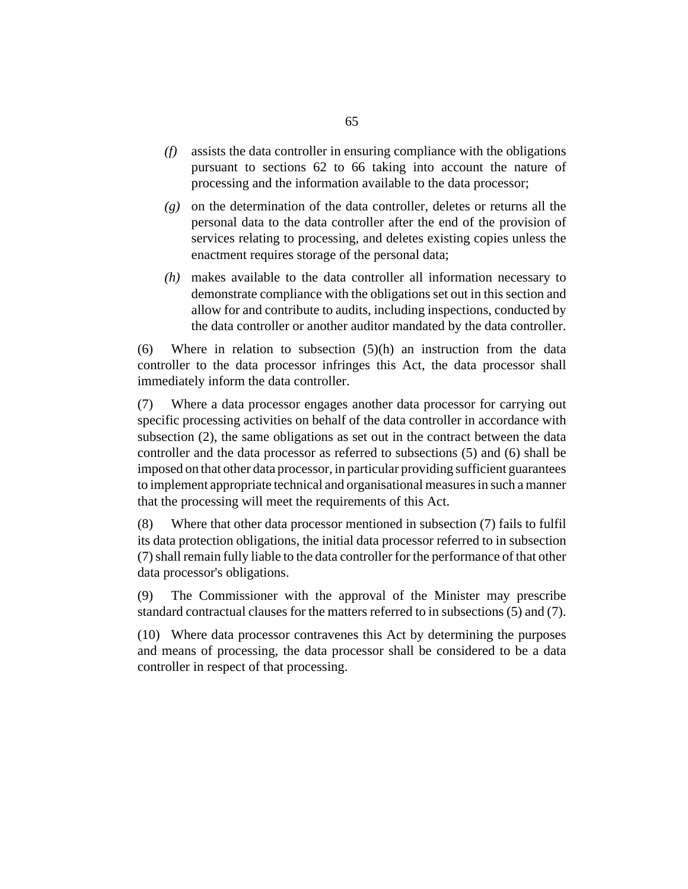- assists the data controller in ensuring compliance with the obligations pursuant to sections 62 to 66 taking into account the nature of processing and the information available to the data processor; *(f)*
- on the determination of the data controller, deletes or returns all the *(g)* personal data to the data controller after the end of the provision of services relating to processing, and deletes existing copies unless the enactment requires storage of the personal data;
- makes available to the data controller all information necessary to *(h)* demonstrate compliance with the obligations set out in this section and allow for and contribute to audits, including inspections, conducted by the data controller or another auditor mandated by the data controller.

Where in relation to subsection (5)(h) an instruction from the data controller to the data processor infringes this Act, the data processor shall immediately inform the data controller. (6)

Where a data processor engages another data processor for carrying out specific processing activities on behalf of the data controller in accordance with subsection (2), the same obligations as set out in the contract between the data controller and the data processor as referred to subsections (5) and (6) shall be imposed on that other data processor, in particular providing sufficient guarantees to implement appropriate technical and organisational measures in such a manner that the processing will meet the requirements of this Act. (7)

Where that other data processor mentioned in subsection (7) fails to fulfil its data protection obligations, the initial data processor referred to in subsection (7) shall remain fully liable to the data controller for the performance of that other data processor's obligations. (8)

The Commissioner with the approval of the Minister may prescribe standard contractual clauses for the matters referred to in subsections (5) and (7). (9)

Where data processor contravenes this Act by determining the purposes (10) and means of processing, the data processor shall be considered to be a data controller in respect of that processing.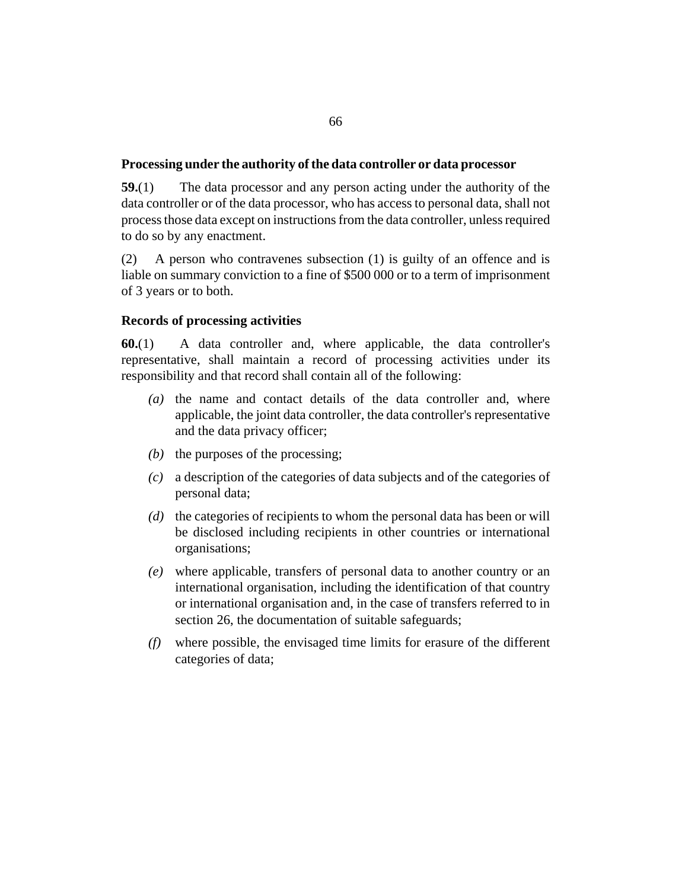#### **Processing under the authority of the data controller or data processor**

The data processor and any person acting under the authority of the data controller or of the data processor, who has access to personal data, shall not process those data except on instructions from the data controller, unless required to do so by any enactment. **59.**(1)

A person who contravenes subsection (1) is guilty of an offence and is liable on summary conviction to a fine of \$500 000 or to a term of imprisonment of 3 years or to both. (2)

## **Records of processing activities**

A data controller and, where applicable, the data controller's representative, shall maintain a record of processing activities under its responsibility and that record shall contain all of the following: **60.**(1)

- $(a)$  the name and contact details of the data controller and, where applicable, the joint data controller, the data controller's representative and the data privacy officer;
- $(b)$  the purposes of the processing;
- a description of the categories of data subjects and of the categories of *(c)* personal data;
- (d) the categories of recipients to whom the personal data has been or will be disclosed including recipients in other countries or international organisations;
- where applicable, transfers of personal data to another country or an *(e)* international organisation, including the identification of that country or international organisation and, in the case of transfers referred to in section 26, the documentation of suitable safeguards;
- where possible, the envisaged time limits for erasure of the different *(f)* categories of data;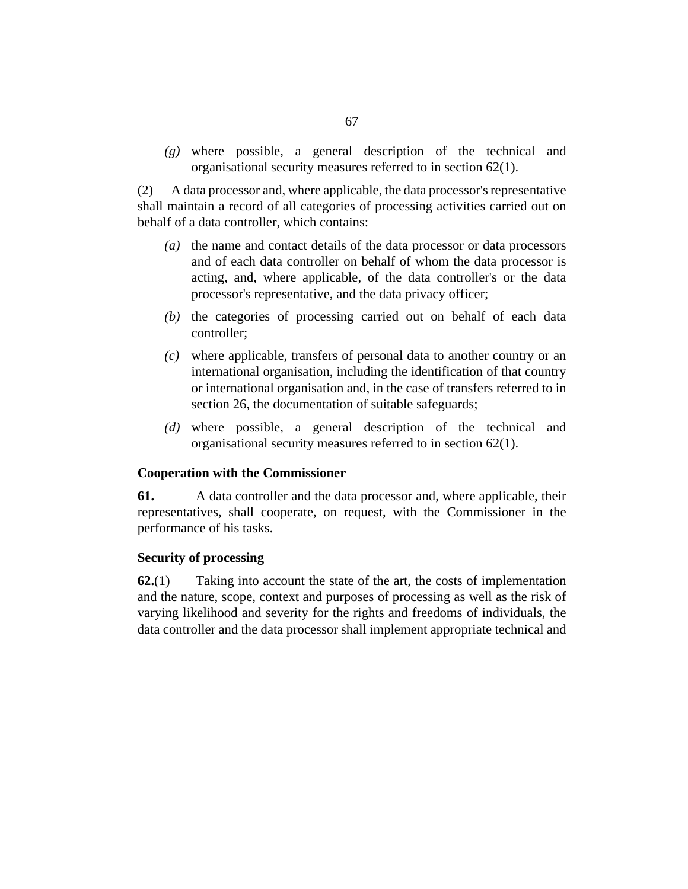where possible, a general description of the technical and *(g)* organisational security measures referred to in section 62(1).

A data processor and, where applicable, the data processor's representative shall maintain a record of all categories of processing activities carried out on behalf of a data controller, which contains: (2)

- (a) the name and contact details of the data processor or data processors and of each data controller on behalf of whom the data processor is acting, and, where applicable, of the data controller's or the data processor's representative, and the data privacy officer;
- $(t)$  the categories of processing carried out on behalf of each data controller;
- where applicable, transfers of personal data to another country or an *(c)* international organisation, including the identification of that country or international organisation and, in the case of transfers referred to in section 26, the documentation of suitable safeguards;
- where possible, a general description of the technical and *(d)* organisational security measures referred to in section 62(1).

#### **Cooperation with the Commissioner**

A data controller and the data processor and, where applicable, their representatives, shall cooperate, on request, with the Commissioner in the performance of his tasks. **61.**

#### **Security of processing**

Taking into account the state of the art, the costs of implementation and the nature, scope, context and purposes of processing as well as the risk of varying likelihood and severity for the rights and freedoms of individuals, the data controller and the data processor shall implement appropriate technical and **62.**(1)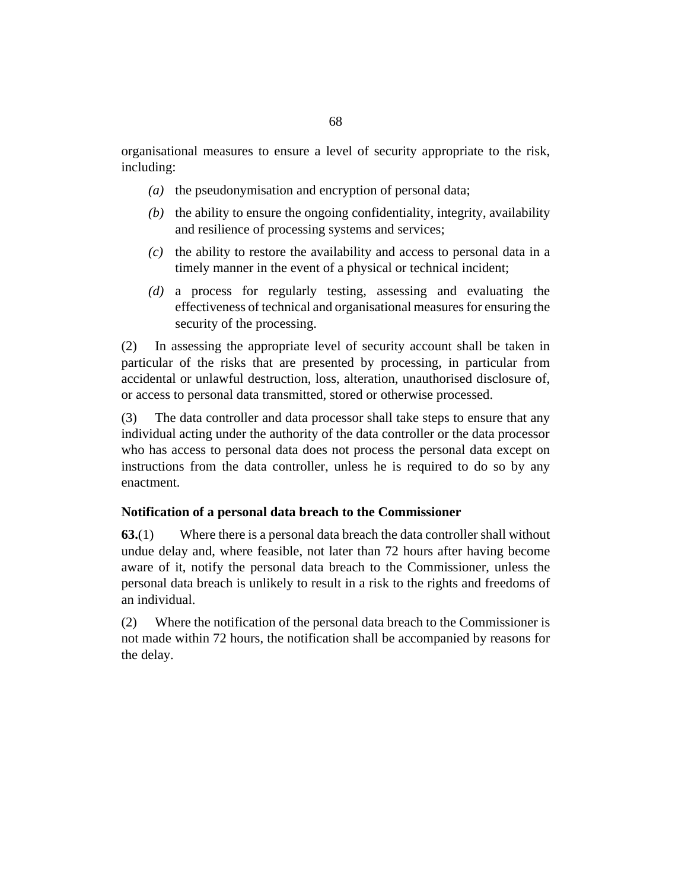organisational measures to ensure a level of security appropriate to the risk, including:

- (a) the pseudonymisation and encryption of personal data;
- $(b)$  the ability to ensure the ongoing confidentiality, integrity, availability and resilience of processing systems and services;
- $(c)$  the ability to restore the availability and access to personal data in a timely manner in the event of a physical or technical incident;
- a process for regularly testing, assessing and evaluating the *(d)* effectiveness of technical and organisational measures for ensuring the security of the processing.

In assessing the appropriate level of security account shall be taken in particular of the risks that are presented by processing, in particular from accidental or unlawful destruction, loss, alteration, unauthorised disclosure of, or access to personal data transmitted, stored or otherwise processed. (2)

The data controller and data processor shall take steps to ensure that any individual acting under the authority of the data controller or the data processor who has access to personal data does not process the personal data except on instructions from the data controller, unless he is required to do so by any enactment. (3)

#### **Notification of a personal data breach to the Commissioner**

Where there is a personal data breach the data controller shall without undue delay and, where feasible, not later than 72 hours after having become aware of it, notify the personal data breach to the Commissioner, unless the personal data breach is unlikely to result in a risk to the rights and freedoms of an individual. **63.**(1)

Where the notification of the personal data breach to the Commissioner is not made within 72 hours, the notification shall be accompanied by reasons for the delay. (2)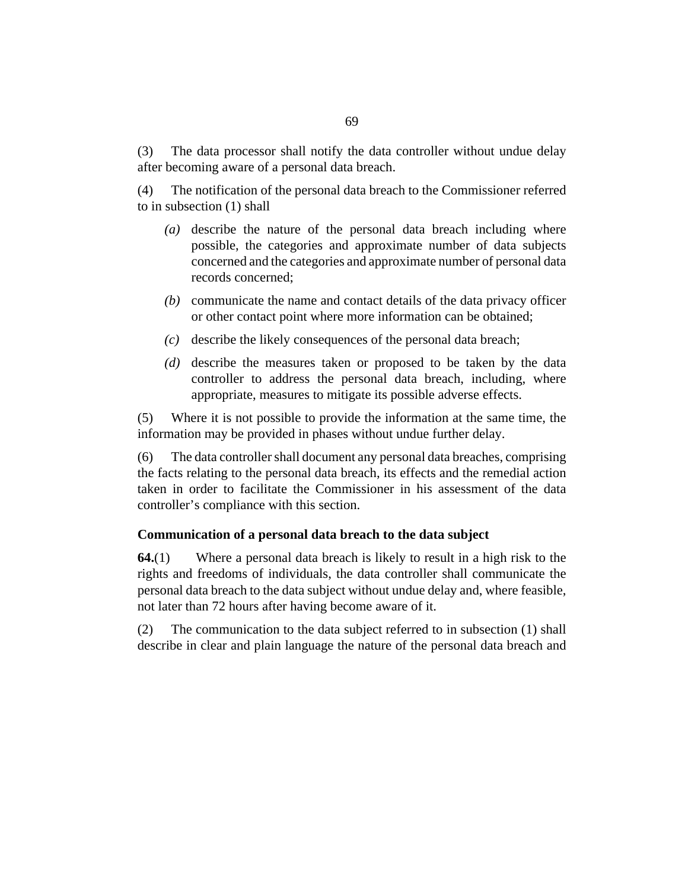The data processor shall notify the data controller without undue delay after becoming aware of a personal data breach. (3)

The notification of the personal data breach to the Commissioner referred to in subsection (1) shall (4)

- (a) describe the nature of the personal data breach including where possible, the categories and approximate number of data subjects concerned and the categories and approximate number of personal data records concerned;
- (b) communicate the name and contact details of the data privacy officer or other contact point where more information can be obtained;
- describe the likely consequences of the personal data breach; *(c)*
- (d) describe the measures taken or proposed to be taken by the data controller to address the personal data breach, including, where appropriate, measures to mitigate its possible adverse effects.

Where it is not possible to provide the information at the same time, the information may be provided in phases without undue further delay. (5)

The data controller shall document any personal data breaches, comprising the facts relating to the personal data breach, its effects and the remedial action taken in order to facilitate the Commissioner in his assessment of the data controller's compliance with this section. (6)

#### **Communication of a personal data breach to the data subject**

Where a personal data breach is likely to result in a high risk to the rights and freedoms of individuals, the data controller shall communicate the personal data breach to the data subject without undue delay and, where feasible, not later than 72 hours after having become aware of it. **64.**(1)

The communication to the data subject referred to in subsection (1) shall describe in clear and plain language the nature of the personal data breach and (2)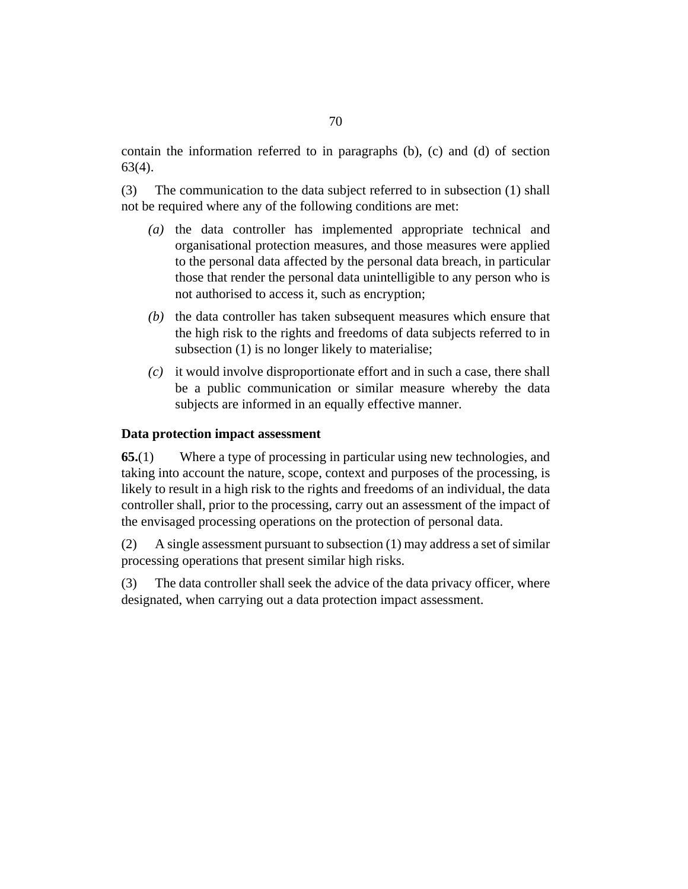contain the information referred to in paragraphs (b), (c) and (d) of section 63(4).

The communication to the data subject referred to in subsection (1) shall not be required where any of the following conditions are met: (3)

- (a) the data controller has implemented appropriate technical and organisational protection measures, and those measures were applied to the personal data affected by the personal data breach, in particular those that render the personal data unintelligible to any person who is not authorised to access it, such as encryption;
- $(b)$  the data controller has taken subsequent measures which ensure that the high risk to the rights and freedoms of data subjects referred to in subsection (1) is no longer likely to materialise;
- it would involve disproportionate effort and in such a case, there shall *(c)* be a public communication or similar measure whereby the data subjects are informed in an equally effective manner.

#### **Data protection impact assessment**

Where a type of processing in particular using new technologies, and taking into account the nature, scope, context and purposes of the processing, is likely to result in a high risk to the rights and freedoms of an individual, the data controller shall, prior to the processing, carry out an assessment of the impact of the envisaged processing operations on the protection of personal data. **65.**(1)

A single assessment pursuant to subsection (1) may address a set of similar processing operations that present similar high risks. (2)

The data controller shall seek the advice of the data privacy officer, where designated, when carrying out a data protection impact assessment. (3)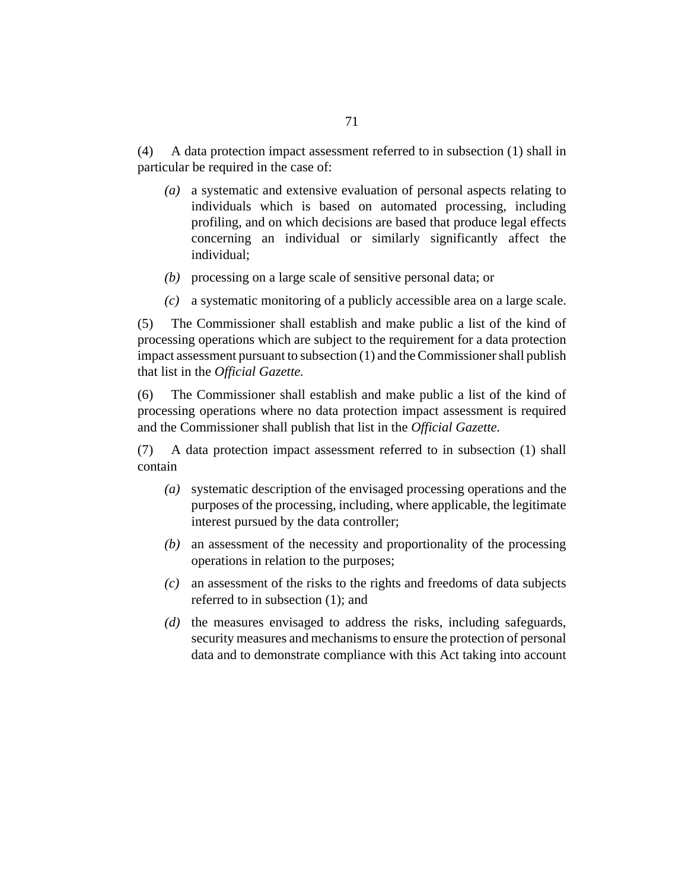A data protection impact assessment referred to in subsection (1) shall in particular be required in the case of: (4)

- (a) a systematic and extensive evaluation of personal aspects relating to individuals which is based on automated processing, including profiling, and on which decisions are based that produce legal effects concerning an individual or similarly significantly affect the individual;
- processing on a large scale of sensitive personal data; or *(b)*
- a systematic monitoring of a publicly accessible area on a large scale. *(c)*

The Commissioner shall establish and make public a list of the kind of processing operations which are subject to the requirement for a data protection impact assessment pursuant to subsection (1) and the Commissioner shall publish that list in the *Official Gazette.* (5)

The Commissioner shall establish and make public a list of the kind of processing operations where no data protection impact assessment is required and the Commissioner shall publish that list in the *Official Gazette.* (6)

A data protection impact assessment referred to in subsection (1) shall contain (7)

- systematic description of the envisaged processing operations and the *(a)* purposes of the processing, including, where applicable, the legitimate interest pursued by the data controller;
- an assessment of the necessity and proportionality of the processing *(b)* operations in relation to the purposes;
- an assessment of the risks to the rights and freedoms of data subjects *(c)* referred to in subsection (1); and
- (d) the measures envisaged to address the risks, including safeguards, security measures and mechanisms to ensure the protection of personal data and to demonstrate compliance with this Act taking into account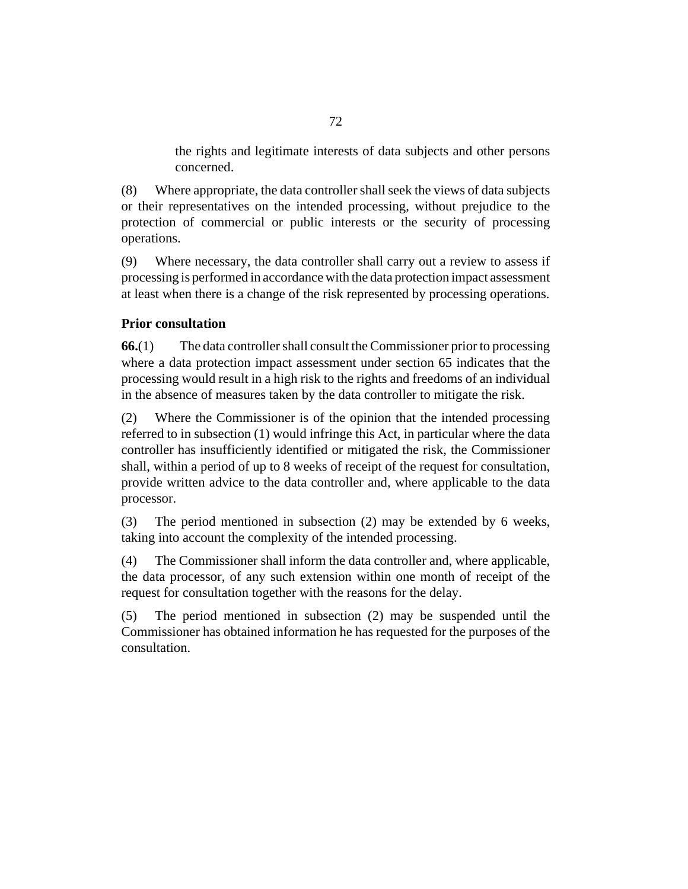the rights and legitimate interests of data subjects and other persons concerned.

Where appropriate, the data controller shall seek the views of data subjects or their representatives on the intended processing, without prejudice to the protection of commercial or public interests or the security of processing operations. (8)

Where necessary, the data controller shall carry out a review to assess if processing is performed in accordance with the data protection impact assessment at least when there is a change of the risk represented by processing operations. (9)

## **Prior consultation**

The data controller shall consult the Commissioner prior to processing where a data protection impact assessment under section 65 indicates that the processing would result in a high risk to the rights and freedoms of an individual in the absence of measures taken by the data controller to mitigate the risk. **66.**(1)

Where the Commissioner is of the opinion that the intended processing referred to in subsection (1) would infringe this Act, in particular where the data controller has insufficiently identified or mitigated the risk, the Commissioner shall, within a period of up to 8 weeks of receipt of the request for consultation, provide written advice to the data controller and, where applicable to the data processor. (2)

The period mentioned in subsection (2) may be extended by 6 weeks, taking into account the complexity of the intended processing. (3)

The Commissioner shall inform the data controller and, where applicable, the data processor, of any such extension within one month of receipt of the request for consultation together with the reasons for the delay. (4)

The period mentioned in subsection (2) may be suspended until the Commissioner has obtained information he has requested for the purposes of the consultation. (5)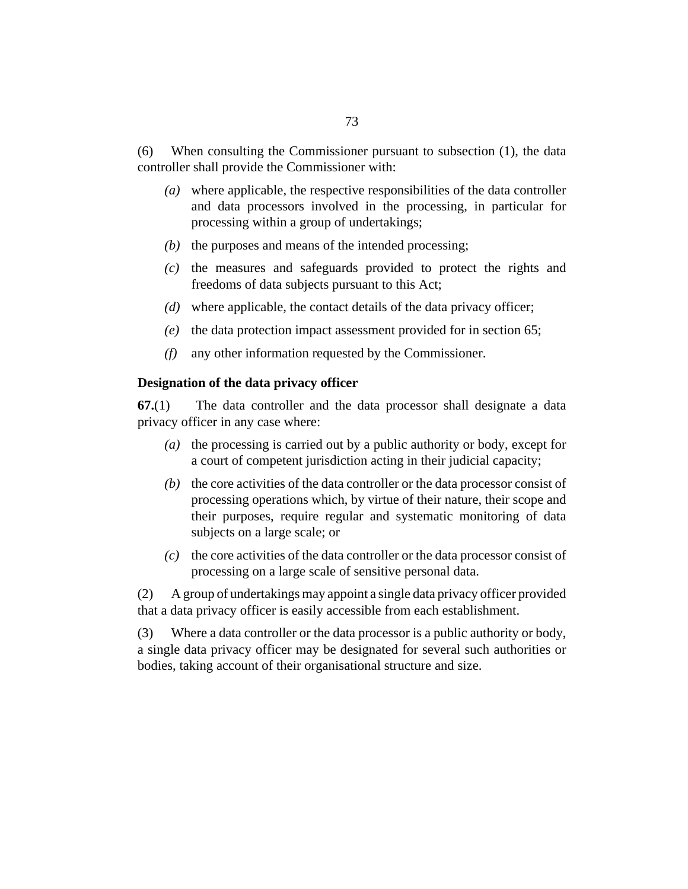When consulting the Commissioner pursuant to subsection (1), the data controller shall provide the Commissioner with: (6)

- where applicable, the respective responsibilities of the data controller *(a)* and data processors involved in the processing, in particular for processing within a group of undertakings;
- $(b)$  the purposes and means of the intended processing;
- $(c)$  the measures and safeguards provided to protect the rights and freedoms of data subjects pursuant to this Act;
- where applicable, the contact details of the data privacy officer; *(d)*
- (e) the data protection impact assessment provided for in section 65;
- any other information requested by the Commissioner. *(f)*

### **Designation of the data privacy officer**

The data controller and the data processor shall designate a data privacy officer in any case where: **67.**(1)

- (a) the processing is carried out by a public authority or body, except for a court of competent jurisdiction acting in their judicial capacity;
- $(b)$  the core activities of the data controller or the data processor consist of processing operations which, by virtue of their nature, their scope and their purposes, require regular and systematic monitoring of data subjects on a large scale; or
- $\alpha$  the core activities of the data controller or the data processor consist of processing on a large scale of sensitive personal data.

A group of undertakings may appoint a single data privacy officer provided that a data privacy officer is easily accessible from each establishment. (2)

Where a data controller or the data processor is a public authority or body, a single data privacy officer may be designated for several such authorities or bodies, taking account of their organisational structure and size. (3)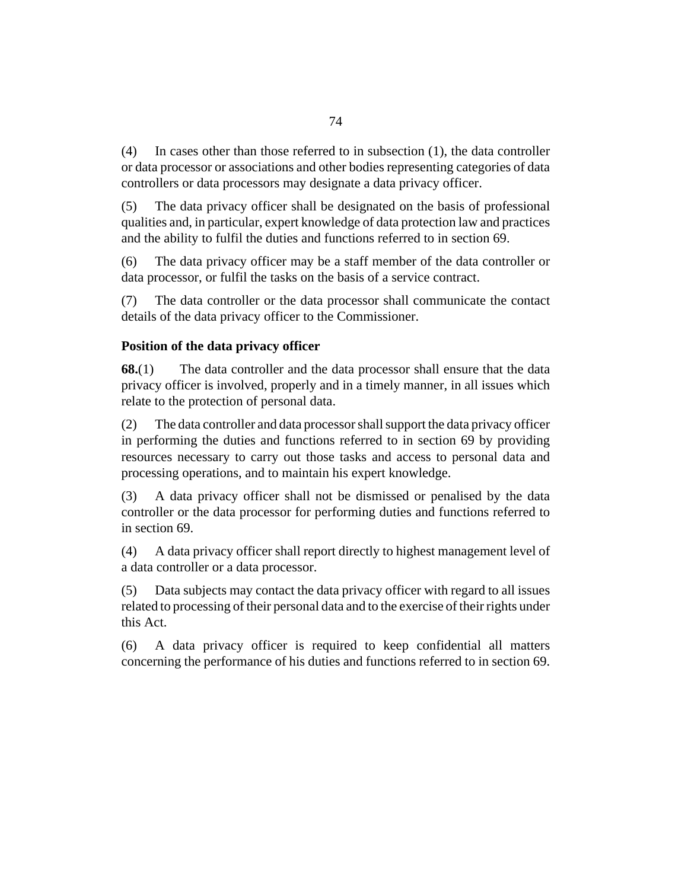In cases other than those referred to in subsection (1), the data controller or data processor or associations and other bodies representing categories of data controllers or data processors may designate a data privacy officer. (4)

The data privacy officer shall be designated on the basis of professional qualities and, in particular, expert knowledge of data protection law and practices and the ability to fulfil the duties and functions referred to in section 69. (5)

The data privacy officer may be a staff member of the data controller or data processor, or fulfil the tasks on the basis of a service contract. (6)

The data controller or the data processor shall communicate the contact details of the data privacy officer to the Commissioner. (7)

# **Position of the data privacy officer**

The data controller and the data processor shall ensure that the data privacy officer is involved, properly and in a timely manner, in all issues which relate to the protection of personal data. **68.**(1)

The data controller and data processor shall support the data privacy officer in performing the duties and functions referred to in section 69 by providing resources necessary to carry out those tasks and access to personal data and processing operations, and to maintain his expert knowledge. (2)

A data privacy officer shall not be dismissed or penalised by the data controller or the data processor for performing duties and functions referred to in section 69. (3)

A data privacy officer shall report directly to highest management level of a data controller or a data processor. (4)

Data subjects may contact the data privacy officer with regard to all issues related to processing of their personal data and to the exercise of their rights under this Act. (5)

A data privacy officer is required to keep confidential all matters concerning the performance of his duties and functions referred to in section 69. (6)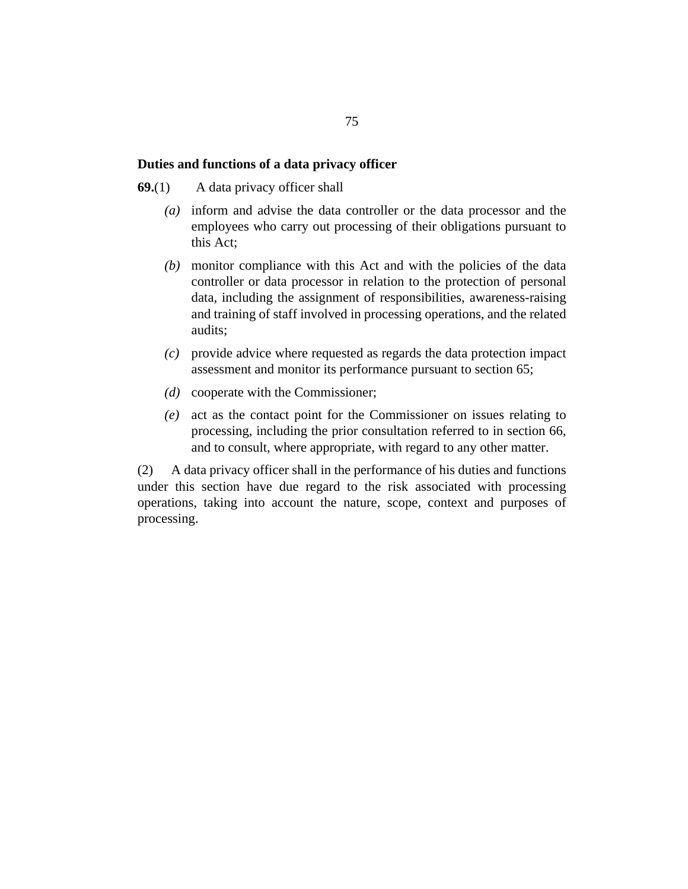#### **Duties and functions of a data privacy officer**

A data privacy officer shall **69.**(1)

- inform and advise the data controller or the data processor and the *(a)* employees who carry out processing of their obligations pursuant to this Act;
- monitor compliance with this Act and with the policies of the data *(b)* controller or data processor in relation to the protection of personal data, including the assignment of responsibilities, awareness-raising and training of staff involved in processing operations, and the related audits;
- provide advice where requested as regards the data protection impact *(c)* assessment and monitor its performance pursuant to section 65;
- (*d*) cooperate with the Commissioner;
- act as the contact point for the Commissioner on issues relating to *(e)* processing, including the prior consultation referred to in section 66, and to consult, where appropriate, with regard to any other matter.

A data privacy officer shall in the performance of his duties and functions under this section have due regard to the risk associated with processing operations, taking into account the nature, scope, context and purposes of processing. (2)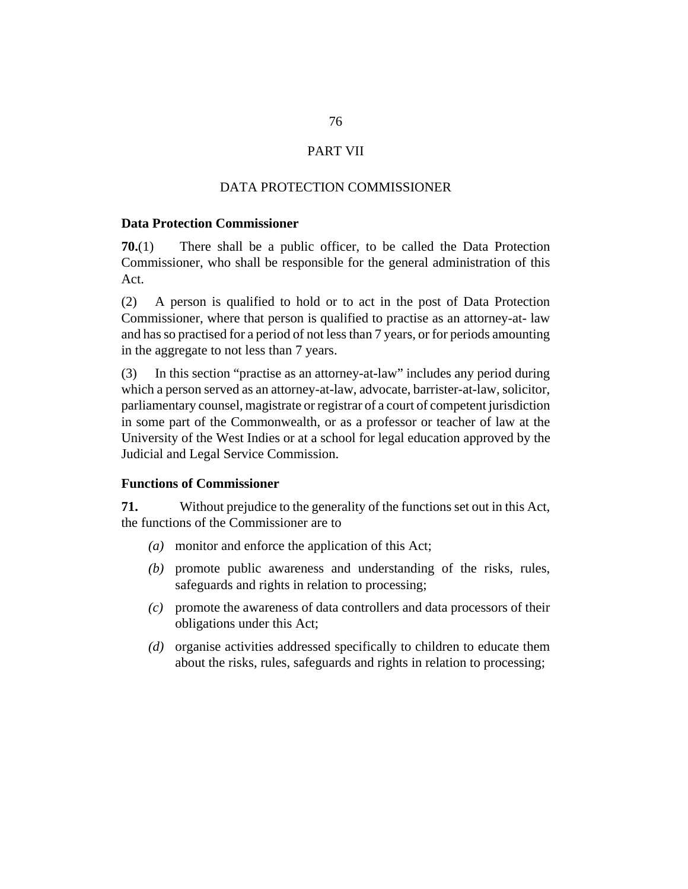# PART VII

# DATA PROTECTION COMMISSIONER

### **Data Protection Commissioner**

There shall be a public officer, to be called the Data Protection Commissioner, who shall be responsible for the general administration of this Act. **70.**(1)

A person is qualified to hold or to act in the post of Data Protection Commissioner, where that person is qualified to practise as an attorney-at- law and has so practised for a period of not less than 7 years, or for periods amounting in the aggregate to not less than 7 years. (2)

In this section "practise as an attorney-at-law" includes any period during which a person served as an attorney-at-law, advocate, barrister-at-law, solicitor, parliamentary counsel, magistrate or registrar of a court of competent jurisdiction in some part of the Commonwealth, or as a professor or teacher of law at the University of the West Indies or at a school for legal education approved by the Judicial and Legal Service Commission. (3)

# **Functions of Commissioner**

Without prejudice to the generality of the functions set out in this Act, the functions of the Commissioner are to **71.**

- monitor and enforce the application of this Act; *(a)*
- (b) promote public awareness and understanding of the risks, rules, safeguards and rights in relation to processing;
- promote the awareness of data controllers and data processors of their *(c)* obligations under this Act;
- (d) organise activities addressed specifically to children to educate them about the risks, rules, safeguards and rights in relation to processing;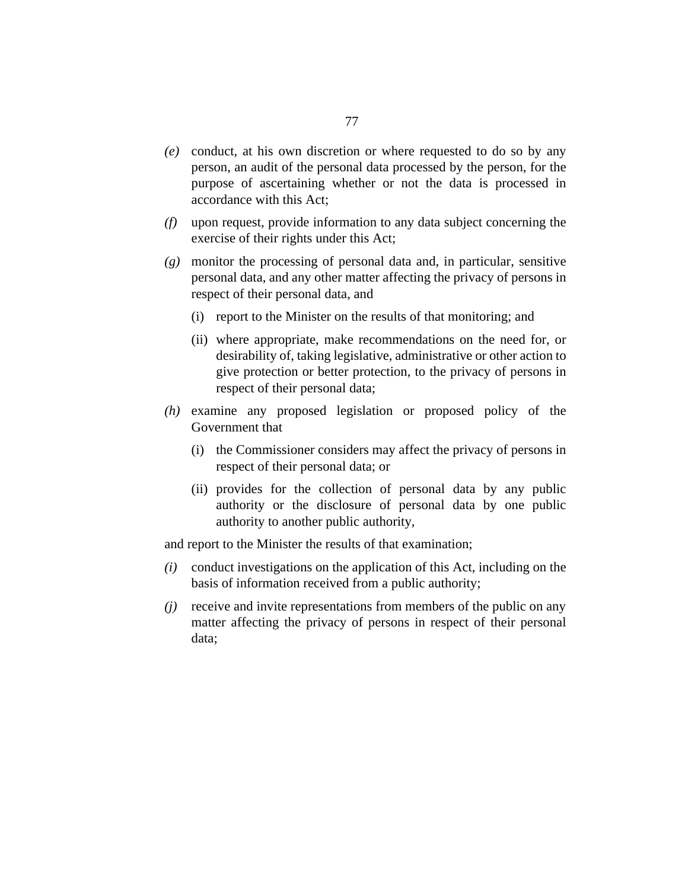- conduct, at his own discretion or where requested to do so by any *(e)* person, an audit of the personal data processed by the person, for the purpose of ascertaining whether or not the data is processed in accordance with this Act;
- upon request, provide information to any data subject concerning the *(f)* exercise of their rights under this Act;
- monitor the processing of personal data and, in particular, sensitive *(g)* personal data, and any other matter affecting the privacy of persons in respect of their personal data, and
	- (i) report to the Minister on the results of that monitoring; and
	- (ii) where appropriate, make recommendations on the need for, or desirability of, taking legislative, administrative or other action to give protection or better protection, to the privacy of persons in respect of their personal data;
- (h) examine any proposed legislation or proposed policy of the Government that
	- (i) the Commissioner considers may affect the privacy of persons in respect of their personal data; or
	- (ii) provides for the collection of personal data by any public authority or the disclosure of personal data by one public authority to another public authority,

and report to the Minister the results of that examination;

- $(i)$  conduct investigations on the application of this Act, including on the basis of information received from a public authority;
- receive and invite representations from members of the public on any *(j)* matter affecting the privacy of persons in respect of their personal data;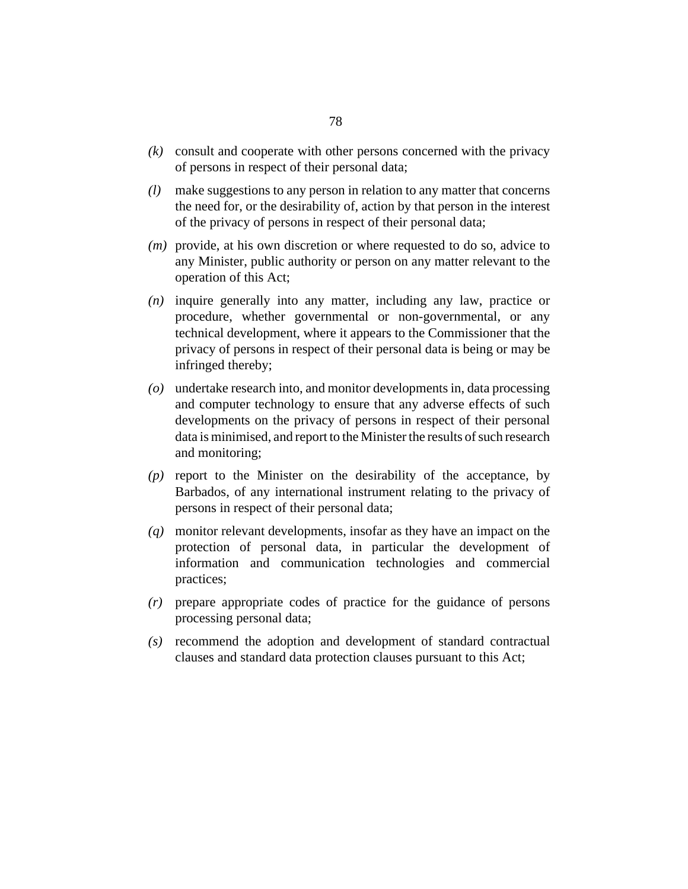- consult and cooperate with other persons concerned with the privacy *(k)* of persons in respect of their personal data;
- make suggestions to any person in relation to any matter that concerns *(l)* the need for, or the desirability of, action by that person in the interest of the privacy of persons in respect of their personal data;
- (*m*) provide, at his own discretion or where requested to do so, advice to any Minister, public authority or person on any matter relevant to the operation of this Act;
- inquire generally into any matter, including any law, practice or *(n)* procedure, whether governmental or non-governmental, or any technical development, where it appears to the Commissioner that the privacy of persons in respect of their personal data is being or may be infringed thereby;
- undertake research into, and monitor developments in, data processing *(o)* and computer technology to ensure that any adverse effects of such developments on the privacy of persons in respect of their personal data is minimised, and report to the Minister the results of such research and monitoring;
- $(p)$  report to the Minister on the desirability of the acceptance, by Barbados, of any international instrument relating to the privacy of persons in respect of their personal data;
- monitor relevant developments, insofar as they have an impact on the *(q)* protection of personal data, in particular the development of information and communication technologies and commercial practices;
- prepare appropriate codes of practice for the guidance of persons *(r)* processing personal data;
- recommend the adoption and development of standard contractual *(s)* clauses and standard data protection clauses pursuant to this Act;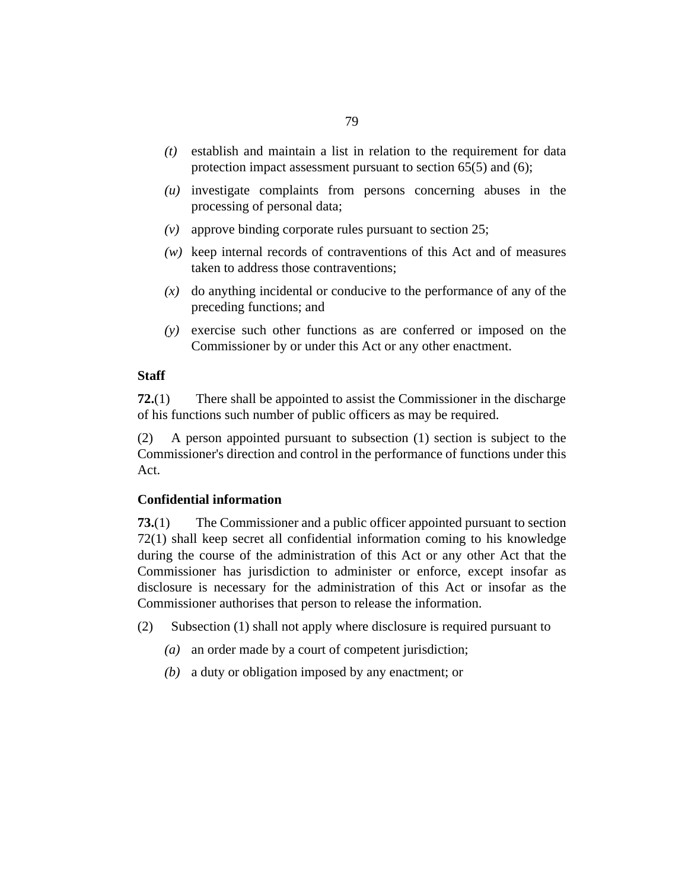- establish and maintain a list in relation to the requirement for data *(t)* protection impact assessment pursuant to section 65(5) and (6);
- $(u)$  investigate complaints from persons concerning abuses in the processing of personal data;
- approve binding corporate rules pursuant to section 25; *(v)*
- keep internal records of contraventions of this Act and of measures *(w)* taken to address those contraventions;
- $(x)$  do anything incidental or conducive to the performance of any of the preceding functions; and
- exercise such other functions as are conferred or imposed on the *(y)* Commissioner by or under this Act or any other enactment.

### **Staff**

There shall be appointed to assist the Commissioner in the discharge of his functions such number of public officers as may be required. **72.**(1)

A person appointed pursuant to subsection (1) section is subject to the Commissioner's direction and control in the performance of functions under this Act. (2)

# **Confidential information**

The Commissioner and a public officer appointed pursuant to section 72(1) shall keep secret all confidential information coming to his knowledge during the course of the administration of this Act or any other Act that the Commissioner has jurisdiction to administer or enforce, except insofar as disclosure is necessary for the administration of this Act or insofar as the Commissioner authorises that person to release the information. **73.**(1)

- Subsection (1) shall not apply where disclosure is required pursuant to (2)
	- an order made by a court of competent jurisdiction; *(a)*
	- a duty or obligation imposed by any enactment; or *(b)*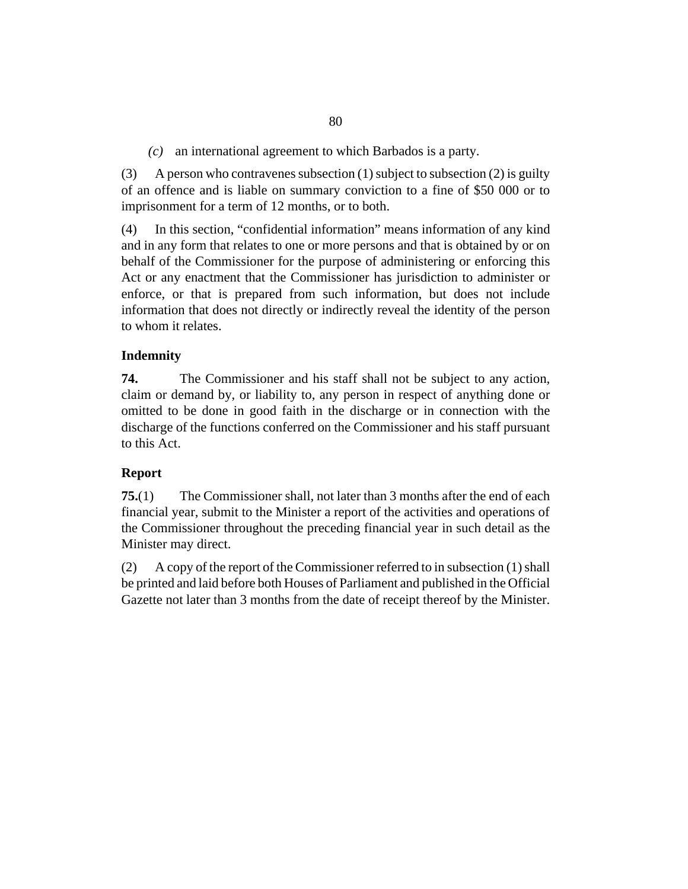an international agreement to which Barbados is a party. *(c)*

A person who contravenes subsection (1) subject to subsection (2) is guilty of an offence and is liable on summary conviction to a fine of \$50 000 or to imprisonment for a term of 12 months, or to both. (3)

In this section, "confidential information" means information of any kind and in any form that relates to one or more persons and that is obtained by or on behalf of the Commissioner for the purpose of administering or enforcing this Act or any enactment that the Commissioner has jurisdiction to administer or enforce, or that is prepared from such information, but does not include information that does not directly or indirectly reveal the identity of the person to whom it relates. (4)

# **Indemnity**

The Commissioner and his staff shall not be subject to any action, claim or demand by, or liability to, any person in respect of anything done or omitted to be done in good faith in the discharge or in connection with the discharge of the functions conferred on the Commissioner and his staff pursuant to this Act. **74.**

# **Report**

The Commissioner shall, not later than 3 months after the end of each financial year, submit to the Minister a report of the activities and operations of the Commissioner throughout the preceding financial year in such detail as the Minister may direct. **75.**(1)

A copy of the report of the Commissioner referred to in subsection (1) shall be printed and laid before both Houses of Parliament and published in the Official Gazette not later than 3 months from the date of receipt thereof by the Minister. (2)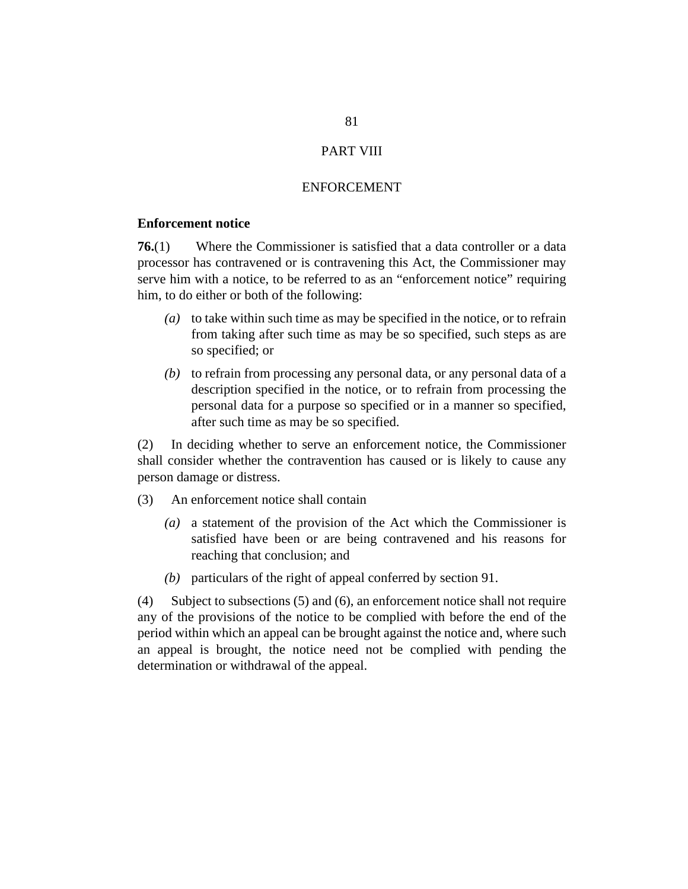## PART VIII

#### ENFORCEMENT

#### **Enforcement notice**

Where the Commissioner is satisfied that a data controller or a data processor has contravened or is contravening this Act, the Commissioner may serve him with a notice, to be referred to as an "enforcement notice" requiring him, to do either or both of the following: **76.**(1)

- to take within such time as may be specified in the notice, or to refrain *(a)* from taking after such time as may be so specified, such steps as are so specified; or
- (b) to refrain from processing any personal data, or any personal data of a description specified in the notice, or to refrain from processing the personal data for a purpose so specified or in a manner so specified, after such time as may be so specified.

In deciding whether to serve an enforcement notice, the Commissioner shall consider whether the contravention has caused or is likely to cause any person damage or distress. (2)

- An enforcement notice shall contain (3)
	- a statement of the provision of the Act which the Commissioner is *(a)* satisfied have been or are being contravened and his reasons for reaching that conclusion; and
	- (b) particulars of the right of appeal conferred by section 91.

Subject to subsections (5) and (6), an enforcement notice shall not require any of the provisions of the notice to be complied with before the end of the period within which an appeal can be brought against the notice and, where such an appeal is brought, the notice need not be complied with pending the determination or withdrawal of the appeal. (4)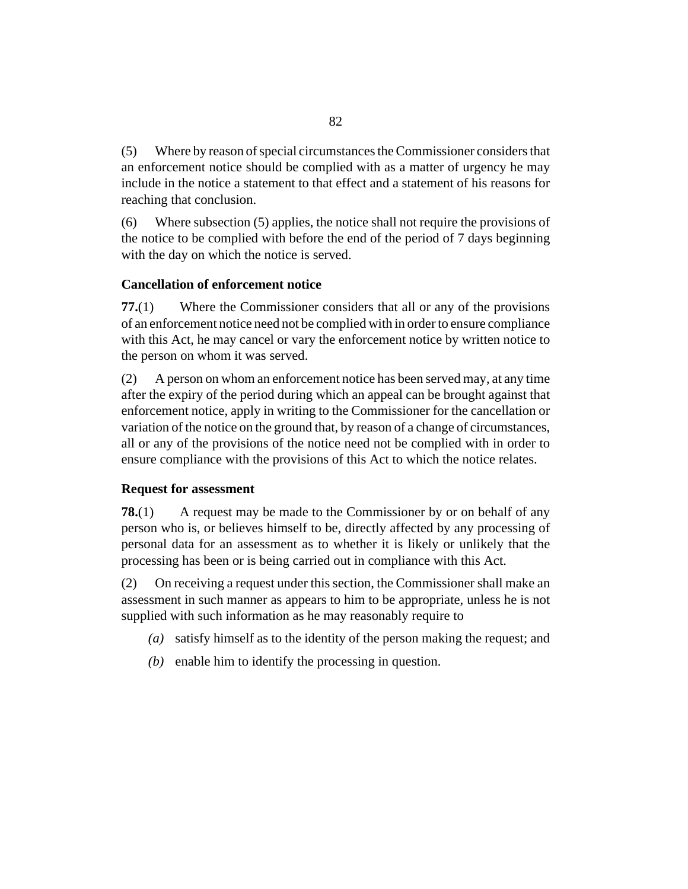Where by reason of special circumstances the Commissioner considers that an enforcement notice should be complied with as a matter of urgency he may include in the notice a statement to that effect and a statement of his reasons for reaching that conclusion. (5)

Where subsection (5) applies, the notice shall not require the provisions of the notice to be complied with before the end of the period of 7 days beginning with the day on which the notice is served. (6)

# **Cancellation of enforcement notice**

Where the Commissioner considers that all or any of the provisions of an enforcement notice need not be complied with in order to ensure compliance with this Act, he may cancel or vary the enforcement notice by written notice to the person on whom it was served. **77.**(1)

A person on whom an enforcement notice has been served may, at any time after the expiry of the period during which an appeal can be brought against that enforcement notice, apply in writing to the Commissioner for the cancellation or variation of the notice on the ground that, by reason of a change of circumstances, all or any of the provisions of the notice need not be complied with in order to ensure compliance with the provisions of this Act to which the notice relates. (2)

### **Request for assessment**

A request may be made to the Commissioner by or on behalf of any person who is, or believes himself to be, directly affected by any processing of personal data for an assessment as to whether it is likely or unlikely that the processing has been or is being carried out in compliance with this Act. **78.**(1)

On receiving a request under this section, the Commissioner shall make an assessment in such manner as appears to him to be appropriate, unless he is not supplied with such information as he may reasonably require to (2)

- satisfy himself as to the identity of the person making the request; and *(a)*
- $(b)$  enable him to identify the processing in question.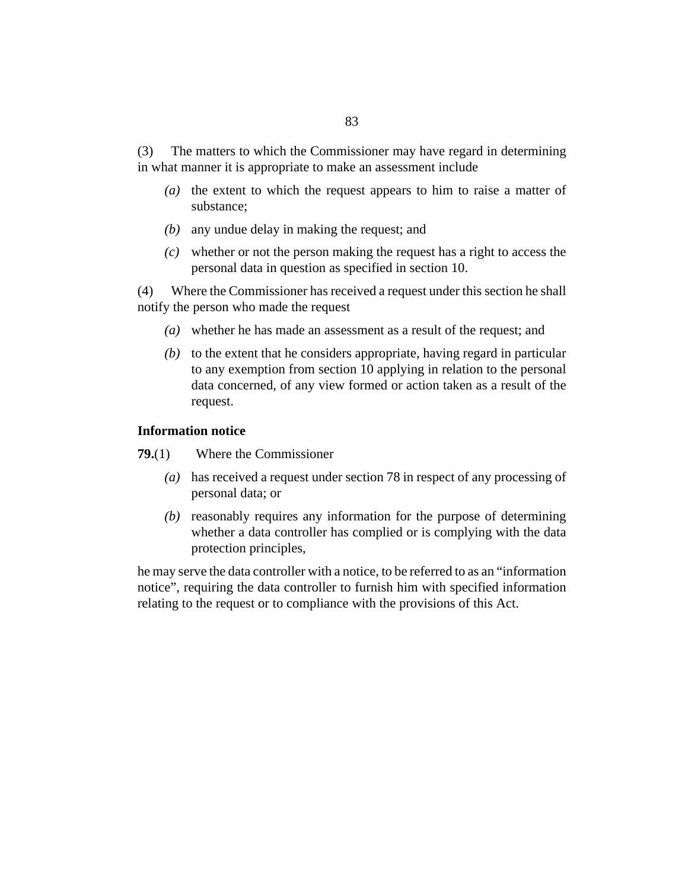The matters to which the Commissioner may have regard in determining in what manner it is appropriate to make an assessment include (3)

- ( $a$ ) the extent to which the request appears to him to raise a matter of substance;
- (b) any undue delay in making the request; and
- whether or not the person making the request has a right to access the *(c)* personal data in question as specified in section 10.

Where the Commissioner has received a request under this section he shall notify the person who made the request (4)

- whether he has made an assessment as a result of the request; and *(a)*
- $(b)$  to the extent that he considers appropriate, having regard in particular to any exemption from section 10 applying in relation to the personal data concerned, of any view formed or action taken as a result of the request.

#### **Information notice**

- Where the Commissioner **79.**(1)
	- has received a request under section 78 in respect of any processing of *(a)* personal data; or
	- (b) reasonably requires any information for the purpose of determining whether a data controller has complied or is complying with the data protection principles,

he may serve the data controller with a notice, to be referred to as an "information notice", requiring the data controller to furnish him with specified information relating to the request or to compliance with the provisions of this Act.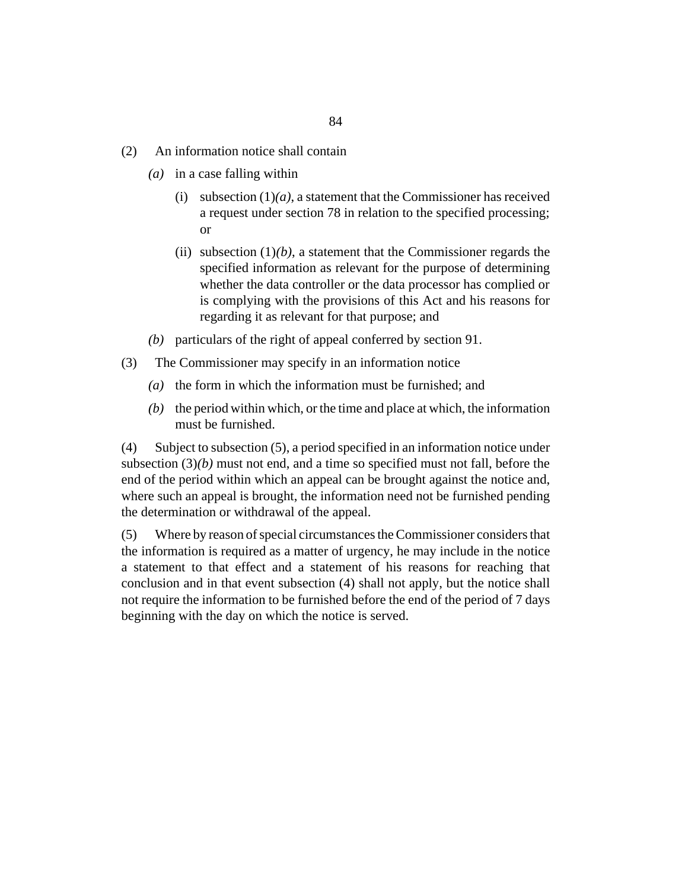- An information notice shall contain (2)
	- (a) in a case falling within
		- (i) subsection  $(1)(a)$ , a statement that the Commissioner has received a request under section 78 in relation to the specified processing; or
		- (ii) subsection  $(1)(b)$ , a statement that the Commissioner regards the specified information as relevant for the purpose of determining whether the data controller or the data processor has complied or is complying with the provisions of this Act and his reasons for regarding it as relevant for that purpose; and
	- (b) particulars of the right of appeal conferred by section 91.
- The Commissioner may specify in an information notice (3)
	- $(a)$  the form in which the information must be furnished; and
	- $(b)$  the period within which, or the time and place at which, the information must be furnished.

Subject to subsection (5), a period specified in an information notice under subsection (3)*(b)* must not end, and a time so specified must not fall, before the end of the period within which an appeal can be brought against the notice and, where such an appeal is brought, the information need not be furnished pending the determination or withdrawal of the appeal. (4)

Where by reason of special circumstances the Commissioner considers that the information is required as a matter of urgency, he may include in the notice a statement to that effect and a statement of his reasons for reaching that conclusion and in that event subsection (4) shall not apply, but the notice shall not require the information to be furnished before the end of the period of 7 days beginning with the day on which the notice is served. (5)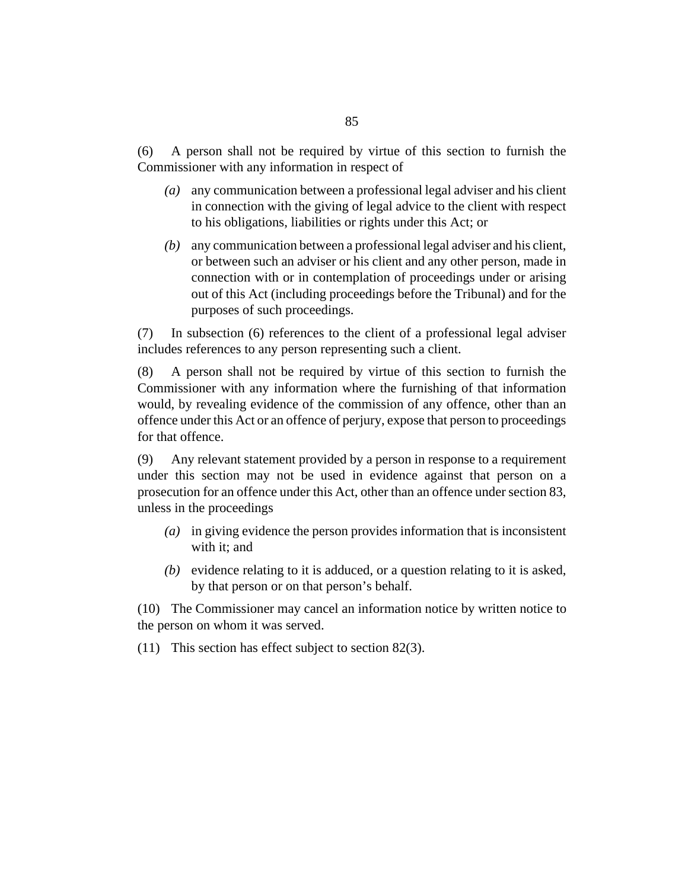A person shall not be required by virtue of this section to furnish the Commissioner with any information in respect of (6)

- any communication between a professional legal adviser and his client *(a)* in connection with the giving of legal advice to the client with respect to his obligations, liabilities or rights under this Act; or
- any communication between a professional legal adviser and his client, *(b)* or between such an adviser or his client and any other person, made in connection with or in contemplation of proceedings under or arising out of this Act (including proceedings before the Tribunal) and for the purposes of such proceedings.

In subsection (6) references to the client of a professional legal adviser includes references to any person representing such a client. (7)

A person shall not be required by virtue of this section to furnish the Commissioner with any information where the furnishing of that information would, by revealing evidence of the commission of any offence, other than an offence under this Act or an offence of perjury, expose that person to proceedings for that offence. (8)

Any relevant statement provided by a person in response to a requirement under this section may not be used in evidence against that person on a prosecution for an offence under this Act, other than an offence under section 83, unless in the proceedings (9)

- in giving evidence the person provides information that is inconsistent *(a)* with it; and
- $(b)$  evidence relating to it is adduced, or a question relating to it is asked, by that person or on that person's behalf.

(10) The Commissioner may cancel an information notice by written notice to the person on whom it was served.

(11) This section has effect subject to section  $82(3)$ .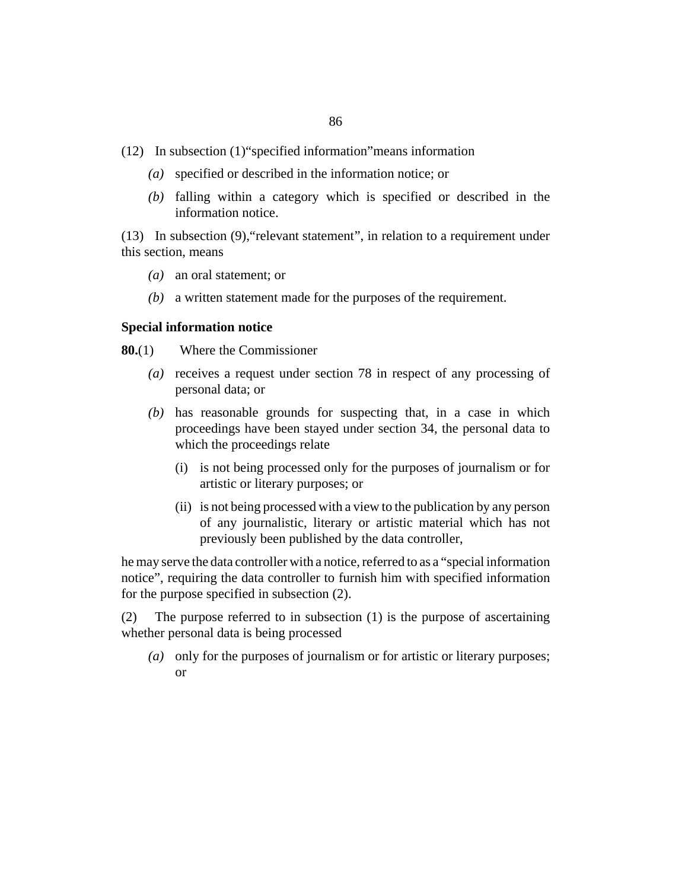- In subsection (1)"specified information"means information (12)
	- specified or described in the information notice; or *(a)*
	- falling within a category which is specified or described in the *(b)* information notice.

In subsection (9),"relevant statement", in relation to a requirement under (13) this section, means

- an oral statement; or *(a)*
- a written statement made for the purposes of the requirement. *(b)*

#### **Special information notice**

Where the Commissioner **80.**(1)

- (a) receives a request under section 78 in respect of any processing of personal data; or
- (b) has reasonable grounds for suspecting that, in a case in which proceedings have been stayed under section 34, the personal data to which the proceedings relate
	- (i) is not being processed only for the purposes of journalism or for artistic or literary purposes; or
	- (ii) is not being processed with a view to the publication by any person of any journalistic, literary or artistic material which has not previously been published by the data controller,

he may serve the data controller with a notice, referred to as a "special information notice", requiring the data controller to furnish him with specified information for the purpose specified in subsection (2).

The purpose referred to in subsection (1) is the purpose of ascertaining whether personal data is being processed (2)

(a) only for the purposes of journalism or for artistic or literary purposes; or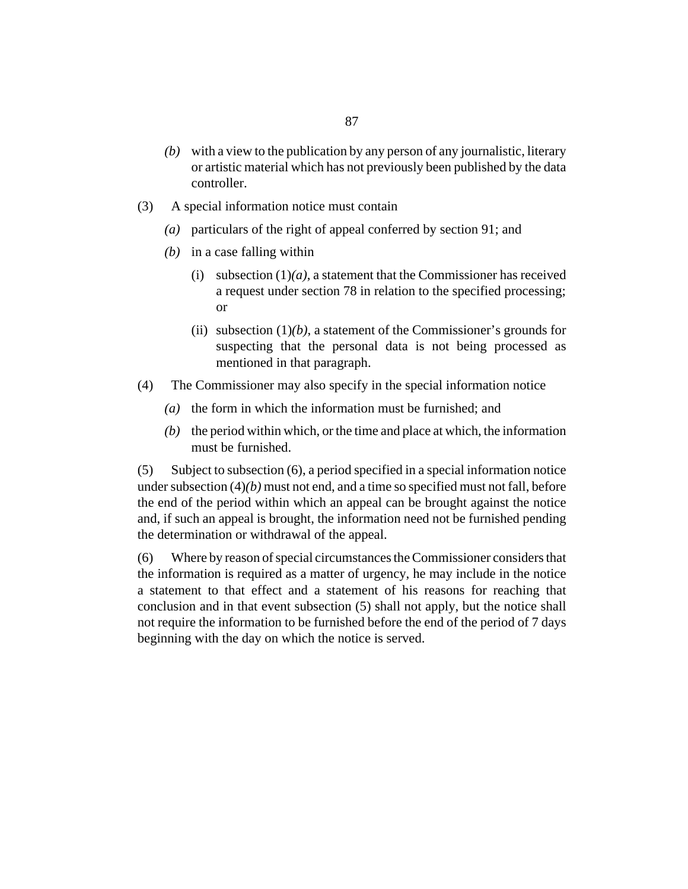- with a view to the publication by any person of any journalistic, literary *(b)* or artistic material which has not previously been published by the data controller.
- A special information notice must contain (3)
	- particulars of the right of appeal conferred by section 91; and *(a)*
	- $(b)$  in a case falling within
		- (i) subsection  $(1)(a)$ , a statement that the Commissioner has received a request under section 78 in relation to the specified processing; or
		- (ii) subsection  $(1)(b)$ , a statement of the Commissioner's grounds for suspecting that the personal data is not being processed as mentioned in that paragraph.
- The Commissioner may also specify in the special information notice (4)
	- ( $a)$  the form in which the information must be furnished; and
	- $(b)$  the period within which, or the time and place at which, the information must be furnished.

Subject to subsection (6), a period specified in a special information notice under subsection (4)*(b)* must not end, and a time so specified must not fall, before the end of the period within which an appeal can be brought against the notice and, if such an appeal is brought, the information need not be furnished pending the determination or withdrawal of the appeal. (5)

Where by reason of special circumstances the Commissioner considers that the information is required as a matter of urgency, he may include in the notice a statement to that effect and a statement of his reasons for reaching that conclusion and in that event subsection (5) shall not apply, but the notice shall not require the information to be furnished before the end of the period of 7 days beginning with the day on which the notice is served. (6)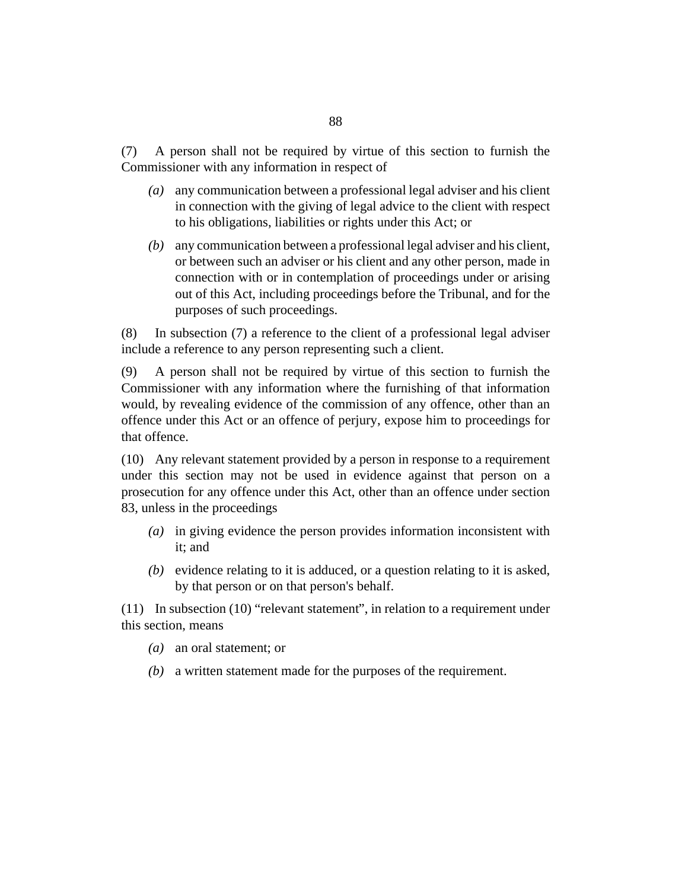A person shall not be required by virtue of this section to furnish the Commissioner with any information in respect of (7)

- any communication between a professional legal adviser and his client *(a)* in connection with the giving of legal advice to the client with respect to his obligations, liabilities or rights under this Act; or
- any communication between a professional legal adviser and his client, *(b)* or between such an adviser or his client and any other person, made in connection with or in contemplation of proceedings under or arising out of this Act, including proceedings before the Tribunal, and for the purposes of such proceedings.

In subsection (7) a reference to the client of a professional legal adviser include a reference to any person representing such a client. (8)

A person shall not be required by virtue of this section to furnish the Commissioner with any information where the furnishing of that information would, by revealing evidence of the commission of any offence, other than an offence under this Act or an offence of perjury, expose him to proceedings for that offence. (9)

Any relevant statement provided by a person in response to a requirement (10) under this section may not be used in evidence against that person on a prosecution for any offence under this Act, other than an offence under section 83, unless in the proceedings

- (a) in giving evidence the person provides information inconsistent with it; and
- $(b)$  evidence relating to it is adduced, or a question relating to it is asked, by that person or on that person's behalf.

 $(11)$  In subsection  $(10)$  "relevant statement", in relation to a requirement under this section, means

- an oral statement; or *(a)*
- a written statement made for the purposes of the requirement. *(b)*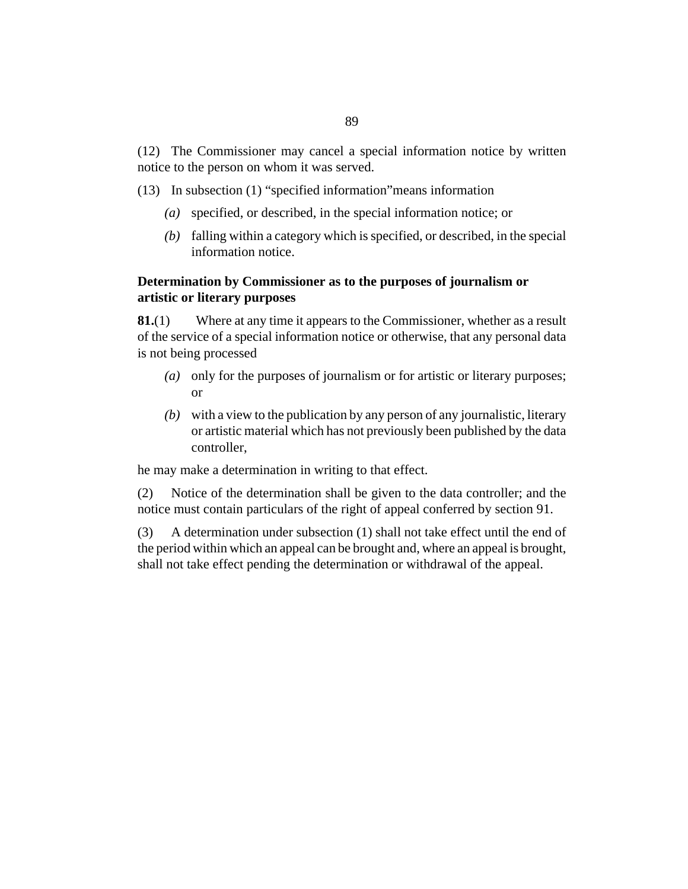(13) In subsection (1) "specified information" means information

- specified, or described, in the special information notice; or *(a)*
- falling within a category which is specified, or described, in the special *(b)* information notice.

# **Determination by Commissioner as to the purposes of journalism or artistic or literary purposes**

Where at any time it appears to the Commissioner, whether as a result of the service of a special information notice or otherwise, that any personal data is not being processed **81.**(1)

- (a) only for the purposes of journalism or for artistic or literary purposes; or
- with a view to the publication by any person of any journalistic, literary *(b)* or artistic material which has not previously been published by the data controller,

he may make a determination in writing to that effect.

Notice of the determination shall be given to the data controller; and the notice must contain particulars of the right of appeal conferred by section 91. (2)

A determination under subsection (1) shall not take effect until the end of the period within which an appeal can be brought and, where an appeal is brought, shall not take effect pending the determination or withdrawal of the appeal. (3)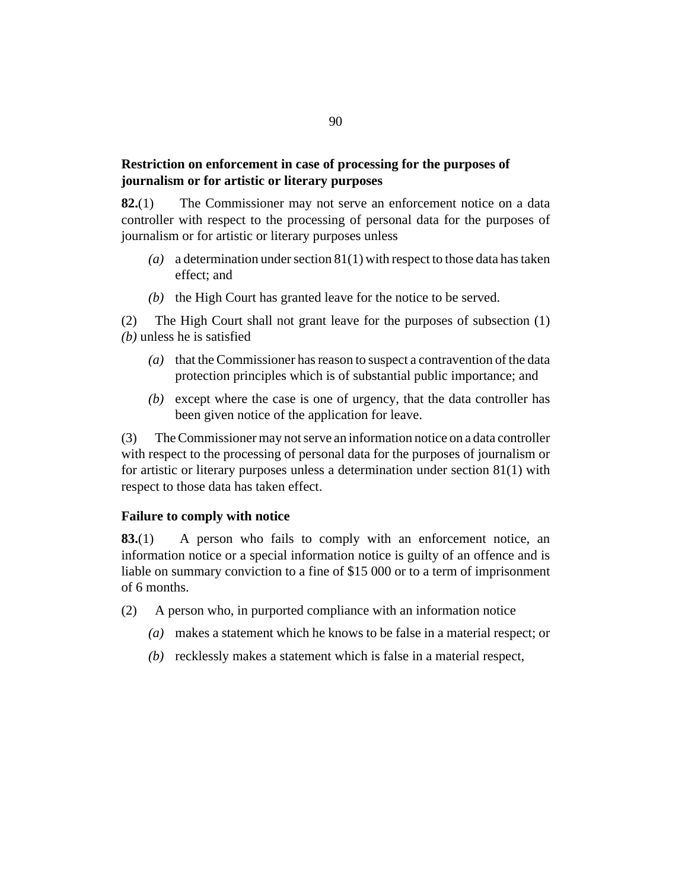# **Restriction on enforcement in case of processing for the purposes of journalism or for artistic or literary purposes**

The Commissioner may not serve an enforcement notice on a data controller with respect to the processing of personal data for the purposes of journalism or for artistic or literary purposes unless **82.**(1)

- a determination under section 81(1) with respect to those data has taken *(a)* effect; and
- $(b)$  the High Court has granted leave for the notice to be served.

The High Court shall not grant leave for the purposes of subsection (1) *(b)* unless he is satisfied (2)

- (a) that the Commissioner has reason to suspect a contravention of the data protection principles which is of substantial public importance; and
- (b) except where the case is one of urgency, that the data controller has been given notice of the application for leave.

The Commissioner may not serve an information notice on a data controller with respect to the processing of personal data for the purposes of journalism or for artistic or literary purposes unless a determination under section 81(1) with respect to those data has taken effect. (3)

#### **Failure to comply with notice**

A person who fails to comply with an enforcement notice, an information notice or a special information notice is guilty of an offence and is liable on summary conviction to a fine of \$15 000 or to a term of imprisonment of 6 months. **83.**(1)

- A person who, in purported compliance with an information notice (2)
	- makes a statement which he knows to be false in a material respect; or *(a)*
	- (b) recklessly makes a statement which is false in a material respect,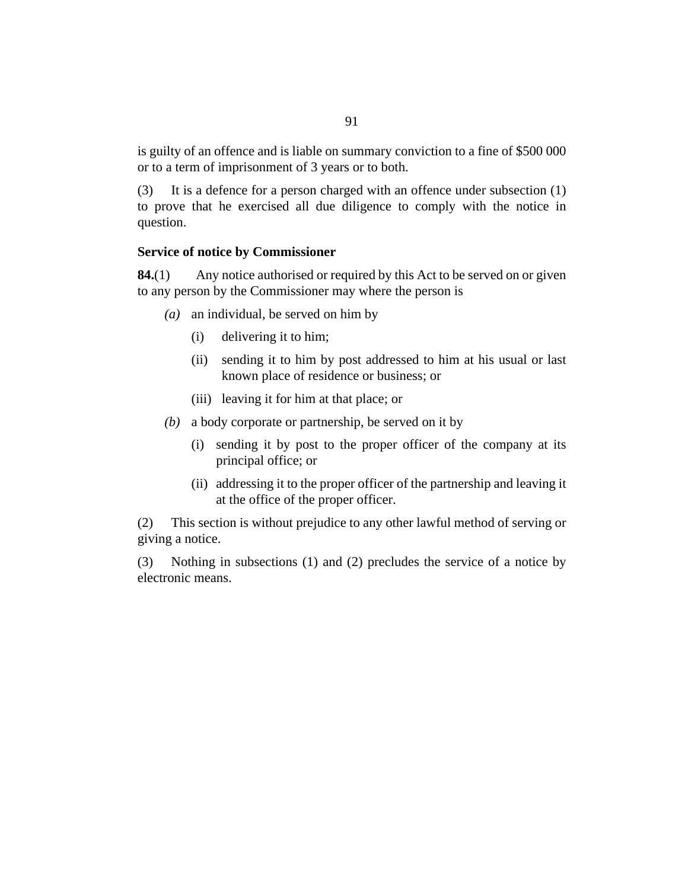is guilty of an offence and is liable on summary conviction to a fine of \$500 000 or to a term of imprisonment of 3 years or to both.

It is a defence for a person charged with an offence under subsection (1) to prove that he exercised all due diligence to comply with the notice in question. (3)

### **Service of notice by Commissioner**

Any notice authorised or required by this Act to be served on or given to any person by the Commissioner may where the person is **84.**(1)

- an individual, be served on him by *(a)*
	- delivering it to him; (i)
	- (ii) sending it to him by post addressed to him at his usual or last known place of residence or business; or
	- (iii) leaving it for him at that place; or
- a body corporate or partnership, be served on it by *(b)*
	- (i) sending it by post to the proper officer of the company at its principal office; or
	- (ii) addressing it to the proper officer of the partnership and leaving it at the office of the proper officer.

This section is without prejudice to any other lawful method of serving or giving a notice. (2)

Nothing in subsections (1) and (2) precludes the service of a notice by electronic means. (3)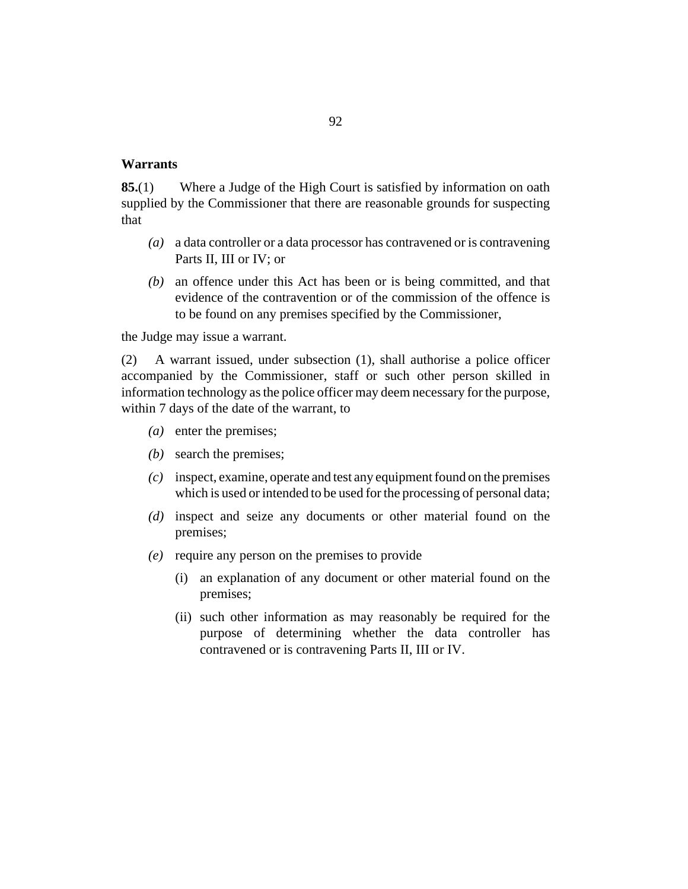### **Warrants**

Where a Judge of the High Court is satisfied by information on oath supplied by the Commissioner that there are reasonable grounds for suspecting that **85.**(1)

- a data controller or a data processor has contravened or is contravening *(a)* Parts II, III or IV; or
- an offence under this Act has been or is being committed, and that *(b)* evidence of the contravention or of the commission of the offence is to be found on any premises specified by the Commissioner,

the Judge may issue a warrant.

A warrant issued, under subsection (1), shall authorise a police officer accompanied by the Commissioner, staff or such other person skilled in information technology as the police officer may deem necessary for the purpose, within 7 days of the date of the warrant, to (2)

- (a) enter the premises;
- (b) search the premises;
- inspect, examine, operate and test any equipment found on the premises *(c)* which is used or intended to be used for the processing of personal data;
- (d) inspect and seize any documents or other material found on the premises;
- (e) require any person on the premises to provide
	- (i) an explanation of any document or other material found on the premises;
	- (ii) such other information as may reasonably be required for the purpose of determining whether the data controller has contravened or is contravening Parts II, III or IV.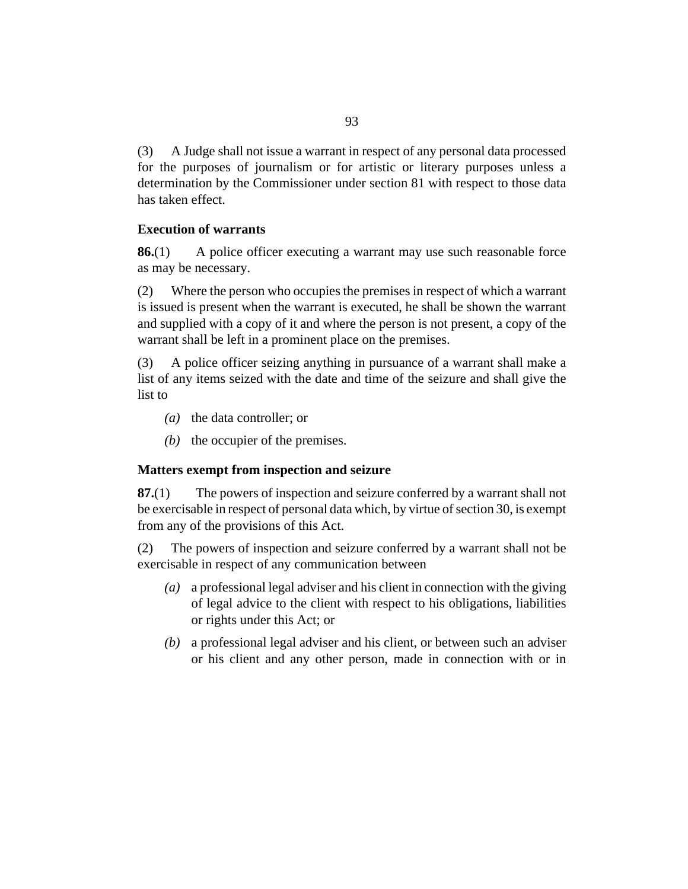A Judge shall not issue a warrant in respect of any personal data processed for the purposes of journalism or for artistic or literary purposes unless a determination by the Commissioner under section 81 with respect to those data has taken effect. (3)

## **Execution of warrants**

A police officer executing a warrant may use such reasonable force as may be necessary. **86.**(1)

Where the person who occupies the premises in respect of which a warrant is issued is present when the warrant is executed, he shall be shown the warrant and supplied with a copy of it and where the person is not present, a copy of the warrant shall be left in a prominent place on the premises. (2)

A police officer seizing anything in pursuance of a warrant shall make a list of any items seized with the date and time of the seizure and shall give the list to (3)

- (*a*) the data controller; or
- $(b)$  the occupier of the premises.

### **Matters exempt from inspection and seizure**

The powers of inspection and seizure conferred by a warrant shall not be exercisable in respect of personal data which, by virtue of section 30, is exempt from any of the provisions of this Act. **87.**(1)

The powers of inspection and seizure conferred by a warrant shall not be exercisable in respect of any communication between (2)

- a professional legal adviser and his client in connection with the giving *(a)* of legal advice to the client with respect to his obligations, liabilities or rights under this Act; or
- a professional legal adviser and his client, or between such an adviser *(b)* or his client and any other person, made in connection with or in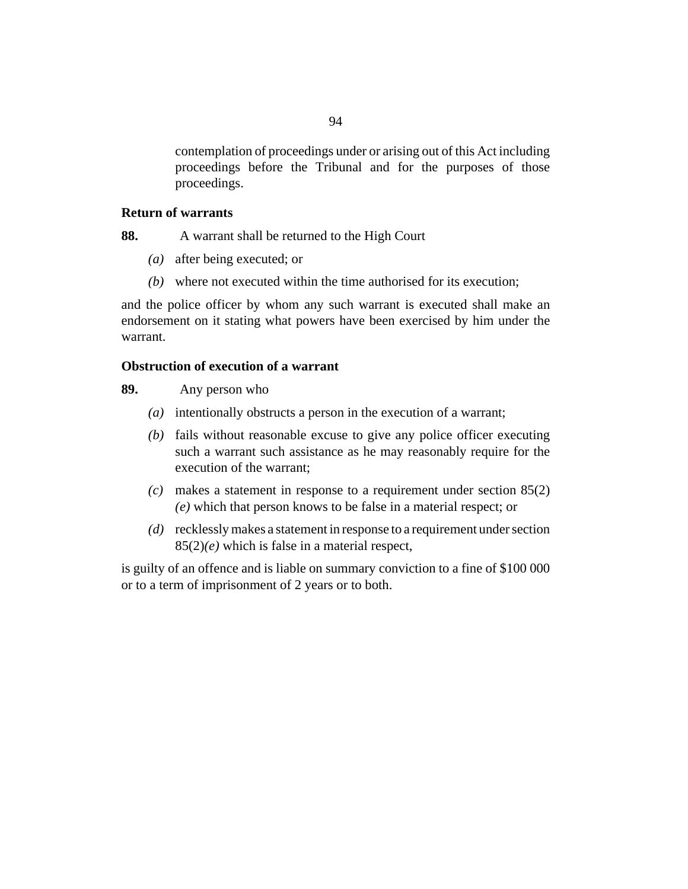contemplation of proceedings under or arising out of this Act including proceedings before the Tribunal and for the purposes of those proceedings.

## **Return of warrants**

A warrant shall be returned to the High Court **88.**

- after being executed; or *(a)*
- where not executed within the time authorised for its execution; *(b)*

and the police officer by whom any such warrant is executed shall make an endorsement on it stating what powers have been exercised by him under the warrant.

## **Obstruction of execution of a warrant**

Any person who **89.**

- intentionally obstructs a person in the execution of a warrant; *(a)*
- (b) fails without reasonable excuse to give any police officer executing such a warrant such assistance as he may reasonably require for the execution of the warrant;
- makes a statement in response to a requirement under section 85(2) *(c) (e)* which that person knows to be false in a material respect; or
- recklessly makes a statement in response to a requirement under section *(d)* 85(2)*(e)* which is false in a material respect,

is guilty of an offence and is liable on summary conviction to a fine of \$100 000 or to a term of imprisonment of 2 years or to both.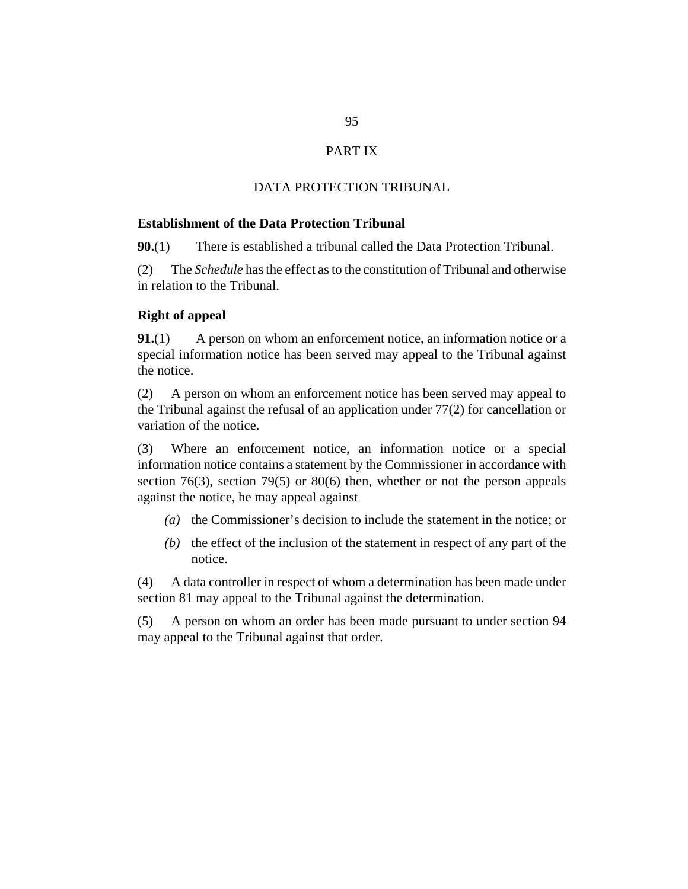# PART IX

## DATA PROTECTION TRIBUNAL

### **Establishment of the Data Protection Tribunal**

There is established a tribunal called the Data Protection Tribunal. **90.**(1)

The *[Schedule](#page-100-0)* has the effect as to the constitution of Tribunal and otherwise in relation to the Tribunal. (2)

#### **Right of appeal**

A person on whom an enforcement notice, an information notice or a special information notice has been served may appeal to the Tribunal against the notice. **91.**(1)

A person on whom an enforcement notice has been served may appeal to the Tribunal against the refusal of an application under 77(2) for cancellation or variation of the notice. (2)

Where an enforcement notice, an information notice or a special information notice contains a statement by the Commissioner in accordance with section 76(3), section 79(5) or 80(6) then, whether or not the person appeals against the notice, he may appeal against (3)

- (a) the Commissioner's decision to include the statement in the notice; or
- $(b)$  the effect of the inclusion of the statement in respect of any part of the notice.

A data controller in respect of whom a determination has been made under section 81 may appeal to the Tribunal against the determination. (4)

A person on whom an order has been made pursuant to under section 94 may appeal to the Tribunal against that order. (5)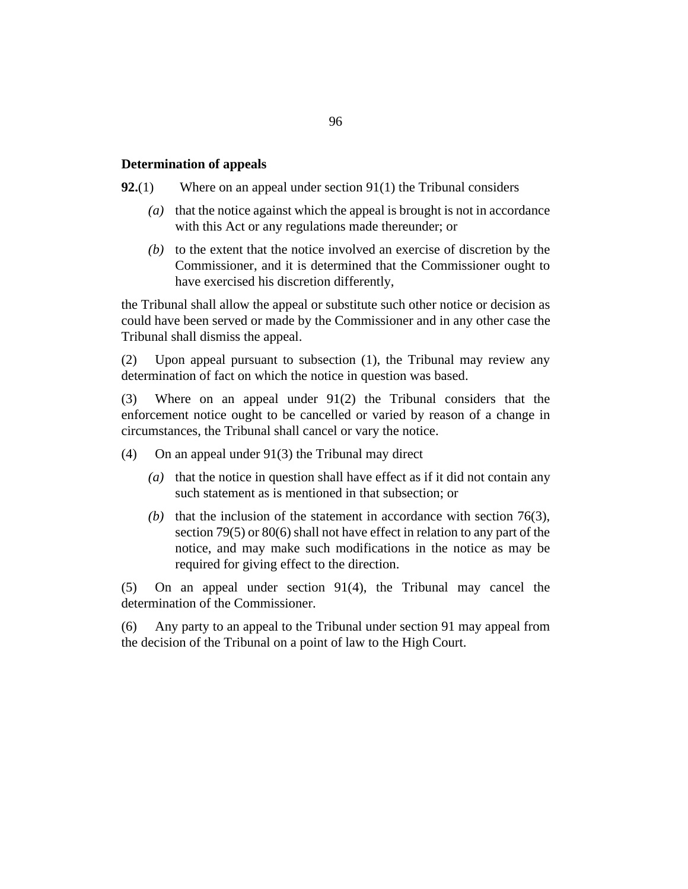### **Determination of appeals**

Where on an appeal under section 91(1) the Tribunal considers **92.**(1)

- (a) that the notice against which the appeal is brought is not in accordance with this Act or any regulations made thereunder; or
- $(t)$  to the extent that the notice involved an exercise of discretion by the Commissioner, and it is determined that the Commissioner ought to have exercised his discretion differently,

the Tribunal shall allow the appeal or substitute such other notice or decision as could have been served or made by the Commissioner and in any other case the Tribunal shall dismiss the appeal.

Upon appeal pursuant to subsection (1), the Tribunal may review any determination of fact on which the notice in question was based. (2)

Where on an appeal under 91(2) the Tribunal considers that the enforcement notice ought to be cancelled or varied by reason of a change in circumstances, the Tribunal shall cancel or vary the notice. (3)

- On an appeal under 91(3) the Tribunal may direct (4)
	- (a) that the notice in question shall have effect as if it did not contain any such statement as is mentioned in that subsection; or
	- (b) that the inclusion of the statement in accordance with section  $76(3)$ , section 79(5) or 80(6) shall not have effect in relation to any part of the notice, and may make such modifications in the notice as may be required for giving effect to the direction.

On an appeal under section 91(4), the Tribunal may cancel the determination of the Commissioner. (5)

Any party to an appeal to the Tribunal under section 91 may appeal from the decision of the Tribunal on a point of law to the High Court. (6)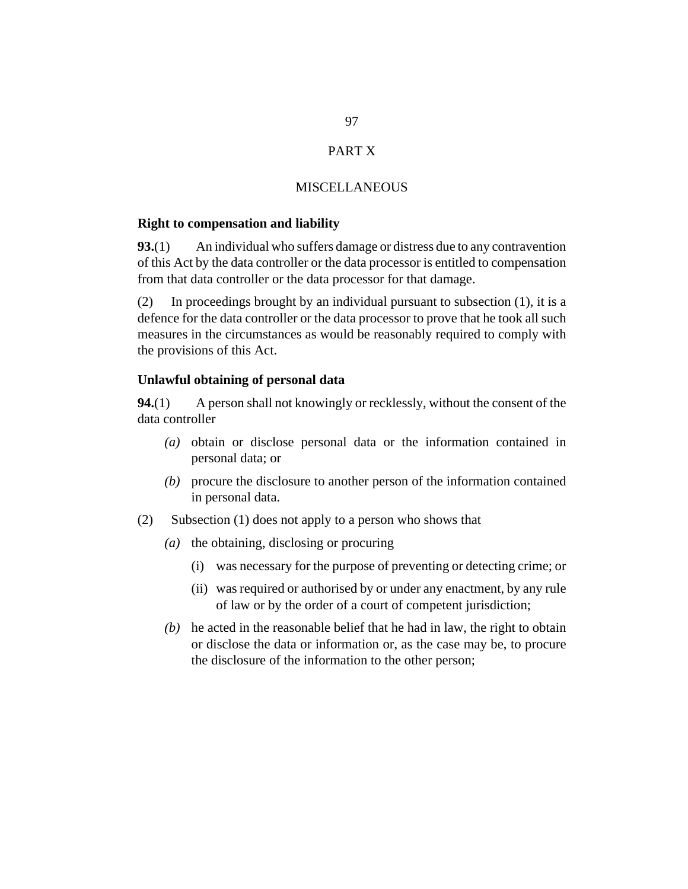# PART X

### **MISCELLANEOUS**

#### **Right to compensation and liability**

An individual who suffers damage or distress due to any contravention of this Act by the data controller or the data processor is entitled to compensation from that data controller or the data processor for that damage. **93.**(1)

In proceedings brought by an individual pursuant to subsection (1), it is a defence for the data controller or the data processor to prove that he took all such measures in the circumstances as would be reasonably required to comply with the provisions of this Act. (2)

### **Unlawful obtaining of personal data**

A person shall not knowingly or recklessly, without the consent of the data controller **94.**(1)

- (a) obtain or disclose personal data or the information contained in personal data; or
- procure the disclosure to another person of the information contained *(b)* in personal data.
- Subsection (1) does not apply to a person who shows that (2)
	- (a) the obtaining, disclosing or procuring
		- was necessary for the purpose of preventing or detecting crime; or (i)
		- (ii) was required or authorised by or under any enactment, by any rule of law or by the order of a court of competent jurisdiction;
	- $(b)$  he acted in the reasonable belief that he had in law, the right to obtain or disclose the data or information or, as the case may be, to procure the disclosure of the information to the other person;

97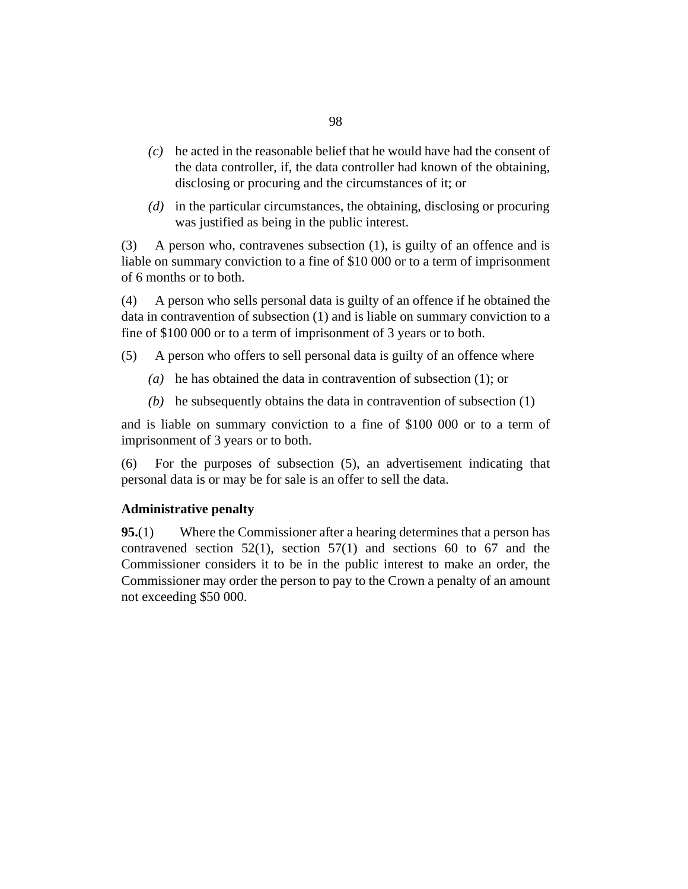- he acted in the reasonable belief that he would have had the consent of *(c)* the data controller, if, the data controller had known of the obtaining, disclosing or procuring and the circumstances of it; or
- (d) in the particular circumstances, the obtaining, disclosing or procuring was justified as being in the public interest.

A person who, contravenes subsection (1), is guilty of an offence and is liable on summary conviction to a fine of \$10 000 or to a term of imprisonment of 6 months or to both. (3)

A person who sells personal data is guilty of an offence if he obtained the data in contravention of subsection (1) and is liable on summary conviction to a fine of \$100 000 or to a term of imprisonment of 3 years or to both. (4)

- A person who offers to sell personal data is guilty of an offence where (5)
	- (a) he has obtained the data in contravention of subsection  $(1)$ ; or
	- (b) he subsequently obtains the data in contravention of subsection  $(1)$

and is liable on summary conviction to a fine of \$100 000 or to a term of imprisonment of 3 years or to both.

For the purposes of subsection (5), an advertisement indicating that personal data is or may be for sale is an offer to sell the data. (6)

### **Administrative penalty**

Where the Commissioner after a hearing determines that a person has contravened section  $52(1)$ , section  $57(1)$  and sections 60 to 67 and the Commissioner considers it to be in the public interest to make an order, the Commissioner may order the person to pay to the Crown a penalty of an amount not exceeding \$50 000. **95.**(1)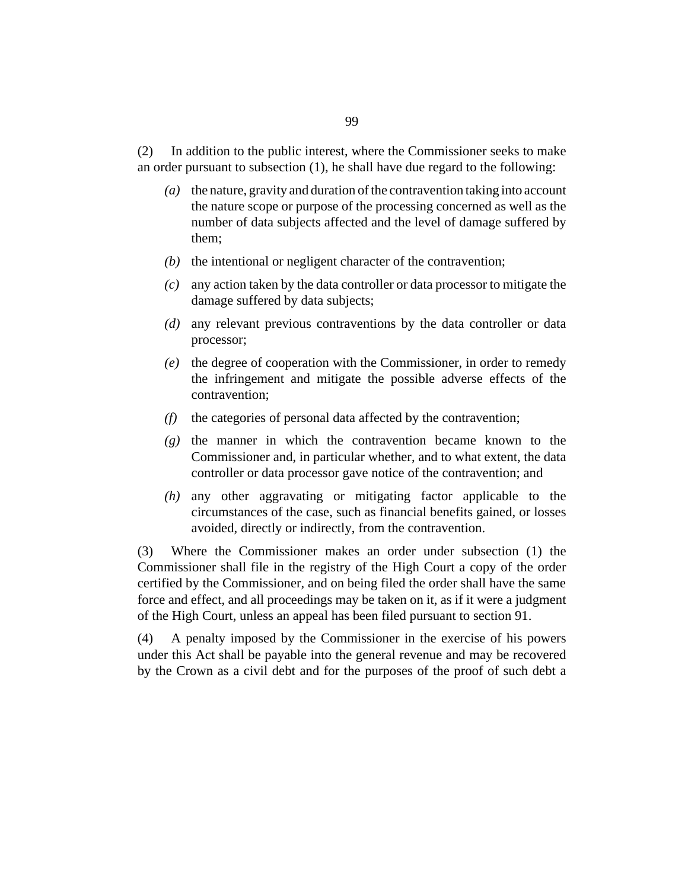In addition to the public interest, where the Commissioner seeks to make an order pursuant to subsection (1), he shall have due regard to the following: (2)

- the nature, gravity and duration of the contravention taking into account *(a)* the nature scope or purpose of the processing concerned as well as the number of data subjects affected and the level of damage suffered by them;
- $(b)$  the intentional or negligent character of the contravention;
- any action taken by the data controller or data processor to mitigate the *(c)* damage suffered by data subjects;
- any relevant previous contraventions by the data controller or data *(d)* processor;
- (e) the degree of cooperation with the Commissioner, in order to remedy the infringement and mitigate the possible adverse effects of the contravention;
- (f) the categories of personal data affected by the contravention;
- $(g)$  the manner in which the contravention became known to the Commissioner and, in particular whether, and to what extent, the data controller or data processor gave notice of the contravention; and
- any other aggravating or mitigating factor applicable to the *(h)* circumstances of the case, such as financial benefits gained, or losses avoided, directly or indirectly, from the contravention.

Where the Commissioner makes an order under subsection (1) the Commissioner shall file in the registry of the High Court a copy of the order certified by the Commissioner, and on being filed the order shall have the same force and effect, and all proceedings may be taken on it, as if it were a judgment of the High Court, unless an appeal has been filed pursuant to section 91. (3)

A penalty imposed by the Commissioner in the exercise of his powers under this Act shall be payable into the general revenue and may be recovered by the Crown as a civil debt and for the purposes of the proof of such debt a (4)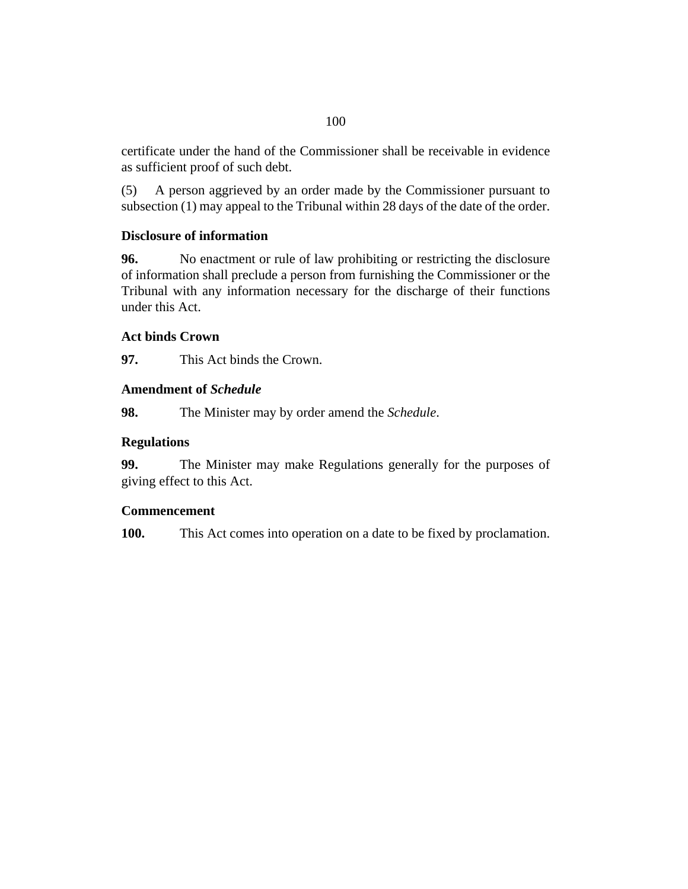certificate under the hand of the Commissioner shall be receivable in evidence as sufficient proof of such debt.

A person aggrieved by an order made by the Commissioner pursuant to subsection (1) may appeal to the Tribunal within 28 days of the date of the order. (5)

# **Disclosure of information**

No enactment or rule of law prohibiting or restricting the disclosure of information shall preclude a person from furnishing the Commissioner or the Tribunal with any information necessary for the discharge of their functions under this Act. **96.**

# **Act binds Crown**

This Act binds the Crown. **97.**

# **Amendment of** *Schedule*

The Minister may by order amend the *Schedule*. **98.**

# **Regulations**

The Minister may make Regulations generally for the purposes of giving effect to this Act. **99.**

# **Commencement**

This Act comes into operation on a date to be fixed by proclamation. **100.**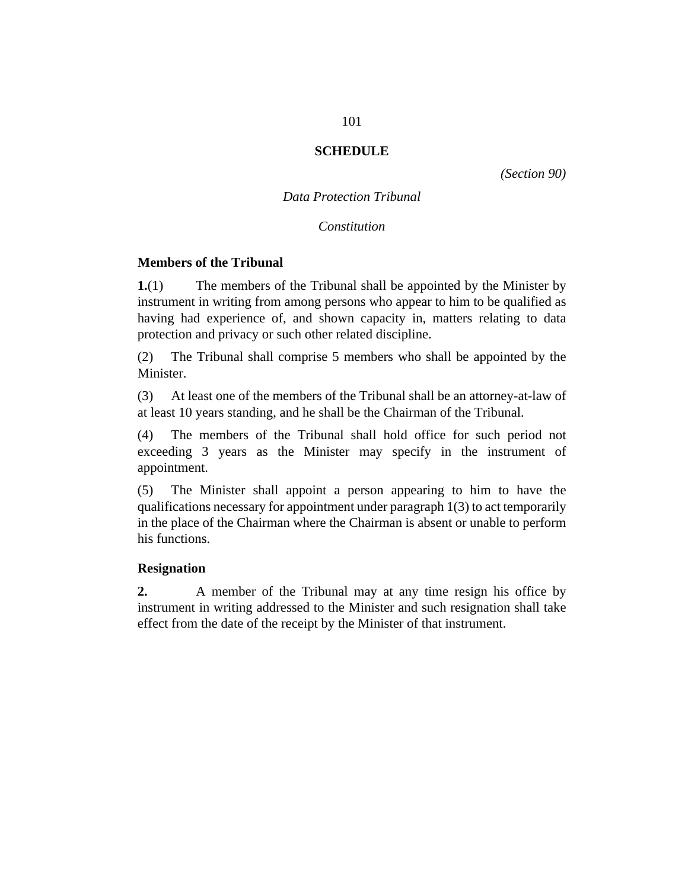## **SCHEDULE**

*(Section 90)*

*Data Protection Tribunal*

*Constitution*

#### <span id="page-100-0"></span>**Members of the Tribunal**

The members of the Tribunal shall be appointed by the Minister by instrument in writing from among persons who appear to him to be qualified as having had experience of, and shown capacity in, matters relating to data protection and privacy or such other related discipline. **1.**(1)

The Tribunal shall comprise 5 members who shall be appointed by the Minister. (2)

At least one of the members of the Tribunal shall be an attorney-at-law of at least 10 years standing, and he shall be the Chairman of the Tribunal. (3)

The members of the Tribunal shall hold office for such period not exceeding 3 years as the Minister may specify in the instrument of appointment. (4)

The Minister shall appoint a person appearing to him to have the qualifications necessary for appointment under paragraph 1(3) to act temporarily in the place of the Chairman where the Chairman is absent or unable to perform his functions. (5)

### **Resignation**

A member of the Tribunal may at any time resign his office by instrument in writing addressed to the Minister and such resignation shall take effect from the date of the receipt by the Minister of that instrument. **2.**